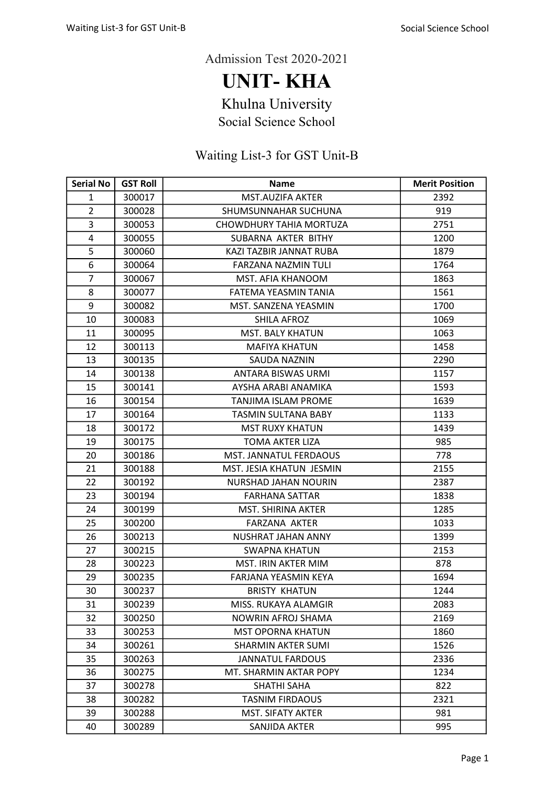UNIT- KHA

Khulna University

Social Science School

| <b>Serial No</b> | <b>GST Roll</b> | <b>Name</b>                | <b>Merit Position</b> |
|------------------|-----------------|----------------------------|-----------------------|
| $\mathbf{1}$     | 300017          | <b>MST.AUZIFA AKTER</b>    | 2392                  |
| $\overline{2}$   | 300028          | SHUMSUNNAHAR SUCHUNA       | 919                   |
| 3                | 300053          | CHOWDHURY TAHIA MORTUZA    | 2751                  |
| 4                | 300055          | SUBARNA AKTER BITHY        | 1200                  |
| 5                | 300060          | KAZI TAZBIR JANNAT RUBA    | 1879                  |
| 6                | 300064          | FARZANA NAZMIN TULI        | 1764                  |
| $\overline{7}$   | 300067          | MST. AFIA KHANOOM          | 1863                  |
| 8                | 300077          | FATEMA YEASMIN TANIA       | 1561                  |
| 9                | 300082          | MST. SANZENA YEASMIN       | 1700                  |
| 10               | 300083          | SHILA AFROZ                | 1069                  |
| 11               | 300095          | <b>MST. BALY KHATUN</b>    | 1063                  |
| 12               | 300113          | <b>MAFIYA KHATUN</b>       | 1458                  |
| 13               | 300135          | <b>SAUDA NAZNIN</b>        | 2290                  |
| 14               | 300138          | <b>ANTARA BISWAS URMI</b>  | 1157                  |
| 15               | 300141          | AYSHA ARABI ANAMIKA        | 1593                  |
| 16               | 300154          | <b>TANJIMA ISLAM PROME</b> | 1639                  |
| 17               | 300164          | <b>TASMIN SULTANA BABY</b> | 1133                  |
| 18               | 300172          | <b>MST RUXY KHATUN</b>     | 1439                  |
| 19               | 300175          | <b>TOMA AKTER LIZA</b>     | 985                   |
| 20               | 300186          | MST. JANNATUL FERDAOUS     | 778                   |
| 21               | 300188          | MST. JESIA KHATUN JESMIN   | 2155                  |
| 22               | 300192          | NURSHAD JAHAN NOURIN       | 2387                  |
| 23               | 300194          | <b>FARHANA SATTAR</b>      | 1838                  |
| 24               | 300199          | <b>MST. SHIRINA AKTER</b>  | 1285                  |
| 25               | 300200          | <b>FARZANA AKTER</b>       | 1033                  |
| 26               | 300213          | NUSHRAT JAHAN ANNY         | 1399                  |
| 27               | 300215          | <b>SWAPNA KHATUN</b>       | 2153                  |
| 28               | 300223          | <b>MST. IRIN AKTER MIM</b> | 878                   |
| 29               | 300235          | FARJANA YEASMIN KEYA       | 1694                  |
| 30               | 300237          | <b>BRISTY KHATUN</b>       | 1244                  |
| 31               | 300239          | MISS. RUKAYA ALAMGIR       | 2083                  |
| 32               | 300250          | NOWRIN AFROJ SHAMA         | 2169                  |
| 33               | 300253          | <b>MST OPORNA KHATUN</b>   | 1860                  |
| 34               | 300261          | <b>SHARMIN AKTER SUMI</b>  | 1526                  |
| 35               | 300263          | <b>JANNATUL FARDOUS</b>    | 2336                  |
| 36               | 300275          | MT. SHARMIN AKTAR POPY     | 1234                  |
| 37               | 300278          | <b>SHATHI SAHA</b>         | 822                   |
| 38               | 300282          | <b>TASNIM FIRDAOUS</b>     | 2321                  |
| 39               | 300288          | <b>MST. SIFATY AKTER</b>   | 981                   |
| 40               | 300289          | SANJIDA AKTER              | 995                   |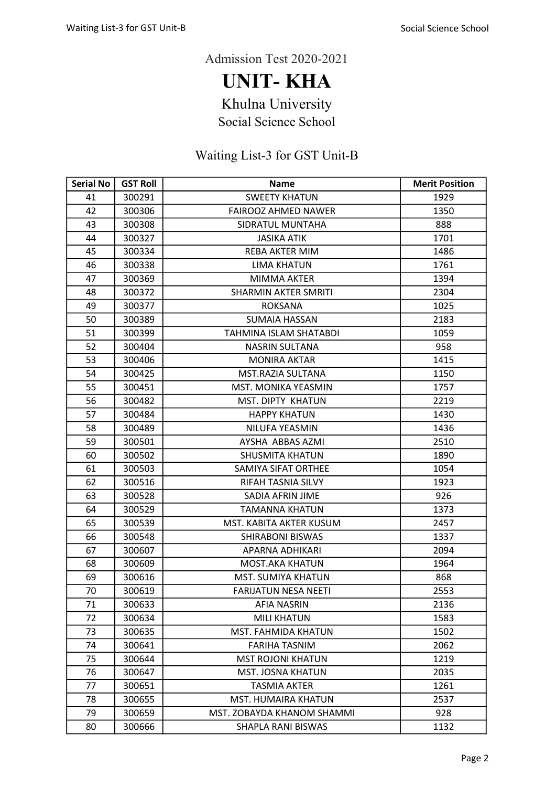UNIT- KHA

Khulna University

Social Science School

| <b>Serial No</b> | <b>GST Roll</b> | <b>Name</b>                 | <b>Merit Position</b> |
|------------------|-----------------|-----------------------------|-----------------------|
| 41               | 300291          | <b>SWEETY KHATUN</b>        | 1929                  |
| 42               | 300306          | <b>FAIROOZ AHMED NAWER</b>  | 1350                  |
| 43               | 300308          | SIDRATUL MUNTAHA            | 888                   |
| 44               | 300327          | <b>JASIKA ATIK</b>          | 1701                  |
| 45               | 300334          | REBA AKTER MIM              | 1486                  |
| 46               | 300338          | <b>LIMA KHATUN</b>          | 1761                  |
| 47               | 300369          | MIMMA AKTER                 | 1394                  |
| 48               | 300372          | <b>SHARMIN AKTER SMRITI</b> | 2304                  |
| 49               | 300377          | <b>ROKSANA</b>              | 1025                  |
| 50               | 300389          | <b>SUMAIA HASSAN</b>        | 2183                  |
| 51               | 300399          | TAHMINA ISLAM SHATABDI      | 1059                  |
| 52               | 300404          | <b>NASRIN SULTANA</b>       | 958                   |
| 53               | 300406          | <b>MONIRA AKTAR</b>         | 1415                  |
| 54               | 300425          | MST.RAZIA SULTANA           | 1150                  |
| 55               | 300451          | MST. MONIKA YEASMIN         | 1757                  |
| 56               | 300482          | <b>MST. DIPTY KHATUN</b>    | 2219                  |
| 57               | 300484          | <b>HAPPY KHATUN</b>         | 1430                  |
| 58               | 300489          | NILUFA YEASMIN              | 1436                  |
| 59               | 300501          | AYSHA ABBAS AZMI            | 2510                  |
| 60               | 300502          | <b>SHUSMITA KHATUN</b>      | 1890                  |
| 61               | 300503          | SAMIYA SIFAT ORTHEE         | 1054                  |
| 62               | 300516          | RIFAH TASNIA SILVY          | 1923                  |
| 63               | 300528          | SADIA AFRIN JIME            | 926                   |
| 64               | 300529          | <b>TAMANNA KHATUN</b>       | 1373                  |
| 65               | 300539          | MST. KABITA AKTER KUSUM     | 2457                  |
| 66               | 300548          | <b>SHIRABONI BISWAS</b>     | 1337                  |
| 67               | 300607          | APARNA ADHIKARI             | 2094                  |
| 68               | 300609          | <b>MOST.AKA KHATUN</b>      | 1964                  |
| 69               | 300616          | MST. SUMIYA KHATUN          | 868                   |
| 70               | 300619          | <b>FARIJATUN NESA NEETI</b> | 2553                  |
| 71               | 300633          | AFIA NASRIN                 | 2136                  |
| 72               | 300634          | <b>MILI KHATUN</b>          | 1583                  |
| 73               | 300635          | MST. FAHMIDA KHATUN         | 1502                  |
| 74               | 300641          | <b>FARIHA TASNIM</b>        | 2062                  |
| 75               | 300644          | <b>MST ROJONI KHATUN</b>    | 1219                  |
| 76               | 300647          | <b>MST. JOSNA KHATUN</b>    | 2035                  |
| 77               | 300651          | <b>TASMIA AKTER</b>         | 1261                  |
| 78               | 300655          | <b>MST. HUMAIRA KHATUN</b>  | 2537                  |
| 79               | 300659          | MST. ZOBAYDA KHANOM SHAMMI  | 928                   |
| 80               | 300666          | SHAPLA RANI BISWAS          | 1132                  |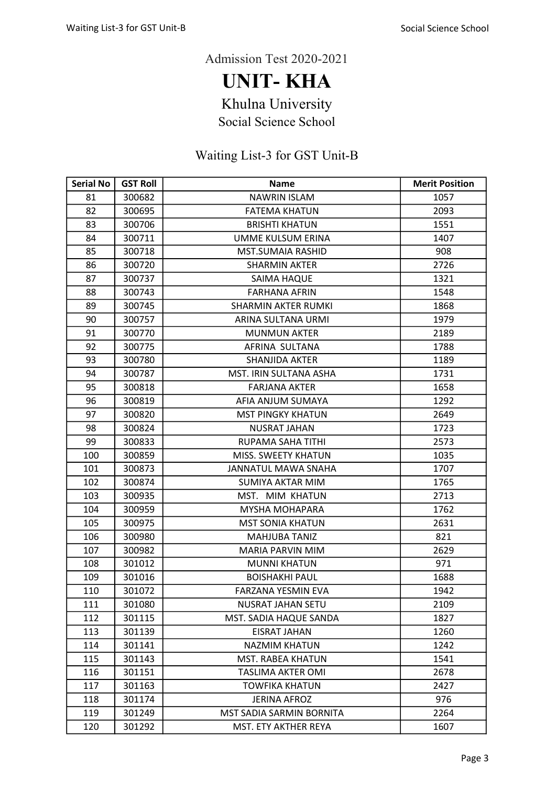UNIT- KHA

Khulna University

Social Science School

| <b>Serial No</b> | <b>GST Roll</b> | <b>Name</b>                | <b>Merit Position</b> |
|------------------|-----------------|----------------------------|-----------------------|
| 81               | 300682          | <b>NAWRIN ISLAM</b>        | 1057                  |
| 82               | 300695          | <b>FATEMA KHATUN</b>       | 2093                  |
| 83               | 300706          | <b>BRISHTI KHATUN</b>      | 1551                  |
| 84               | 300711          | UMME KULSUM ERINA          | 1407                  |
| 85               | 300718          | <b>MST.SUMAIA RASHID</b>   | 908                   |
| 86               | 300720          | <b>SHARMIN AKTER</b>       | 2726                  |
| 87               | 300737          | <b>SAIMA HAQUE</b>         | 1321                  |
| 88               | 300743          | <b>FARHANA AFRIN</b>       | 1548                  |
| 89               | 300745          | <b>SHARMIN AKTER RUMKI</b> | 1868                  |
| 90               | 300757          | ARINA SULTANA URMI         | 1979                  |
| 91               | 300770          | <b>MUNMUN AKTER</b>        | 2189                  |
| 92               | 300775          | AFRINA SULTANA             | 1788                  |
| 93               | 300780          | SHANJIDA AKTER             | 1189                  |
| 94               | 300787          | MST. IRIN SULTANA ASHA     | 1731                  |
| 95               | 300818          | <b>FARJANA AKTER</b>       | 1658                  |
| 96               | 300819          | AFIA ANJUM SUMAYA          | 1292                  |
| 97               | 300820          | <b>MST PINGKY KHATUN</b>   | 2649                  |
| 98               | 300824          | <b>NUSRAT JAHAN</b>        | 1723                  |
| 99               | 300833          | RUPAMA SAHA TITHI          | 2573                  |
| 100              | 300859          | MISS. SWEETY KHATUN        | 1035                  |
| 101              | 300873          | JANNATUL MAWA SNAHA        | 1707                  |
| 102              | 300874          | <b>SUMIYA AKTAR MIM</b>    | 1765                  |
| 103              | 300935          | MST. MIM KHATUN            | 2713                  |
| 104              | 300959          | <b>MYSHA MOHAPARA</b>      | 1762                  |
| 105              | 300975          | <b>MST SONIA KHATUN</b>    | 2631                  |
| 106              | 300980          | <b>MAHJUBA TANIZ</b>       | 821                   |
| 107              | 300982          | <b>MARIA PARVIN MIM</b>    | 2629                  |
| 108              | 301012          | <b>MUNNI KHATUN</b>        | 971                   |
| 109              | 301016          | <b>BOISHAKHI PAUL</b>      | 1688                  |
| 110              | 301072          | FARZANA YESMIN EVA         | 1942                  |
| 111              | 301080          | NUSRAT JAHAN SETU          | 2109                  |
| 112              | 301115          | MST. SADIA HAQUE SANDA     | 1827                  |
| 113              | 301139          | <b>EISRAT JAHAN</b>        | 1260                  |
| 114              | 301141          | <b>NAZMIM KHATUN</b>       | 1242                  |
| 115              | 301143          | <b>MST. RABEA KHATUN</b>   | 1541                  |
| 116              | 301151          | <b>TASLIMA AKTER OMI</b>   | 2678                  |
| 117              | 301163          | <b>TOWFIKA KHATUN</b>      | 2427                  |
| 118              | 301174          | <b>JERINA AFROZ</b>        | 976                   |
| 119              | 301249          | MST SADIA SARMIN BORNITA   | 2264                  |
| 120              | 301292          | MST. ETY AKTHER REYA       | 1607                  |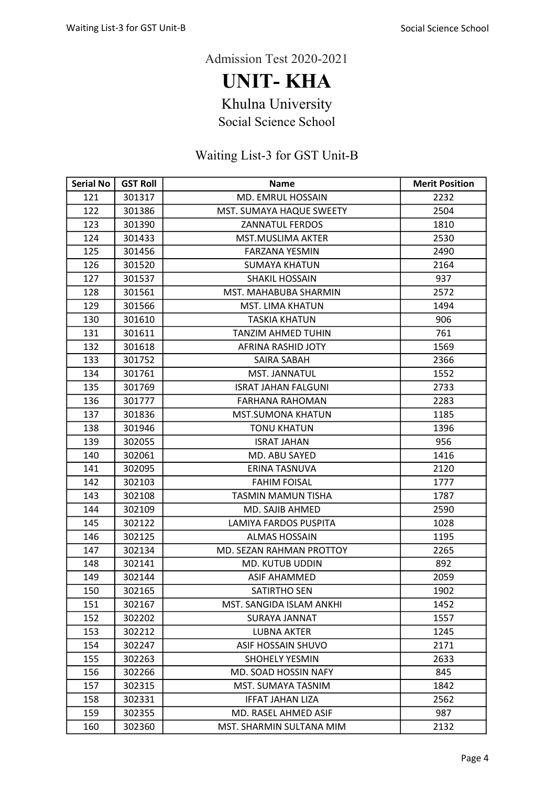UNIT- KHA

Khulna University

Social Science School

| <b>Serial No</b> | <b>GST Roll</b> | <b>Name</b>                | <b>Merit Position</b> |
|------------------|-----------------|----------------------------|-----------------------|
| 121              | 301317          | MD. EMRUL HOSSAIN          | 2232                  |
| 122              | 301386          | MST. SUMAYA HAQUE SWEETY   | 2504                  |
| 123              | 301390          | <b>ZANNATUL FERDOS</b>     | 1810                  |
| 124              | 301433          | <b>MST.MUSLIMA AKTER</b>   | 2530                  |
| 125              | 301456          | <b>FARZANA YESMIN</b>      | 2490                  |
| 126              | 301520          | <b>SUMAYA KHATUN</b>       | 2164                  |
| 127              | 301537          | <b>SHAKIL HOSSAIN</b>      | 937                   |
| 128              | 301561          | MST. MAHABUBA SHARMIN      | 2572                  |
| 129              | 301566          | <b>MST. LIMA KHATUN</b>    | 1494                  |
| 130              | 301610          | <b>TASKIA KHATUN</b>       | 906                   |
| 131              | 301611          | <b>TANZIM AHMED TUHIN</b>  | 761                   |
| 132              | 301618          | AFRINA RASHID JOTY         | 1569                  |
| 133              | 301752          | SAIRA SABAH                | 2366                  |
| 134              | 301761          | MST. JANNATUL              | 1552                  |
| 135              | 301769          | <b>ISRAT JAHAN FALGUNI</b> | 2733                  |
| 136              | 301777          | <b>FARHANA RAHOMAN</b>     | 2283                  |
| 137              | 301836          | <b>MST.SUMONA KHATUN</b>   | 1185                  |
| 138              | 301946          | <b>TONU KHATUN</b>         | 1396                  |
| 139              | 302055          | <b>ISRAT JAHAN</b>         | 956                   |
| 140              | 302061          | MD. ABU SAYED              | 1416                  |
| 141              | 302095          | ERINA TASNUVA              | 2120                  |
| 142              | 302103          | <b>FAHIM FOISAL</b>        | 1777                  |
| 143              | 302108          | TASMIN MAMUN TISHA         | 1787                  |
| 144              | 302109          | MD. SAJIB AHMED            | 2590                  |
| 145              | 302122          | LAMIYA FARDOS PUSPITA      | 1028                  |
| 146              | 302125          | <b>ALMAS HOSSAIN</b>       | 1195                  |
| 147              | 302134          | MD. SEZAN RAHMAN PROTTOY   | 2265                  |
| 148              | 302141          | <b>MD. KUTUB UDDIN</b>     | 892                   |
| 149              | 302144          | <b>ASIF AHAMMED</b>        | 2059                  |
| 150              | 302165          | <b>SATIRTHO SEN</b>        | 1902                  |
| 151              | 302167          | MST. SANGIDA ISLAM ANKHI   | 1452                  |
| 152              | 302202          | SURAYA JANNAT              | 1557                  |
| 153              | 302212          | <b>LUBNA AKTER</b>         | 1245                  |
| 154              | 302247          | <b>ASIF HOSSAIN SHUVO</b>  | 2171                  |
| 155              | 302263          | <b>SHOHELY YESMIN</b>      | 2633                  |
| 156              | 302266          | MD. SOAD HOSSIN NAFY       | 845                   |
| 157              | 302315          | MST. SUMAYA TASNIM         | 1842                  |
| 158              | 302331          | <b>IFFAT JAHAN LIZA</b>    | 2562                  |
| 159              | 302355          | MD. RASEL AHMED ASIF       | 987                   |
| 160              | 302360          | MST. SHARMIN SULTANA MIM   | 2132                  |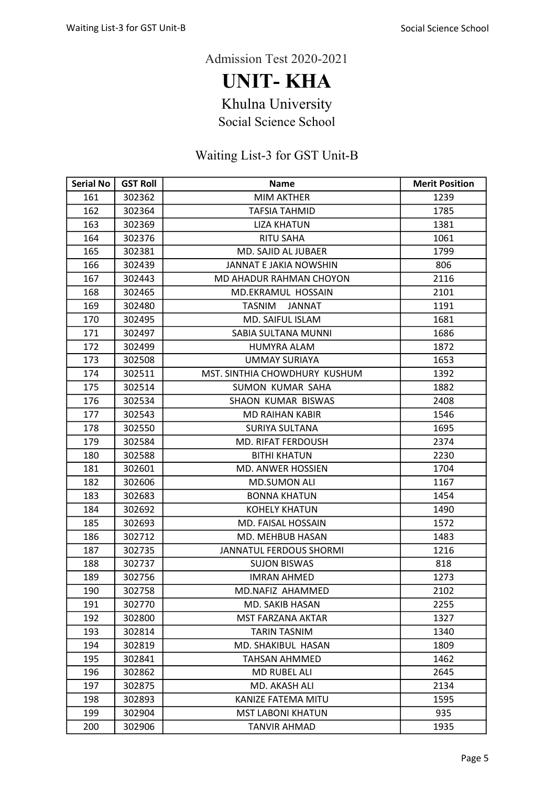UNIT- KHA

Khulna University

Social Science School

| <b>Serial No</b> | <b>GST Roll</b> | <b>Name</b>                    | <b>Merit Position</b> |
|------------------|-----------------|--------------------------------|-----------------------|
| 161              | 302362          | <b>MIM AKTHER</b>              | 1239                  |
| 162              | 302364          | <b>TAFSIA TAHMID</b>           | 1785                  |
| 163              | 302369          | <b>LIZA KHATUN</b>             | 1381                  |
| 164              | 302376          | <b>RITU SAHA</b>               | 1061                  |
| 165              | 302381          | MD. SAJID AL JUBAER            | 1799                  |
| 166              | 302439          | JANNAT E JAKIA NOWSHIN         | 806                   |
| 167              | 302443          | MD AHADUR RAHMAN CHOYON        | 2116                  |
| 168              | 302465          | MD.EKRAMUL HOSSAIN             | 2101                  |
| 169              | 302480          | <b>TASNIM</b><br><b>JANNAT</b> | 1191                  |
| 170              | 302495          | MD. SAIFUL ISLAM               | 1681                  |
| 171              | 302497          | SABIA SULTANA MUNNI            | 1686                  |
| 172              | 302499          | <b>HUMYRA ALAM</b>             | 1872                  |
| 173              | 302508          | <b>UMMAY SURIAYA</b>           | 1653                  |
| 174              | 302511          | MST. SINTHIA CHOWDHURY KUSHUM  | 1392                  |
| 175              | 302514          | SUMON KUMAR SAHA               | 1882                  |
| 176              | 302534          | <b>SHAON KUMAR BISWAS</b>      | 2408                  |
| 177              | 302543          | <b>MD RAIHAN KABIR</b>         | 1546                  |
| 178              | 302550          | <b>SURIYA SULTANA</b>          | 1695                  |
| 179              | 302584          | <b>MD. RIFAT FERDOUSH</b>      | 2374                  |
| 180              | 302588          | <b>BITHI KHATUN</b>            | 2230                  |
| 181              | 302601          | <b>MD. ANWER HOSSIEN</b>       | 1704                  |
| 182              | 302606          | <b>MD.SUMON ALI</b>            | 1167                  |
| 183              | 302683          | <b>BONNA KHATUN</b>            | 1454                  |
| 184              | 302692          | <b>KOHELY KHATUN</b>           | 1490                  |
| 185              | 302693          | MD. FAISAL HOSSAIN             | 1572                  |
| 186              | 302712          | MD. MEHBUB HASAN               | 1483                  |
| 187              | 302735          | <b>JANNATUL FERDOUS SHORMI</b> | 1216                  |
| 188              | 302737          | <b>SUJON BISWAS</b>            | 818                   |
| 189              | 302756          | <b>IMRAN AHMED</b>             | 1273                  |
| 190              | 302758          | MD.NAFIZ AHAMMED               | 2102                  |
| 191              | 302770          | MD. SAKIB HASAN                | 2255                  |
| 192              | 302800          | <b>MST FARZANA AKTAR</b>       | 1327                  |
| 193              | 302814          | <b>TARIN TASNIM</b>            | 1340                  |
| 194              | 302819          | MD. SHAKIBUL HASAN             | 1809                  |
| 195              | 302841          | TAHSAN AHMMED                  | 1462                  |
| 196              | 302862          | MD RUBEL ALI                   | 2645                  |
| 197              | 302875          | MD. AKASH ALI                  | 2134                  |
| 198              | 302893          | KANIZE FATEMA MITU             | 1595                  |
| 199              | 302904          | <b>MST LABONI KHATUN</b>       | 935                   |
| 200              | 302906          | <b>TANVIR AHMAD</b>            | 1935                  |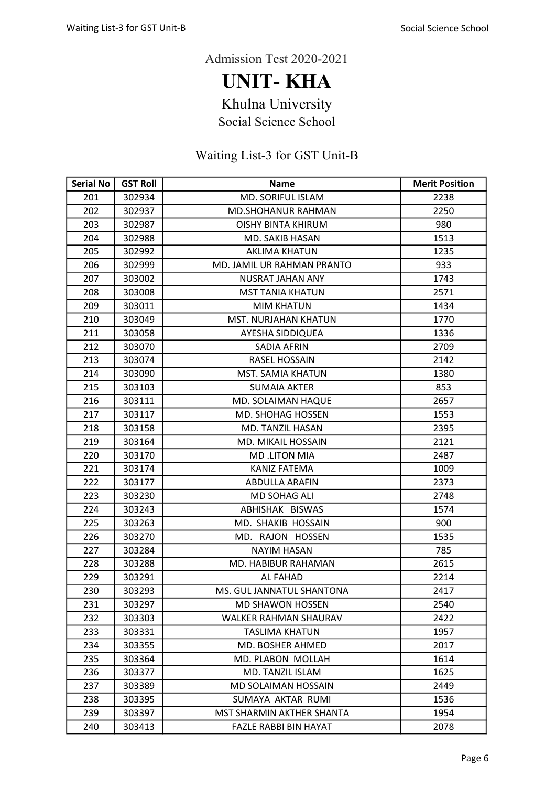UNIT- KHA

Khulna University

Social Science School

| <b>Serial No</b> | <b>GST Roll</b> | <b>Name</b>                  | <b>Merit Position</b> |
|------------------|-----------------|------------------------------|-----------------------|
| 201              | 302934          | MD. SORIFUL ISLAM            | 2238                  |
| 202              | 302937          | <b>MD.SHOHANUR RAHMAN</b>    | 2250                  |
| 203              | 302987          | <b>OISHY BINTA KHIRUM</b>    | 980                   |
| 204              | 302988          | MD. SAKIB HASAN              | 1513                  |
| 205              | 302992          | <b>AKLIMA KHATUN</b>         | 1235                  |
| 206              | 302999          | MD. JAMIL UR RAHMAN PRANTO   | 933                   |
| 207              | 303002          | <b>NUSRAT JAHAN ANY</b>      | 1743                  |
| 208              | 303008          | <b>MST TANIA KHATUN</b>      | 2571                  |
| 209              | 303011          | <b>MIM KHATUN</b>            | 1434                  |
| 210              | 303049          | MST. NURJAHAN KHATUN         | 1770                  |
| 211              | 303058          | AYESHA SIDDIQUEA             | 1336                  |
| 212              | 303070          | SADIA AFRIN                  | 2709                  |
| 213              | 303074          | <b>RASEL HOSSAIN</b>         | 2142                  |
| 214              | 303090          | MST. SAMIA KHATUN            | 1380                  |
| 215              | 303103          | <b>SUMAIA AKTER</b>          | 853                   |
| 216              | 303111          | MD. SOLAIMAN HAQUE           | 2657                  |
| 217              | 303117          | <b>MD. SHOHAG HOSSEN</b>     | 1553                  |
| 218              | 303158          | MD. TANZIL HASAN             | 2395                  |
| 219              | 303164          | <b>MD. MIKAIL HOSSAIN</b>    | 2121                  |
| 220              | 303170          | <b>MD.LITON MIA</b>          | 2487                  |
| 221              | 303174          | <b>KANIZ FATEMA</b>          | 1009                  |
| 222              | 303177          | ABDULLA ARAFIN               | 2373                  |
| 223              | 303230          | MD SOHAG ALI                 | 2748                  |
| 224              | 303243          | ABHISHAK BISWAS              | 1574                  |
| 225              | 303263          | MD. SHAKIB HOSSAIN           | 900                   |
| 226              | 303270          | MD. RAJON HOSSEN             | 1535                  |
| 227              | 303284          | <b>NAYIM HASAN</b>           | 785                   |
| 228              | 303288          | MD. HABIBUR RAHAMAN          | 2615                  |
| 229              | 303291          | <b>AL FAHAD</b>              | 2214                  |
| 230              | 303293          | MS. GUL JANNATUL SHANTONA    | 2417                  |
| 231              | 303297          | <b>MD SHAWON HOSSEN</b>      | 2540                  |
| 232              | 303303          | <b>WALKER RAHMAN SHAURAV</b> | 2422                  |
| 233              | 303331          | TASLIMA KHATUN               | 1957                  |
| 234              | 303355          | MD. BOSHER AHMED             | 2017                  |
| 235              | 303364          | <b>MD. PLABON MOLLAH</b>     | 1614                  |
| 236              | 303377          | MD. TANZIL ISLAM             | 1625                  |
| 237              | 303389          | MD SOLAIMAN HOSSAIN          | 2449                  |
| 238              | 303395          | SUMAYA AKTAR RUMI            | 1536                  |
| 239              | 303397          | MST SHARMIN AKTHER SHANTA    | 1954                  |
| 240              | 303413          | FAZLE RABBI BIN HAYAT        | 2078                  |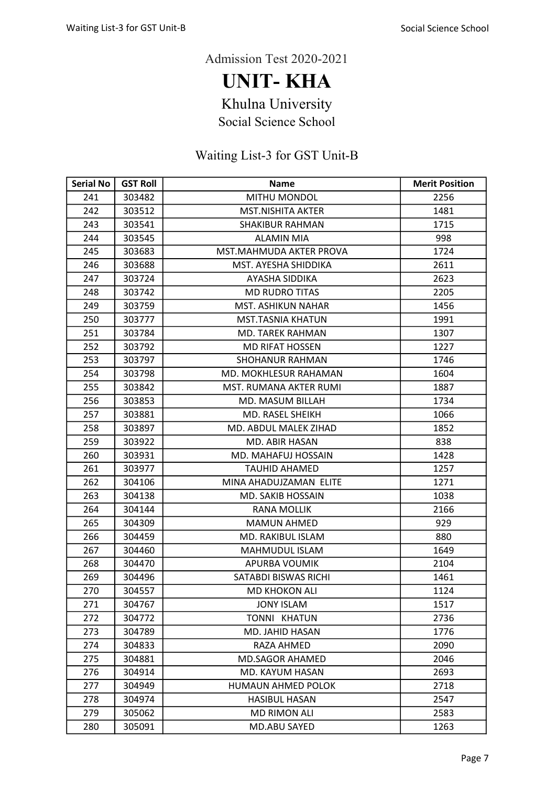UNIT- KHA

Khulna University

Social Science School

| <b>Serial No</b> | <b>GST Roll</b> | <b>Name</b>                  | <b>Merit Position</b> |
|------------------|-----------------|------------------------------|-----------------------|
| 241              | 303482          | MITHU MONDOL                 | 2256                  |
| 242              | 303512          | <b>MST.NISHITA AKTER</b>     | 1481                  |
| 243              | 303541          | <b>SHAKIBUR RAHMAN</b>       | 1715                  |
| 244              | 303545          | <b>ALAMIN MIA</b>            | 998                   |
| 245              | 303683          | MST.MAHMUDA AKTER PROVA      | 1724                  |
| 246              | 303688          | MST. AYESHA SHIDDIKA         | 2611                  |
| 247              | 303724          | <b>AYASHA SIDDIKA</b>        | 2623                  |
| 248              | 303742          | <b>MD RUDRO TITAS</b>        | 2205                  |
| 249              | 303759          | <b>MST. ASHIKUN NAHAR</b>    | 1456                  |
| 250              | 303777          | <b>MST.TASNIA KHATUN</b>     | 1991                  |
| 251              | 303784          | <b>MD. TAREK RAHMAN</b>      | 1307                  |
| 252              | 303792          | <b>MD RIFAT HOSSEN</b>       | 1227                  |
| 253              | 303797          | <b>SHOHANUR RAHMAN</b>       | 1746                  |
| 254              | 303798          | <b>MD. MOKHLESUR RAHAMAN</b> | 1604                  |
| 255              | 303842          | MST. RUMANA AKTER RUMI       | 1887                  |
| 256              | 303853          | MD. MASUM BILLAH             | 1734                  |
| 257              | 303881          | MD. RASEL SHEIKH             | 1066                  |
| 258              | 303897          | MD. ABDUL MALEK ZIHAD        | 1852                  |
| 259              | 303922          | MD. ABIR HASAN               | 838                   |
| 260              | 303931          | MD. MAHAFUJ HOSSAIN          | 1428                  |
| 261              | 303977          | <b>TAUHID AHAMED</b>         | 1257                  |
| 262              | 304106          | MINA AHADUJZAMAN ELITE       | 1271                  |
| 263              | 304138          | <b>MD. SAKIB HOSSAIN</b>     | 1038                  |
| 264              | 304144          | RANA MOLLIK                  | 2166                  |
| 265              | 304309          | <b>MAMUN AHMED</b>           | 929                   |
| 266              | 304459          | MD. RAKIBUL ISLAM            | 880                   |
| 267              | 304460          | <b>MAHMUDUL ISLAM</b>        | 1649                  |
| 268              | 304470          | <b>APURBA VOUMIK</b>         | 2104                  |
| 269              | 304496          | SATABDI BISWAS RICHI         | 1461                  |
| 270              | 304557          | <b>MD KHOKON ALI</b>         | 1124                  |
| 271              | 304767          | <b>JONY ISLAM</b>            | 1517                  |
| 272              | 304772          | TONNI KHATUN                 | 2736                  |
| 273              | 304789          | MD. JAHID HASAN              | 1776                  |
| 274              | 304833          | RAZA AHMED                   | 2090                  |
| 275              | 304881          | <b>MD.SAGOR AHAMED</b>       | 2046                  |
| 276              | 304914          | MD. KAYUM HASAN              | 2693                  |
| 277              | 304949          | HUMAUN AHMED POLOK           | 2718                  |
| 278              | 304974          | <b>HASIBUL HASAN</b>         | 2547                  |
| 279              | 305062          | <b>MD RIMON ALI</b>          | 2583                  |
| 280              | 305091          | MD.ABU SAYED                 | 1263                  |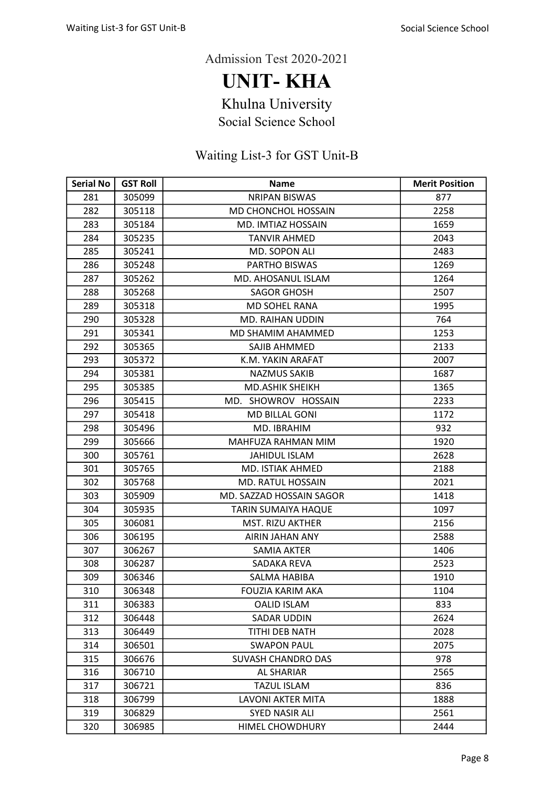UNIT- KHA

Khulna University

Social Science School

| <b>Serial No</b> | <b>GST Roll</b> | <b>Name</b>               | <b>Merit Position</b> |
|------------------|-----------------|---------------------------|-----------------------|
| 281              | 305099          | <b>NRIPAN BISWAS</b>      | 877                   |
| 282              | 305118          | MD CHONCHOL HOSSAIN       | 2258                  |
| 283              | 305184          | MD. IMTIAZ HOSSAIN        | 1659                  |
| 284              | 305235          | <b>TANVIR AHMED</b>       | 2043                  |
| 285              | 305241          | MD. SOPON ALI             | 2483                  |
| 286              | 305248          | PARTHO BISWAS             | 1269                  |
| 287              | 305262          | MD. AHOSANUL ISLAM        | 1264                  |
| 288              | 305268          | <b>SAGOR GHOSH</b>        | 2507                  |
| 289              | 305318          | <b>MD SOHEL RANA</b>      | 1995                  |
| 290              | 305328          | <b>MD. RAIHAN UDDIN</b>   | 764                   |
| 291              | 305341          | MD SHAMIM AHAMMED         | 1253                  |
| 292              | 305365          | SAJIB AHMMED              | 2133                  |
| 293              | 305372          | K.M. YAKIN ARAFAT         | 2007                  |
| 294              | 305381          | <b>NAZMUS SAKIB</b>       | 1687                  |
| 295              | 305385          | <b>MD.ASHIK SHEIKH</b>    | 1365                  |
| 296              | 305415          | MD. SHOWROV HOSSAIN       | 2233                  |
| 297              | 305418          | <b>MD BILLAL GONI</b>     | 1172                  |
| 298              | 305496          | MD. IBRAHIM               | 932                   |
| 299              | 305666          | MAHFUZA RAHMAN MIM        | 1920                  |
| 300              | 305761          | <b>JAHIDUL ISLAM</b>      | 2628                  |
| 301              | 305765          | MD. ISTIAK AHMED          | 2188                  |
| 302              | 305768          | <b>MD. RATUL HOSSAIN</b>  | 2021                  |
| 303              | 305909          | MD. SAZZAD HOSSAIN SAGOR  | 1418                  |
| 304              | 305935          | TARIN SUMAIYA HAQUE       | 1097                  |
| 305              | 306081          | MST. RIZU AKTHER          | 2156                  |
| 306              | 306195          | <b>AIRIN JAHAN ANY</b>    | 2588                  |
| 307              | 306267          | <b>SAMIA AKTER</b>        | 1406                  |
| 308              | 306287          | SADAKA REVA               | 2523                  |
| 309              | 306346          | SALMA HABIBA              | 1910                  |
| 310              | 306348          | FOUZIA KARIM AKA          | 1104                  |
| 311              | 306383          | <b>OALID ISLAM</b>        | 833                   |
| 312              | 306448          | <b>SADAR UDDIN</b>        | 2624                  |
| 313              | 306449          | TITHI DEB NATH            | 2028                  |
| 314              | 306501          | <b>SWAPON PAUL</b>        | 2075                  |
| 315              | 306676          | <b>SUVASH CHANDRO DAS</b> | 978                   |
| 316              | 306710          | AL SHARIAR                | 2565                  |
| 317              | 306721          | <b>TAZUL ISLAM</b>        | 836                   |
| 318              | 306799          | LAVONI AKTER MITA         | 1888                  |
| 319              | 306829          | <b>SYED NASIR ALI</b>     | 2561                  |
| 320              | 306985          | <b>HIMEL CHOWDHURY</b>    | 2444                  |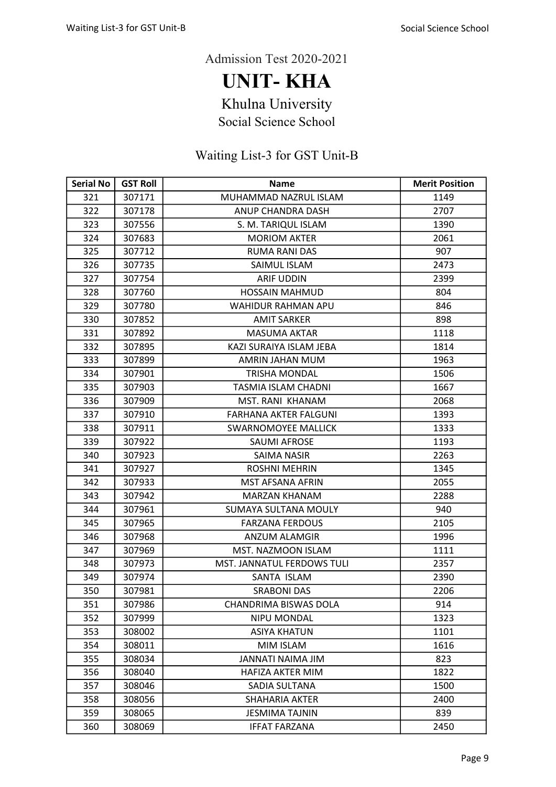UNIT- KHA

Khulna University

Social Science School

| <b>Serial No</b> | <b>GST Roll</b> | <b>Name</b>                       | <b>Merit Position</b> |
|------------------|-----------------|-----------------------------------|-----------------------|
| 321              | 307171          | MUHAMMAD NAZRUL ISLAM             | 1149                  |
| 322              | 307178          | ANUP CHANDRA DASH                 | 2707                  |
| 323              | 307556          | S. M. TARIQUL ISLAM               | 1390                  |
| 324              | 307683          | <b>MORIOM AKTER</b>               | 2061                  |
| 325              | 307712          | <b>RUMA RANI DAS</b>              | 907                   |
| 326              | 307735          | SAIMUL ISLAM                      | 2473                  |
| 327              | 307754          | <b>ARIF UDDIN</b>                 | 2399                  |
| 328              | 307760          | <b>HOSSAIN MAHMUD</b>             | 804                   |
| 329              | 307780          | <b>WAHIDUR RAHMAN APU</b>         | 846                   |
| 330              | 307852          | <b>AMIT SARKER</b>                | 898                   |
| 331              | 307892          | <b>MASUMA AKTAR</b>               | 1118                  |
| 332              | 307895          | KAZI SURAIYA ISLAM JEBA           | 1814                  |
| 333              | 307899          | AMRIN JAHAN MUM                   | 1963                  |
| 334              | 307901          | <b>TRISHA MONDAL</b>              | 1506                  |
| 335              | 307903          | TASMIA ISLAM CHADNI               | 1667                  |
| 336              | 307909          | MST. RANI KHANAM                  | 2068                  |
| 337              | 307910          | <b>FARHANA AKTER FALGUNI</b>      | 1393                  |
| 338              | 307911          | <b>SWARNOMOYEE MALLICK</b>        | 1333                  |
| 339              | 307922          | <b>SAUMI AFROSE</b>               | 1193                  |
| 340              | 307923          | <b>SAIMA NASIR</b>                | 2263                  |
| 341              | 307927          | <b>ROSHNI MEHRIN</b>              | 1345                  |
| 342              | 307933          | MST AFSANA AFRIN                  | 2055                  |
| 343              | 307942          | <b>MARZAN KHANAM</b>              | 2288                  |
| 344              | 307961          | SUMAYA SULTANA MOULY              | 940                   |
| 345              | 307965          | <b>FARZANA FERDOUS</b>            | 2105                  |
| 346              | 307968          | ANZUM ALAMGIR                     | 1996                  |
| 347              | 307969          | <b>MST. NAZMOON ISLAM</b>         | 1111                  |
| 348              | 307973          | <b>MST. JANNATUL FERDOWS TULI</b> | 2357                  |
| 349              | 307974          | SANTA ISLAM                       | 2390                  |
| 350              | 307981          | <b>SRABONI DAS</b>                | 2206                  |
| 351              | 307986          | <b>CHANDRIMA BISWAS DOLA</b>      | 914                   |
| 352              | 307999          | NIPU MONDAL                       | 1323                  |
| 353              | 308002          | <b>ASIYA KHATUN</b>               | 1101                  |
| 354              | 308011          | MIM ISLAM                         | 1616                  |
| 355              | 308034          | <b>MILAMIAN ITANNAL</b>           | 823                   |
| 356              | 308040          | <b>HAFIZA AKTER MIM</b>           | 1822                  |
| 357              | 308046          | SADIA SULTANA                     | 1500                  |
| 358              | 308056          | <b>SHAHARIA AKTER</b>             | 2400                  |
| 359              | 308065          | <b>JESMIMA TAJNIN</b>             | 839                   |
| 360              | 308069          | <b>IFFAT FARZANA</b>              | 2450                  |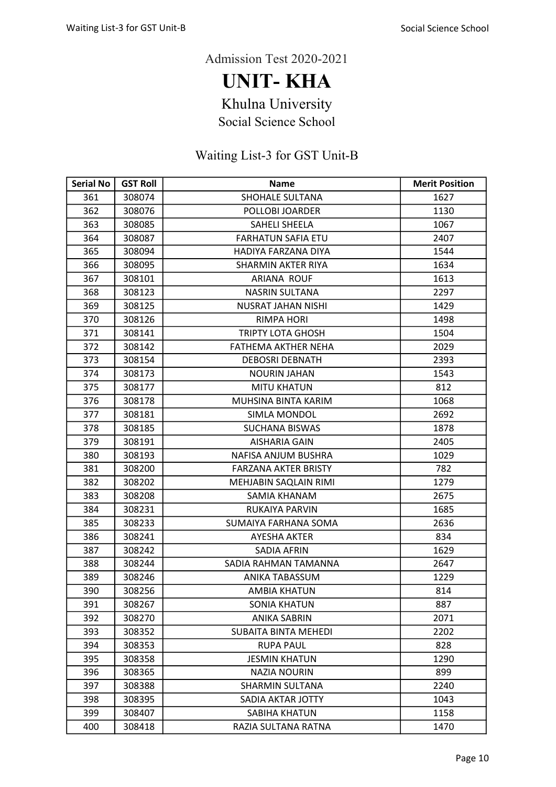UNIT- KHA

Khulna University

Social Science School

| <b>Serial No</b> | <b>GST Roll</b> | <b>Name</b>                 | <b>Merit Position</b> |
|------------------|-----------------|-----------------------------|-----------------------|
| 361              | 308074          | <b>SHOHALE SULTANA</b>      | 1627                  |
| 362              | 308076          | POLLOBI JOARDER             | 1130                  |
| 363              | 308085          | SAHELI SHEELA               | 1067                  |
| 364              | 308087          | <b>FARHATUN SAFIA ETU</b>   | 2407                  |
| 365              | 308094          | HADIYA FARZANA DIYA         | 1544                  |
| 366              | 308095          | SHARMIN AKTER RIYA          | 1634                  |
| 367              | 308101          | <b>ARIANA ROUF</b>          | 1613                  |
| 368              | 308123          | <b>NASRIN SULTANA</b>       | 2297                  |
| 369              | 308125          | <b>NUSRAT JAHAN NISHI</b>   | 1429                  |
| 370              | 308126          | <b>RIMPA HORI</b>           | 1498                  |
| 371              | 308141          | <b>TRIPTY LOTA GHOSH</b>    | 1504                  |
| 372              | 308142          | FATHEMA AKTHER NEHA         | 2029                  |
| 373              | 308154          | <b>DEBOSRI DEBNATH</b>      | 2393                  |
| 374              | 308173          | <b>NOURIN JAHAN</b>         | 1543                  |
| 375              | 308177          | <b>MITU KHATUN</b>          | 812                   |
| 376              | 308178          | MUHSINA BINTA KARIM         | 1068                  |
| 377              | 308181          | SIMLA MONDOL                | 2692                  |
| 378              | 308185          | <b>SUCHANA BISWAS</b>       | 1878                  |
| 379              | 308191          | <b>AISHARIA GAIN</b>        | 2405                  |
| 380              | 308193          | NAFISA ANJUM BUSHRA         | 1029                  |
| 381              | 308200          | <b>FARZANA AKTER BRISTY</b> | 782                   |
| 382              | 308202          | MEHJABIN SAQLAIN RIMI       | 1279                  |
| 383              | 308208          | SAMIA KHANAM                | 2675                  |
| 384              | 308231          | RUKAIYA PARVIN              | 1685                  |
| 385              | 308233          | SUMAIYA FARHANA SOMA        | 2636                  |
| 386              | 308241          | <b>AYESHA AKTER</b>         | 834                   |
| 387              | 308242          | SADIA AFRIN                 | 1629                  |
| 388              | 308244          | SADIA RAHMAN TAMANNA        | 2647                  |
| 389              | 308246          | ANIKA TABASSUM              | 1229                  |
| 390              | 308256          | <b>AMBIA KHATUN</b>         | 814                   |
| 391              | 308267          | <b>SONIA KHATUN</b>         | 887                   |
| 392              | 308270          | <b>ANIKA SABRIN</b>         | 2071                  |
| 393              | 308352          | <b>SUBAITA BINTA MEHEDI</b> | 2202                  |
| 394              | 308353          | <b>RUPA PAUL</b>            | 828                   |
| 395              | 308358          | <b>JESMIN KHATUN</b>        | 1290                  |
| 396              | 308365          | <b>NAZIA NOURIN</b>         | 899                   |
| 397              | 308388          | <b>SHARMIN SULTANA</b>      | 2240                  |
| 398              | 308395          | SADIA AKTAR JOTTY           | 1043                  |
| 399              | 308407          | SABIHA KHATUN               | 1158                  |
| 400              | 308418          | RAZIA SULTANA RATNA         | 1470                  |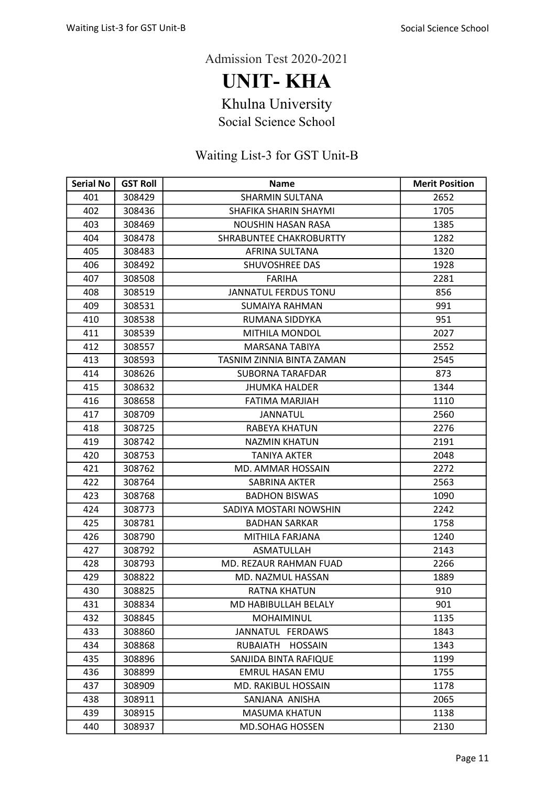UNIT- KHA

Khulna University

Social Science School

| <b>Serial No</b> | <b>GST Roll</b> | <b>Name</b>                 | <b>Merit Position</b> |
|------------------|-----------------|-----------------------------|-----------------------|
| 401              | 308429          | <b>SHARMIN SULTANA</b>      | 2652                  |
| 402              | 308436          | SHAFIKA SHARIN SHAYMI       | 1705                  |
| 403              | 308469          | NOUSHIN HASAN RASA          | 1385                  |
| 404              | 308478          | SHRABUNTEE CHAKROBURTTY     | 1282                  |
| 405              | 308483          | AFRINA SULTANA              | 1320                  |
| 406              | 308492          | SHUVOSHREE DAS              | 1928                  |
| 407              | 308508          | <b>FARIHA</b>               | 2281                  |
| 408              | 308519          | <b>JANNATUL FERDUS TONU</b> | 856                   |
| 409              | 308531          | SUMAIYA RAHMAN              | 991                   |
| 410              | 308538          | RUMANA SIDDYKA              | 951                   |
| 411              | 308539          | <b>MITHILA MONDOL</b>       | 2027                  |
| 412              | 308557          | <b>MARSANA TABIYA</b>       | 2552                  |
| 413              | 308593          | TASNIM ZINNIA BINTA ZAMAN   | 2545                  |
| 414              | 308626          | SUBORNA TARAFDAR            | 873                   |
| 415              | 308632          | <b>JHUMKA HALDER</b>        | 1344                  |
| 416              | 308658          | <b>FATIMA MARJIAH</b>       | 1110                  |
| 417              | 308709          | <b>JANNATUL</b>             | 2560                  |
| 418              | 308725          | RABEYA KHATUN               | 2276                  |
| 419              | 308742          | <b>NAZMIN KHATUN</b>        | 2191                  |
| 420              | 308753          | <b>TANIYA AKTER</b>         | 2048                  |
| 421              | 308762          | MD. AMMAR HOSSAIN           | 2272                  |
| 422              | 308764          | SABRINA AKTER               | 2563                  |
| 423              | 308768          | <b>BADHON BISWAS</b>        | 1090                  |
| 424              | 308773          | SADIYA MOSTARI NOWSHIN      | 2242                  |
| 425              | 308781          | <b>BADHAN SARKAR</b>        | 1758                  |
| 426              | 308790          | MITHILA FARJANA             | 1240                  |
| 427              | 308792          | <b>ASMATULLAH</b>           | 2143                  |
| 428              | 308793          | MD. REZAUR RAHMAN FUAD      | 2266                  |
| 429              | 308822          | MD. NAZMUL HASSAN           | 1889                  |
| 430              | 308825          | <b>RATNA KHATUN</b>         | 910                   |
| 431              | 308834          | MD HABIBULLAH BELALY        | 901                   |
| 432              | 308845          | <b>MOHAIMINUL</b>           | 1135                  |
| 433              | 308860          | JANNATUL FERDAWS            | 1843                  |
| 434              | 308868          | RUBAIATH<br><b>HOSSAIN</b>  | 1343                  |
| 435              | 308896          | SANJIDA BINTA RAFIQUE       | 1199                  |
| 436              | 308899          | <b>EMRUL HASAN EMU</b>      | 1755                  |
| 437              | 308909          | MD. RAKIBUL HOSSAIN         | 1178                  |
| 438              | 308911          | SANJANA ANISHA              | 2065                  |
| 439              | 308915          | <b>MASUMA KHATUN</b>        | 1138                  |
| 440              | 308937          | <b>MD.SOHAG HOSSEN</b>      | 2130                  |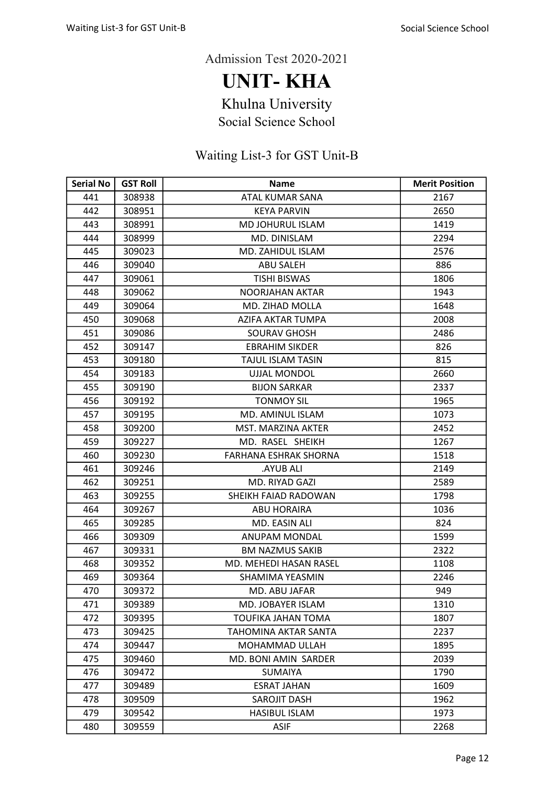UNIT- KHA

Khulna University

Social Science School

| <b>Serial No</b> | <b>GST Roll</b> | <b>Name</b>                  | <b>Merit Position</b> |
|------------------|-----------------|------------------------------|-----------------------|
| 441              | 308938          | ATAL KUMAR SANA              | 2167                  |
| 442              | 308951          | <b>KEYA PARVIN</b>           | 2650                  |
| 443              | 308991          | <b>MD JOHURUL ISLAM</b>      | 1419                  |
| 444              | 308999          | MD. DINISLAM                 | 2294                  |
| 445              | 309023          | MD. ZAHIDUL ISLAM            | 2576                  |
| 446              | 309040          | <b>ABU SALEH</b>             | 886                   |
| 447              | 309061          | <b>TISHI BISWAS</b>          | 1806                  |
| 448              | 309062          | NOORJAHAN AKTAR              | 1943                  |
| 449              | 309064          | <b>MD. ZIHAD MOLLA</b>       | 1648                  |
| 450              | 309068          | AZIFA AKTAR TUMPA            | 2008                  |
| 451              | 309086          | <b>SOURAV GHOSH</b>          | 2486                  |
| 452              | 309147          | <b>EBRAHIM SIKDER</b>        | 826                   |
| 453              | 309180          | <b>TAJUL ISLAM TASIN</b>     | 815                   |
| 454              | 309183          | <b>UJJAL MONDOL</b>          | 2660                  |
| 455              | 309190          | <b>BIJON SARKAR</b>          | 2337                  |
| 456              | 309192          | <b>TONMOY SIL</b>            | 1965                  |
| 457              | 309195          | MD. AMINUL ISLAM             | 1073                  |
| 458              | 309200          | <b>MST. MARZINA AKTER</b>    | 2452                  |
| 459              | 309227          | MD. RASEL SHEIKH             | 1267                  |
| 460              | 309230          | <b>FARHANA ESHRAK SHORNA</b> | 1518                  |
| 461              | 309246          | <b>AYUB ALI</b>              | 2149                  |
| 462              | 309251          | MD. RIYAD GAZI               | 2589                  |
| 463              | 309255          | SHEIKH FAIAD RADOWAN         | 1798                  |
| 464              | 309267          | <b>ABU HORAIRA</b>           | 1036                  |
| 465              | 309285          | MD. EASIN ALI                | 824                   |
| 466              | 309309          | <b>ANUPAM MONDAL</b>         | 1599                  |
| 467              | 309331          | <b>BM NAZMUS SAKIB</b>       | 2322                  |
| 468              | 309352          | MD. MEHEDI HASAN RASEL       | 1108                  |
| 469              | 309364          | SHAMIMA YEASMIN              | 2246                  |
| 470              | 309372          | MD. ABU JAFAR                | 949                   |
| 471              | 309389          | MD. JOBAYER ISLAM            | 1310                  |
| 472              | 309395          | <b>TOUFIKA JAHAN TOMA</b>    | 1807                  |
| 473              | 309425          | TAHOMINA AKTAR SANTA         | 2237                  |
| 474              | 309447          | MOHAMMAD ULLAH               | 1895                  |
| 475              | 309460          | <b>MD. BONI AMIN SARDER</b>  | 2039                  |
| 476              | 309472          | <b>SUMAIYA</b>               | 1790                  |
| 477              | 309489          | <b>ESRAT JAHAN</b>           | 1609                  |
| 478              | 309509          | <b>SAROJIT DASH</b>          | 1962                  |
| 479              | 309542          | <b>HASIBUL ISLAM</b>         | 1973                  |
| 480              | 309559          | <b>ASIF</b>                  | 2268                  |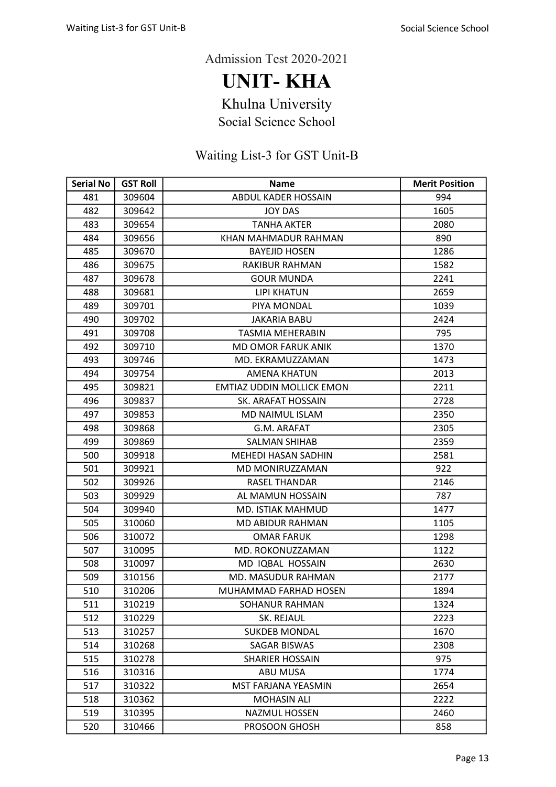UNIT- KHA

Khulna University

Social Science School

| <b>Serial No</b> | <b>GST Roll</b> | <b>Name</b>                      | <b>Merit Position</b> |
|------------------|-----------------|----------------------------------|-----------------------|
| 481              | 309604          | ABDUL KADER HOSSAIN              | 994                   |
| 482              | 309642          | <b>JOY DAS</b>                   | 1605                  |
| 483              | 309654          | <b>TANHA AKTER</b>               | 2080                  |
| 484              | 309656          | KHAN MAHMADUR RAHMAN             | 890                   |
| 485              | 309670          | <b>BAYEJID HOSEN</b>             | 1286                  |
| 486              | 309675          | RAKIBUR RAHMAN                   | 1582                  |
| 487              | 309678          | <b>GOUR MUNDA</b>                | 2241                  |
| 488              | 309681          | <b>LIPI KHATUN</b>               | 2659                  |
| 489              | 309701          | PIYA MONDAL                      | 1039                  |
| 490              | 309702          | <b>JAKARIA BABU</b>              | 2424                  |
| 491              | 309708          | <b>TASMIA MEHERABIN</b>          | 795                   |
| 492              | 309710          | <b>MD OMOR FARUK ANIK</b>        | 1370                  |
| 493              | 309746          | MD. EKRAMUZZAMAN                 | 1473                  |
| 494              | 309754          | <b>AMENA KHATUN</b>              | 2013                  |
| 495              | 309821          | <b>EMTIAZ UDDIN MOLLICK EMON</b> | 2211                  |
| 496              | 309837          | SK. ARAFAT HOSSAIN               | 2728                  |
| 497              | 309853          | MD NAIMUL ISLAM                  | 2350                  |
| 498              | 309868          | G.M. ARAFAT                      | 2305                  |
| 499              | 309869          | <b>SALMAN SHIHAB</b>             | 2359                  |
| 500              | 309918          | MEHEDI HASAN SADHIN              | 2581                  |
| 501              | 309921          | MD MONIRUZZAMAN                  | 922                   |
| 502              | 309926          | <b>RASEL THANDAR</b>             | 2146                  |
| 503              | 309929          | AL MAMUN HOSSAIN                 | 787                   |
| 504              | 309940          | <b>MD. ISTIAK MAHMUD</b>         | 1477                  |
| 505              | 310060          | <b>MD ABIDUR RAHMAN</b>          | 1105                  |
| 506              | 310072          | <b>OMAR FARUK</b>                | 1298                  |
| 507              | 310095          | MD. ROKONUZZAMAN                 | 1122                  |
| 508              | 310097          | MD IQBAL HOSSAIN                 | 2630                  |
| 509              | 310156          | MD. MASUDUR RAHMAN               | 2177                  |
| 510              | 310206          | MUHAMMAD FARHAD HOSEN            | 1894                  |
| 511              | 310219          | SOHANUR RAHMAN                   | 1324                  |
| 512              | 310229          | SK. REJAUL                       | 2223                  |
| 513              | 310257          | <b>SUKDEB MONDAL</b>             | 1670                  |
| 514              | 310268          | <b>SAGAR BISWAS</b>              | 2308                  |
| 515              | 310278          | <b>SHARIER HOSSAIN</b>           | 975                   |
| 516              | 310316          | ABU MUSA                         | 1774                  |
| 517              | 310322          | MST FARJANA YEASMIN              | 2654                  |
| 518              | 310362          | <b>MOHASIN ALI</b>               | 2222                  |
| 519              | 310395          | <b>NAZMUL HOSSEN</b>             | 2460                  |
| 520              | 310466          | PROSOON GHOSH                    | 858                   |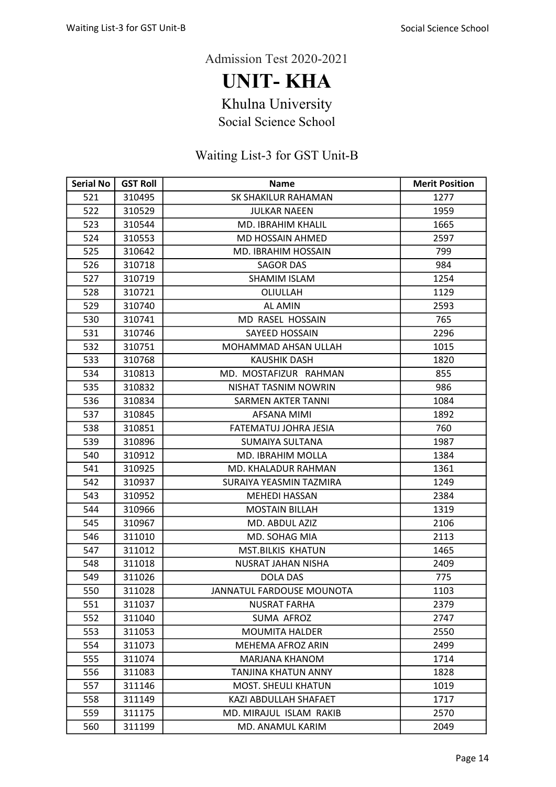UNIT- KHA

Khulna University

Social Science School

| <b>Serial No</b> | <b>GST Roll</b> | <b>Name</b>                  | <b>Merit Position</b> |
|------------------|-----------------|------------------------------|-----------------------|
| 521              | 310495          | SK SHAKILUR RAHAMAN          | 1277                  |
| 522              | 310529          | <b>JULKAR NAEEN</b>          | 1959                  |
| 523              | 310544          | MD. IBRAHIM KHALIL           | 1665                  |
| 524              | 310553          | <b>MD HOSSAIN AHMED</b>      | 2597                  |
| 525              | 310642          | MD. IBRAHIM HOSSAIN          | 799                   |
| 526              | 310718          | <b>SAGOR DAS</b>             | 984                   |
| 527              | 310719          | <b>SHAMIM ISLAM</b>          | 1254                  |
| 528              | 310721          | OLIULLAH                     | 1129                  |
| 529              | 310740          | <b>AL AMIN</b>               | 2593                  |
| 530              | 310741          | MD RASEL HOSSAIN             | 765                   |
| 531              | 310746          | SAYEED HOSSAIN               | 2296                  |
| 532              | 310751          | MOHAMMAD AHSAN ULLAH         | 1015                  |
| 533              | 310768          | <b>KAUSHIK DASH</b>          | 1820                  |
| 534              | 310813          | MD. MOSTAFIZUR RAHMAN        | 855                   |
| 535              | 310832          | NISHAT TASNIM NOWRIN         | 986                   |
| 536              | 310834          | <b>SARMEN AKTER TANNI</b>    | 1084                  |
| 537              | 310845          | AFSANA MIMI                  | 1892                  |
| 538              | 310851          | <b>FATEMATUJ JOHRA JESIA</b> | 760                   |
| 539              | 310896          | SUMAIYA SULTANA              | 1987                  |
| 540              | 310912          | <b>MD. IBRAHIM MOLLA</b>     | 1384                  |
| 541              | 310925          | MD. KHALADUR RAHMAN          | 1361                  |
| 542              | 310937          | SURAIYA YEASMIN TAZMIRA      | 1249                  |
| 543              | 310952          | <b>MEHEDI HASSAN</b>         | 2384                  |
| 544              | 310966          | <b>MOSTAIN BILLAH</b>        | 1319                  |
| 545              | 310967          | MD. ABDUL AZIZ               | 2106                  |
| 546              | 311010          | MD. SOHAG MIA                | 2113                  |
| 547              | 311012          | <b>MST.BILKIS KHATUN</b>     | 1465                  |
| 548              | 311018          | <b>NUSRAT JAHAN NISHA</b>    | 2409                  |
| 549              | 311026          | <b>DOLA DAS</b>              | 775                   |
| 550              | 311028          | JANNATUL FARDOUSE MOUNOTA    | 1103                  |
| 551              | 311037          | <b>NUSRAT FARHA</b>          | 2379                  |
| 552              | 311040          | SUMA AFROZ                   | 2747                  |
| 553              | 311053          | <b>MOUMITA HALDER</b>        | 2550                  |
| 554              | 311073          | <b>MEHEMA AFROZ ARIN</b>     | 2499                  |
| 555              | 311074          | MARJANA KHANOM               | 1714                  |
| 556              | 311083          | TANJINA KHATUN ANNY          | 1828                  |
| 557              | 311146          | MOST. SHEULI KHATUN          | 1019                  |
| 558              | 311149          | KAZI ABDULLAH SHAFAET        | 1717                  |
| 559              | 311175          | MD. MIRAJUL ISLAM RAKIB      | 2570                  |
| 560              | 311199          | MD. ANAMUL KARIM             | 2049                  |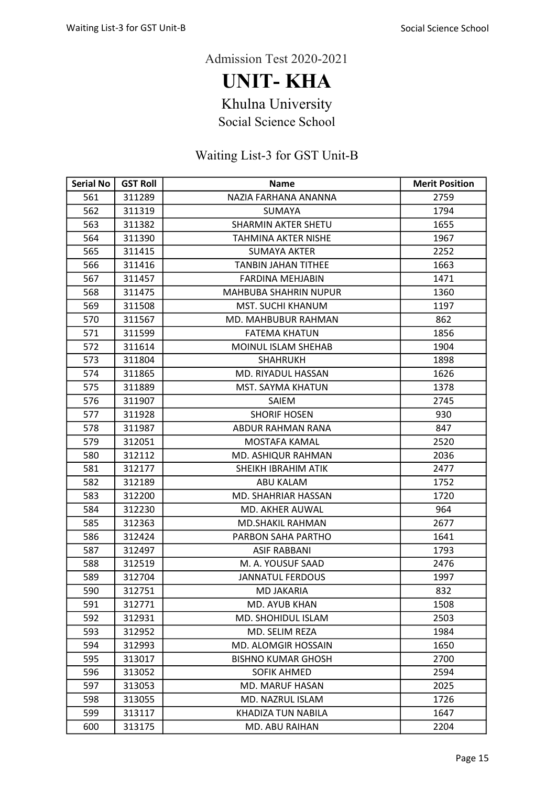UNIT- KHA

Khulna University

Social Science School

| <b>Serial No</b> | <b>GST Roll</b> | <b>Name</b>                  | <b>Merit Position</b> |
|------------------|-----------------|------------------------------|-----------------------|
| 561              | 311289          | NAZIA FARHANA ANANNA         | 2759                  |
| 562              | 311319          | <b>SUMAYA</b>                | 1794                  |
| 563              | 311382          | <b>SHARMIN AKTER SHETU</b>   | 1655                  |
| 564              | 311390          | <b>TAHMINA AKTER NISHE</b>   | 1967                  |
| 565              | 311415          | <b>SUMAYA AKTER</b>          | 2252                  |
| 566              | 311416          | <b>TANBIN JAHAN TITHEE</b>   | 1663                  |
| 567              | 311457          | <b>FARDINA MEHJABIN</b>      | 1471                  |
| 568              | 311475          | <b>MAHBUBA SHAHRIN NUPUR</b> | 1360                  |
| 569              | 311508          | <b>MST. SUCHI KHANUM</b>     | 1197                  |
| 570              | 311567          | MD. MAHBUBUR RAHMAN          | 862                   |
| 571              | 311599          | <b>FATEMA KHATUN</b>         | 1856                  |
| 572              | 311614          | MOINUL ISLAM SHEHAB          | 1904                  |
| 573              | 311804          | <b>SHAHRUKH</b>              | 1898                  |
| 574              | 311865          | MD. RIYADUL HASSAN           | 1626                  |
| 575              | 311889          | MST. SAYMA KHATUN            | 1378                  |
| 576              | 311907          | SAIEM                        | 2745                  |
| 577              | 311928          | <b>SHORIF HOSEN</b>          | 930                   |
| 578              | 311987          | ABDUR RAHMAN RANA            | 847                   |
| 579              | 312051          | MOSTAFA KAMAL                | 2520                  |
| 580              | 312112          | MD. ASHIQUR RAHMAN           | 2036                  |
| 581              | 312177          | SHEIKH IBRAHIM ATIK          | 2477                  |
| 582              | 312189          | ABU KALAM                    | 1752                  |
| 583              | 312200          | MD. SHAHRIAR HASSAN          | 1720                  |
| 584              | 312230          | MD. AKHER AUWAL              | 964                   |
| 585              | 312363          | <b>MD.SHAKIL RAHMAN</b>      | 2677                  |
| 586              | 312424          | PARBON SAHA PARTHO           | 1641                  |
| 587              | 312497          | <b>ASIF RABBANI</b>          | 1793                  |
| 588              | 312519          | M. A. YOUSUF SAAD            | 2476                  |
| 589              | 312704          | <b>JANNATUL FERDOUS</b>      | 1997                  |
| 590              | 312751          | <b>MD JAKARIA</b>            | 832                   |
| 591              | 312771          | MD. AYUB KHAN                | 1508                  |
| 592              | 312931          | MD. SHOHIDUL ISLAM           | 2503                  |
| 593              | 312952          | MD. SELIM REZA               | 1984                  |
| 594              | 312993          | MD. ALOMGIR HOSSAIN          | 1650                  |
| 595              | 313017          | <b>BISHNO KUMAR GHOSH</b>    | 2700                  |
| 596              | 313052          | <b>SOFIK AHMED</b>           | 2594                  |
| 597              | 313053          | MD. MARUF HASAN              | 2025                  |
| 598              | 313055          | <b>MD. NAZRUL ISLAM</b>      | 1726                  |
| 599              | 313117          | KHADIZA TUN NABILA           | 1647                  |
| 600              | 313175          | MD. ABU RAIHAN               | 2204                  |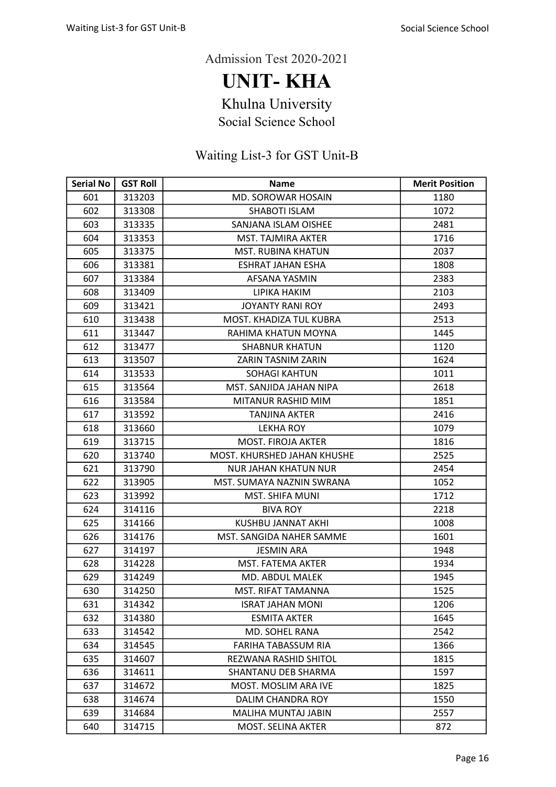UNIT- KHA

Khulna University

Social Science School

| <b>Serial No</b> | <b>GST Roll</b> | <b>Name</b>                  | <b>Merit Position</b> |
|------------------|-----------------|------------------------------|-----------------------|
| 601              | 313203          | MD. SOROWAR HOSAIN           | 1180                  |
| 602              | 313308          | <b>SHABOTI ISLAM</b>         | 1072                  |
| 603              | 313335          | SANJANA ISLAM OISHEE         | 2481                  |
| 604              | 313353          | MST. TAJMIRA AKTER           | 1716                  |
| 605              | 313375          | <b>MST. RUBINA KHATUN</b>    | 2037                  |
| 606              | 313381          | <b>ESHRAT JAHAN ESHA</b>     | 1808                  |
| 607              | 313384          | AFSANA YASMIN                | 2383                  |
| 608              | 313409          | LIPIKA HAKIM                 | 2103                  |
| 609              | 313421          | <b>JOYANTY RANI ROY</b>      | 2493                  |
| 610              | 313438          | MOST. KHADIZA TUL KUBRA      | 2513                  |
| 611              | 313447          | RAHIMA KHATUN MOYNA          | 1445                  |
| 612              | 313477          | <b>SHABNUR KHATUN</b>        | 1120                  |
| 613              | 313507          | ZARIN TASNIM ZARIN           | 1624                  |
| 614              | 313533          | <b>SOHAGI KAHTUN</b>         | 1011                  |
| 615              | 313564          | MST. SANJIDA JAHAN NIPA      | 2618                  |
| 616              | 313584          | MITANUR RASHID MIM           | 1851                  |
| 617              | 313592          | <b>TANJINA AKTER</b>         | 2416                  |
| 618              | 313660          | <b>LEKHA ROY</b>             | 1079                  |
| 619              | 313715          | <b>MOST. FIROJA AKTER</b>    | 1816                  |
| 620              | 313740          | MOST. KHURSHED JAHAN KHUSHE  | 2525                  |
| 621              | 313790          | <b>NUR JAHAN KHATUN NUR</b>  | 2454                  |
| 622              | 313905          | MST. SUMAYA NAZNIN SWRANA    | 1052                  |
| 623              | 313992          | <b>MST. SHIFA MUNI</b>       | 1712                  |
| 624              | 314116          | <b>BIVA ROY</b>              | 2218                  |
| 625              | 314166          | KUSHBU JANNAT AKHI           | 1008                  |
| 626              | 314176          | MST. SANGIDA NAHER SAMME     | 1601                  |
| 627              | 314197          | <b>JESMIN ARA</b>            | 1948                  |
| 628              | 314228          | MST. FATEMA AKTER            | 1934                  |
| 629              | 314249          | MD. ABDUL MALEK              | 1945                  |
| 630              | 314250          | MST. RIFAT TAMANNA           | 1525                  |
| 631              | 314342          | <b>ISRAT JAHAN MONI</b>      | 1206                  |
| 632              | 314380          | <b>ESMITA AKTER</b>          | 1645                  |
| 633              | 314542          | MD. SOHEL RANA               | 2542                  |
| 634              | 314545          | FARIHA TABASSUM RIA          | 1366                  |
| 635              | 314607          | <b>REZWANA RASHID SHITOL</b> | 1815                  |
| 636              | 314611          | SHANTANU DEB SHARMA          | 1597                  |
| 637              | 314672          | MOST. MOSLIM ARA IVE         | 1825                  |
| 638              | 314674          | <b>DALIM CHANDRA ROY</b>     | 1550                  |
| 639              | 314684          | <b>MALIHA MUNTAJ JABIN</b>   | 2557                  |
| 640              | 314715          | MOST. SELINA AKTER           | 872                   |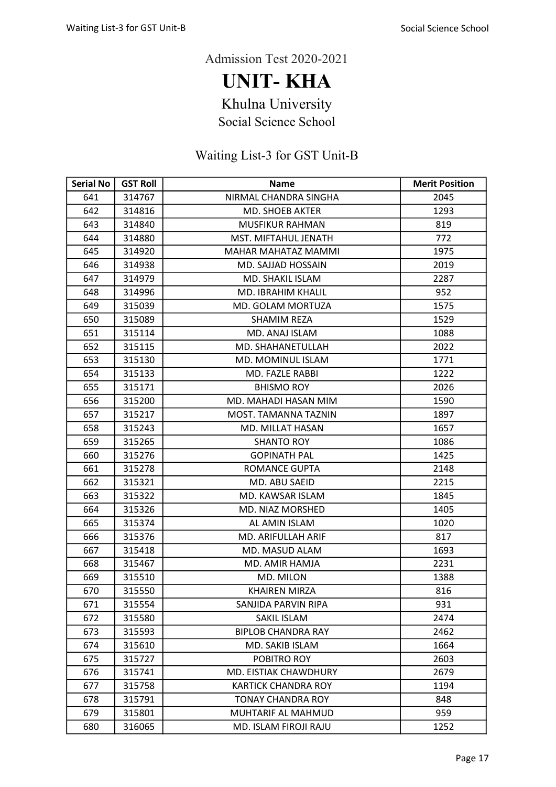UNIT- KHA

Khulna University

Social Science School

| <b>Serial No</b> | <b>GST Roll</b> | <b>Name</b>                | <b>Merit Position</b> |
|------------------|-----------------|----------------------------|-----------------------|
| 641              | 314767          | NIRMAL CHANDRA SINGHA      | 2045                  |
| 642              | 314816          | <b>MD. SHOEB AKTER</b>     | 1293                  |
| 643              | 314840          | <b>MUSFIKUR RAHMAN</b>     | 819                   |
| 644              | 314880          | MST. MIFTAHUL JENATH       | 772                   |
| 645              | 314920          | MAHAR MAHATAZ MAMMI        | 1975                  |
| 646              | 314938          | MD. SAJJAD HOSSAIN         | 2019                  |
| 647              | 314979          | MD. SHAKIL ISLAM           | 2287                  |
| 648              | 314996          | MD. IBRAHIM KHALIL         | 952                   |
| 649              | 315039          | MD. GOLAM MORTUZA          | 1575                  |
| 650              | 315089          | <b>SHAMIM REZA</b>         | 1529                  |
| 651              | 315114          | MD. ANAJ ISLAM             | 1088                  |
| 652              | 315115          | MD. SHAHANETULLAH          | 2022                  |
| 653              | 315130          | MD. MOMINUL ISLAM          | 1771                  |
| 654              | 315133          | MD. FAZLE RABBI            | 1222                  |
| 655              | 315171          | <b>BHISMO ROY</b>          | 2026                  |
| 656              | 315200          | MD. MAHADI HASAN MIM       | 1590                  |
| 657              | 315217          | MOST. TAMANNA TAZNIN       | 1897                  |
| 658              | 315243          | MD. MILLAT HASAN           | 1657                  |
| 659              | 315265          | <b>SHANTO ROY</b>          | 1086                  |
| 660              | 315276          | <b>GOPINATH PAL</b>        | 1425                  |
| 661              | 315278          | <b>ROMANCE GUPTA</b>       | 2148                  |
| 662              | 315321          | MD. ABU SAEID              | 2215                  |
| 663              | 315322          | MD. KAWSAR ISLAM           | 1845                  |
| 664              | 315326          | MD. NIAZ MORSHED           | 1405                  |
| 665              | 315374          | AL AMIN ISLAM              | 1020                  |
| 666              | 315376          | MD. ARIFULLAH ARIF         | 817                   |
| 667              | 315418          | <b>MD. MASUD ALAM</b>      | 1693                  |
| 668              | 315467          | MD. AMIR HAMJA             | 2231                  |
| 669              | 315510          | MD. MILON                  | 1388                  |
| 670              | 315550          | <b>KHAIREN MIRZA</b>       | 816                   |
| 671              | 315554          | SANJIDA PARVIN RIPA        | 931                   |
| 672              | 315580          | SAKIL ISLAM                | 2474                  |
| 673              | 315593          | <b>BIPLOB CHANDRA RAY</b>  | 2462                  |
| 674              | 315610          | MD. SAKIB ISLAM            | 1664                  |
| 675              | 315727          | POBITRO ROY                | 2603                  |
| 676              | 315741          | MD. EISTIAK CHAWDHURY      | 2679                  |
| 677              | 315758          | <b>KARTICK CHANDRA ROY</b> | 1194                  |
| 678              | 315791          | <b>TONAY CHANDRA ROY</b>   | 848                   |
| 679              | 315801          | MUHTARIF AL MAHMUD         | 959                   |
| 680              | 316065          | MD. ISLAM FIROJI RAJU      | 1252                  |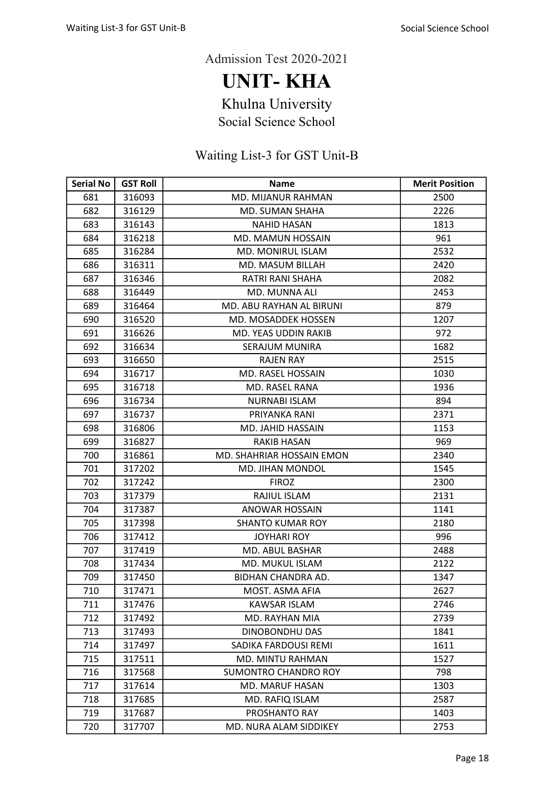UNIT- KHA

Khulna University

Social Science School

| <b>Serial No</b> | <b>GST Roll</b> | <b>Name</b>                 | <b>Merit Position</b> |
|------------------|-----------------|-----------------------------|-----------------------|
| 681              | 316093          | MD. MIJANUR RAHMAN          | 2500                  |
| 682              | 316129          | <b>MD. SUMAN SHAHA</b>      | 2226                  |
| 683              | 316143          | <b>NAHID HASAN</b>          | 1813                  |
| 684              | 316218          | <b>MD. MAMUN HOSSAIN</b>    | 961                   |
| 685              | 316284          | <b>MD. MONIRUL ISLAM</b>    | 2532                  |
| 686              | 316311          | MD. MASUM BILLAH            | 2420                  |
| 687              | 316346          | RATRI RANI SHAHA            | 2082                  |
| 688              | 316449          | MD. MUNNA ALI               | 2453                  |
| 689              | 316464          | MD. ABU RAYHAN AL BIRUNI    | 879                   |
| 690              | 316520          | MD. MOSADDEK HOSSEN         | 1207                  |
| 691              | 316626          | MD. YEAS UDDIN RAKIB        | 972                   |
| 692              | 316634          | SERAJUM MUNIRA              | 1682                  |
| 693              | 316650          | <b>RAJEN RAY</b>            | 2515                  |
| 694              | 316717          | <b>MD. RASEL HOSSAIN</b>    | 1030                  |
| 695              | 316718          | <b>MD. RASEL RANA</b>       | 1936                  |
| 696              | 316734          | <b>NURNABI ISLAM</b>        | 894                   |
| 697              | 316737          | PRIYANKA RANI               | 2371                  |
| 698              | 316806          | <b>MD. JAHID HASSAIN</b>    | 1153                  |
| 699              | 316827          | RAKIB HASAN                 | 969                   |
| 700              | 316861          | MD. SHAHRIAR HOSSAIN EMON   | 2340                  |
| 701              | 317202          | <b>MD. JIHAN MONDOL</b>     | 1545                  |
| 702              | 317242          | <b>FIROZ</b>                | 2300                  |
| 703              | 317379          | RAJIUL ISLAM                | 2131                  |
| 704              | 317387          | <b>ANOWAR HOSSAIN</b>       | 1141                  |
| 705              | 317398          | <b>SHANTO KUMAR ROY</b>     | 2180                  |
| 706              | 317412          | <b>JOYHARI ROY</b>          | 996                   |
| 707              | 317419          | MD. ABUL BASHAR             | 2488                  |
| 708              | 317434          | MD. MUKUL ISLAM             | 2122                  |
| 709              | 317450          | BIDHAN CHANDRA AD.          | 1347                  |
| 710              | 317471          | MOST. ASMA AFIA             | 2627                  |
| 711              | 317476          | <b>KAWSAR ISLAM</b>         | 2746                  |
| 712              | 317492          | MD. RAYHAN MIA              | 2739                  |
| 713              | 317493          | DINOBONDHU DAS              | 1841                  |
| 714              | 317497          | SADIKA FARDOUSI REMI        | 1611                  |
| 715              | 317511          | MD. MINTU RAHMAN            | 1527                  |
| 716              | 317568          | <b>SUMONTRO CHANDRO ROY</b> | 798                   |
| 717              | 317614          | MD. MARUF HASAN             | 1303                  |
| 718              | 317685          | MD. RAFIQ ISLAM             | 2587                  |
| 719              | 317687          | PROSHANTO RAY               | 1403                  |
| 720              | 317707          | MD. NURA ALAM SIDDIKEY      | 2753                  |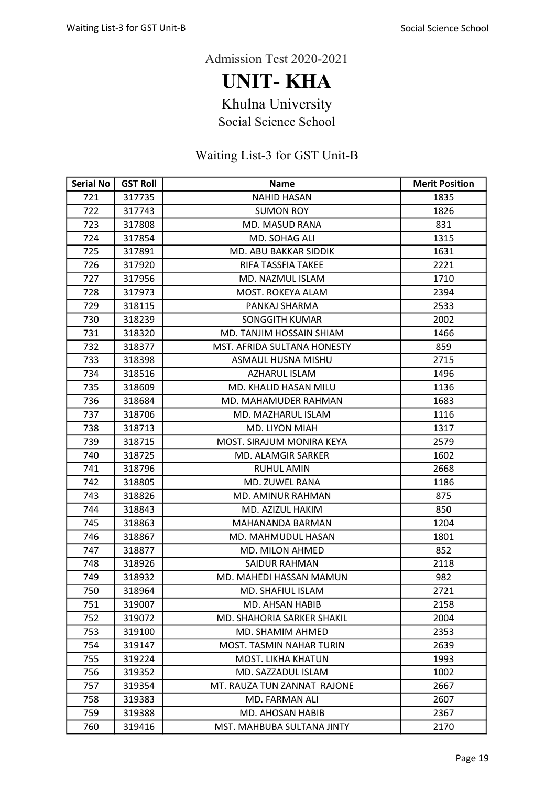UNIT- KHA

Khulna University

Social Science School

| <b>Serial No</b> | <b>GST Roll</b> | <b>Name</b>                  | <b>Merit Position</b> |
|------------------|-----------------|------------------------------|-----------------------|
| 721              | 317735          | <b>NAHID HASAN</b>           | 1835                  |
| 722              | 317743          | <b>SUMON ROY</b>             | 1826                  |
| 723              | 317808          | <b>MD. MASUD RANA</b>        | 831                   |
| 724              | 317854          | MD. SOHAG ALI                | 1315                  |
| 725              | 317891          | MD. ABU BAKKAR SIDDIK        | 1631                  |
| 726              | 317920          | RIFA TASSFIA TAKEE           | 2221                  |
| 727              | 317956          | MD. NAZMUL ISLAM             | 1710                  |
| 728              | 317973          | <b>MOST. ROKEYA ALAM</b>     | 2394                  |
| 729              | 318115          | PANKAJ SHARMA                | 2533                  |
| 730              | 318239          | <b>SONGGITH KUMAR</b>        | 2002                  |
| 731              | 318320          | MD. TANJIM HOSSAIN SHIAM     | 1466                  |
| 732              | 318377          | MST. AFRIDA SULTANA HONESTY  | 859                   |
| 733              | 318398          | ASMAUL HUSNA MISHU           | 2715                  |
| 734              | 318516          | <b>AZHARUL ISLAM</b>         | 1496                  |
| 735              | 318609          | <b>MD. KHALID HASAN MILU</b> | 1136                  |
| 736              | 318684          | MD. MAHAMUDER RAHMAN         | 1683                  |
| 737              | 318706          | MD. MAZHARUL ISLAM           | 1116                  |
| 738              | 318713          | MD. LIYON MIAH               | 1317                  |
| 739              | 318715          | MOST. SIRAJUM MONIRA KEYA    | 2579                  |
| 740              | 318725          | MD. ALAMGIR SARKER           | 1602                  |
| 741              | 318796          | <b>RUHUL AMIN</b>            | 2668                  |
| 742              | 318805          | MD. ZUWEL RANA               | 1186                  |
| 743              | 318826          | MD. AMINUR RAHMAN            | 875                   |
| 744              | 318843          | MD. AZIZUL HAKIM             | 850                   |
| 745              | 318863          | MAHANANDA BARMAN             | 1204                  |
| 746              | 318867          | MD. MAHMUDUL HASAN           | 1801                  |
| 747              | 318877          | MD. MILON AHMED              | 852                   |
| 748              | 318926          | <b>SAIDUR RAHMAN</b>         | 2118                  |
| 749              | 318932          | MD. MAHEDI HASSAN MAMUN      | 982                   |
| 750              | 318964          | MD. SHAFIUL ISLAM            | 2721                  |
| 751              | 319007          | MD. AHSAN HABIB              | 2158                  |
| 752              | 319072          | MD. SHAHORIA SARKER SHAKIL   | 2004                  |
| 753              | 319100          | MD. SHAMIM AHMED             | 2353                  |
| 754              | 319147          | MOST. TASMIN NAHAR TURIN     | 2639                  |
| 755              | 319224          | <b>MOST. LIKHA KHATUN</b>    | 1993                  |
| 756              | 319352          | MD. SAZZADUL ISLAM           | 1002                  |
| 757              | 319354          | MT. RAUZA TUN ZANNAT RAJONE  | 2667                  |
| 758              | 319383          | MD. FARMAN ALI               | 2607                  |
| 759              | 319388          | MD. AHOSAN HABIB             | 2367                  |
| 760              | 319416          | MST. MAHBUBA SULTANA JINTY   | 2170                  |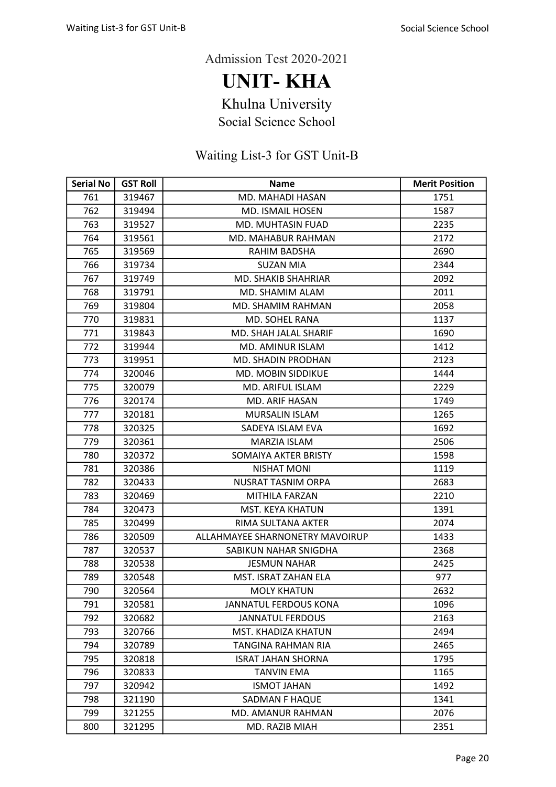UNIT- KHA

Khulna University

Social Science School

| <b>Serial No</b> | <b>GST Roll</b> | <b>Name</b>                     | <b>Merit Position</b> |
|------------------|-----------------|---------------------------------|-----------------------|
| 761              | 319467          | MD. MAHADI HASAN                | 1751                  |
| 762              | 319494          | <b>MD. ISMAIL HOSEN</b>         | 1587                  |
| 763              | 319527          | MD. MUHTASIN FUAD               | 2235                  |
| 764              | 319561          | MD. MAHABUR RAHMAN              | 2172                  |
| 765              | 319569          | RAHIM BADSHA                    | 2690                  |
| 766              | 319734          | <b>SUZAN MIA</b>                | 2344                  |
| 767              | 319749          | <b>MD. SHAKIB SHAHRIAR</b>      | 2092                  |
| 768              | 319791          | MD. SHAMIM ALAM                 | 2011                  |
| 769              | 319804          | MD. SHAMIM RAHMAN               | 2058                  |
| 770              | 319831          | MD. SOHEL RANA                  | 1137                  |
| 771              | 319843          | MD. SHAH JALAL SHARIF           | 1690                  |
| 772              | 319944          | MD. AMINUR ISLAM                | 1412                  |
| 773              | 319951          | MD. SHADIN PRODHAN              | 2123                  |
| 774              | 320046          | <b>MD. MOBIN SIDDIKUE</b>       | 1444                  |
| 775              | 320079          | MD. ARIFUL ISLAM                | 2229                  |
| 776              | 320174          | MD. ARIF HASAN                  | 1749                  |
| 777              | 320181          | <b>MURSALIN ISLAM</b>           | 1265                  |
| 778              | 320325          | SADEYA ISLAM EVA                | 1692                  |
| 779              | 320361          | <b>MARZIA ISLAM</b>             | 2506                  |
| 780              | 320372          | SOMAIYA AKTER BRISTY            | 1598                  |
| 781              | 320386          | <b>NISHAT MONI</b>              | 1119                  |
| 782              | 320433          | <b>NUSRAT TASNIM ORPA</b>       | 2683                  |
| 783              | 320469          | MITHILA FARZAN                  | 2210                  |
| 784              | 320473          | MST. KEYA KHATUN                | 1391                  |
| 785              | 320499          | RIMA SULTANA AKTER              | 2074                  |
| 786              | 320509          | ALLAHMAYEE SHARNONETRY MAVOIRUP | 1433                  |
| 787              | 320537          | SABIKUN NAHAR SNIGDHA           | 2368                  |
| 788              | 320538          | <b>JESMUN NAHAR</b>             | 2425                  |
| 789              | 320548          | MST. ISRAT ZAHAN ELA            | 977                   |
| 790              | 320564          | <b>MOLY KHATUN</b>              | 2632                  |
| 791              | 320581          | JANNATUL FERDOUS KONA           | 1096                  |
| 792              | 320682          | <b>JANNATUL FERDOUS</b>         | 2163                  |
| 793              | 320766          | MST. KHADIZA KHATUN             | 2494                  |
| 794              | 320789          | TANGINA RAHMAN RIA              | 2465                  |
| 795              | 320818          | <b>ISRAT JAHAN SHORNA</b>       | 1795                  |
| 796              | 320833          | <b>TANVIN EMA</b>               | 1165                  |
| 797              | 320942          | <b>ISMOT JAHAN</b>              | 1492                  |
| 798              | 321190          | <b>SADMAN F HAQUE</b>           | 1341                  |
| 799              | 321255          | MD. AMANUR RAHMAN               | 2076                  |
| 800              | 321295          | MD. RAZIB MIAH                  | 2351                  |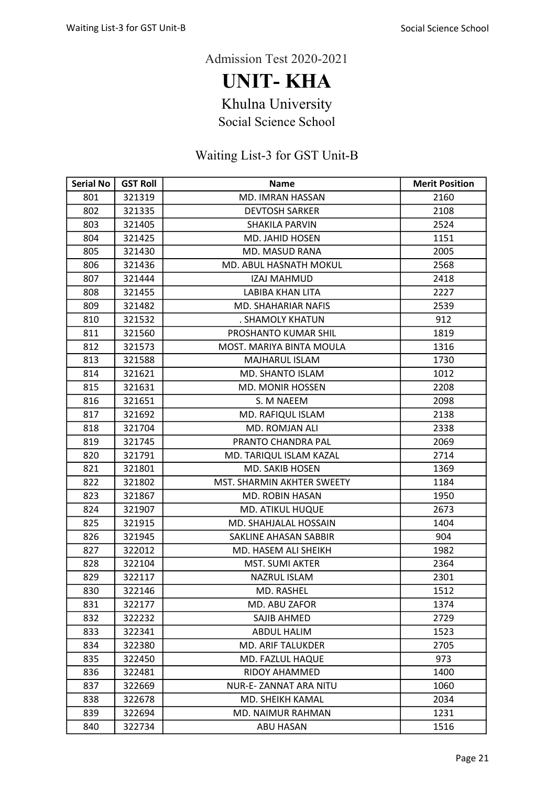UNIT- KHA

Khulna University

Social Science School

| <b>Serial No</b> | <b>GST Roll</b> | <b>Name</b>                | <b>Merit Position</b> |
|------------------|-----------------|----------------------------|-----------------------|
| 801              | 321319          | MD. IMRAN HASSAN           | 2160                  |
| 802              | 321335          | <b>DEVTOSH SARKER</b>      | 2108                  |
| 803              | 321405          | <b>SHAKILA PARVIN</b>      | 2524                  |
| 804              | 321425          | <b>MD. JAHID HOSEN</b>     | 1151                  |
| 805              | 321430          | MD. MASUD RANA             | 2005                  |
| 806              | 321436          | MD. ABUL HASNATH MOKUL     | 2568                  |
| 807              | 321444          | <b>IZAJ MAHMUD</b>         | 2418                  |
| 808              | 321455          | <b>LABIBA KHAN LITA</b>    | 2227                  |
| 809              | 321482          | <b>MD. SHAHARIAR NAFIS</b> | 2539                  |
| 810              | 321532          | . SHAMOLY KHATUN           | 912                   |
| 811              | 321560          | PROSHANTO KUMAR SHIL       | 1819                  |
| 812              | 321573          | MOST. MARIYA BINTA MOULA   | 1316                  |
| 813              | 321588          | MAJHARUL ISLAM             | 1730                  |
| 814              | 321621          | MD. SHANTO ISLAM           | 1012                  |
| 815              | 321631          | <b>MD. MONIR HOSSEN</b>    | 2208                  |
| 816              | 321651          | S. M NAEEM                 | 2098                  |
| 817              | 321692          | MD. RAFIQUL ISLAM          | 2138                  |
| 818              | 321704          | MD. ROMJAN ALI             | 2338                  |
| 819              | 321745          | PRANTO CHANDRA PAL         | 2069                  |
| 820              | 321791          | MD. TARIQUL ISLAM KAZAL    | 2714                  |
| 821              | 321801          | MD. SAKIB HOSEN            | 1369                  |
| 822              | 321802          | MST. SHARMIN AKHTER SWEETY | 1184                  |
| 823              | 321867          | <b>MD. ROBIN HASAN</b>     | 1950                  |
| 824              | 321907          | <b>MD. ATIKUL HUQUE</b>    | 2673                  |
| 825              | 321915          | MD. SHAHJALAL HOSSAIN      | 1404                  |
| 826              | 321945          | SAKLINE AHASAN SABBIR      | 904                   |
| 827              | 322012          | MD. HASEM ALI SHEIKH       | 1982                  |
| 828              | 322104          | <b>MST. SUMI AKTER</b>     | 2364                  |
| 829              | 322117          | <b>NAZRUL ISLAM</b>        | 2301                  |
| 830              | 322146          | <b>MD. RASHEL</b>          | 1512                  |
| 831              | 322177          | MD. ABU ZAFOR              | 1374                  |
| 832              | 322232          | SAJIB AHMED                | 2729                  |
| 833              | 322341          | <b>ABDUL HALIM</b>         | 1523                  |
| 834              | 322380          | <b>MD. ARIF TALUKDER</b>   | 2705                  |
| 835              | 322450          | MD. FAZLUL HAQUE           | 973                   |
| 836              | 322481          | RIDOY AHAMMED              | 1400                  |
| 837              | 322669          | NUR-E-ZANNAT ARA NITU      | 1060                  |
| 838              | 322678          | MD. SHEIKH KAMAL           | 2034                  |
| 839              | 322694          | MD. NAIMUR RAHMAN          | 1231                  |
| 840              | 322734          | ABU HASAN                  | 1516                  |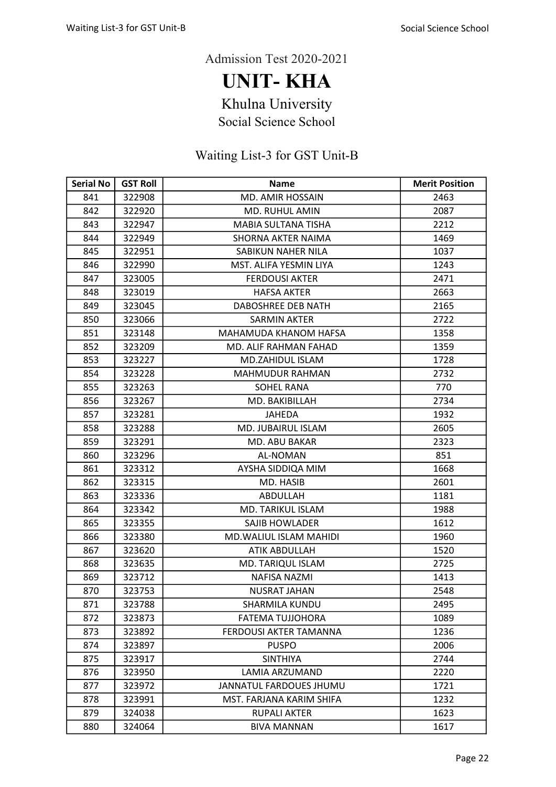UNIT- KHA

Khulna University

Social Science School

| <b>Serial No</b> | <b>GST Roll</b> | <b>Name</b>                   | <b>Merit Position</b> |
|------------------|-----------------|-------------------------------|-----------------------|
| 841              | 322908          | <b>MD. AMIR HOSSAIN</b>       | 2463                  |
| 842              | 322920          | MD. RUHUL AMIN                | 2087                  |
| 843              | 322947          | MABIA SULTANA TISHA           | 2212                  |
| 844              | 322949          | SHORNA AKTER NAIMA            | 1469                  |
| 845              | 322951          | SABIKUN NAHER NILA            | 1037                  |
| 846              | 322990          | MST. ALIFA YESMIN LIYA        | 1243                  |
| 847              | 323005          | <b>FERDOUSI AKTER</b>         | 2471                  |
| 848              | 323019          | <b>HAFSA AKTER</b>            | 2663                  |
| 849              | 323045          | DABOSHREE DEB NATH            | 2165                  |
| 850              | 323066          | <b>SARMIN AKTER</b>           | 2722                  |
| 851              | 323148          | MAHAMUDA KHANOM HAFSA         | 1358                  |
| 852              | 323209          | MD. ALIF RAHMAN FAHAD         | 1359                  |
| 853              | 323227          | MD.ZAHIDUL ISLAM              | 1728                  |
| 854              | 323228          | <b>MAHMUDUR RAHMAN</b>        | 2732                  |
| 855              | 323263          | <b>SOHEL RANA</b>             | 770                   |
| 856              | 323267          | MD. BAKIBILLAH                | 2734                  |
| 857              | 323281          | <b>JAHEDA</b>                 | 1932                  |
| 858              | 323288          | <b>MD. JUBAIRUL ISLAM</b>     | 2605                  |
| 859              | 323291          | <b>MD. ABU BAKAR</b>          | 2323                  |
| 860              | 323296          | AL-NOMAN                      | 851                   |
| 861              | 323312          | AYSHA SIDDIQA MIM             | 1668                  |
| 862              | 323315          | MD. HASIB                     | 2601                  |
| 863              | 323336          | ABDULLAH                      | 1181                  |
| 864              | 323342          | MD. TARIKUL ISLAM             | 1988                  |
| 865              | 323355          | SAJIB HOWLADER                | 1612                  |
| 866              | 323380          | <b>MD.WALIUL ISLAM MAHIDI</b> | 1960                  |
| 867              | 323620          | <b>ATIK ABDULLAH</b>          | 1520                  |
| 868              | 323635          | MD. TARIQUL ISLAM             | 2725                  |
| 869              | 323712          | <b>NAFISA NAZMI</b>           | 1413                  |
| 870              | 323753          | <b>NUSRAT JAHAN</b>           | 2548                  |
| 871              | 323788          | <b>SHARMILA KUNDU</b>         | 2495                  |
| 872              | 323873          | <b>FATEMA TUJJOHORA</b>       | 1089                  |
| 873              | 323892          | <b>FERDOUSI AKTER TAMANNA</b> | 1236                  |
| 874              | 323897          | <b>PUSPO</b>                  | 2006                  |
| 875              | 323917          | <b>SINTHIYA</b>               | 2744                  |
| 876              | 323950          | LAMIA ARZUMAND                | 2220                  |
| 877              | 323972          | JANNATUL FARDOUES JHUMU       | 1721                  |
| 878              | 323991          | MST. FARJANA KARIM SHIFA      | 1232                  |
| 879              | 324038          | <b>RUPALI AKTER</b>           | 1623                  |
| 880              | 324064          | <b>BIVA MANNAN</b>            | 1617                  |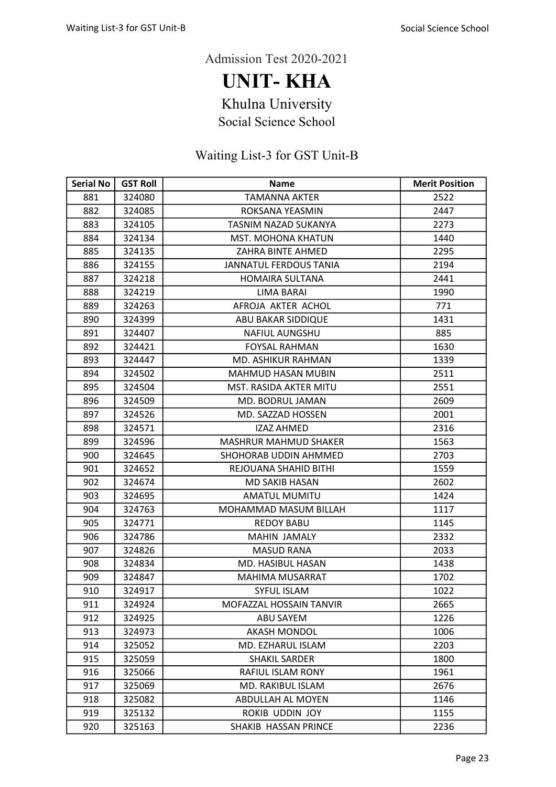UNIT- KHA

Khulna University

Social Science School

| <b>Serial No</b> | <b>GST Roll</b> | <b>Name</b>                   | <b>Merit Position</b> |
|------------------|-----------------|-------------------------------|-----------------------|
| 881              | 324080          | <b>TAMANNA AKTER</b>          | 2522                  |
| 882              | 324085          | ROKSANA YEASMIN               | 2447                  |
| 883              | 324105          | TASNIM NAZAD SUKANYA          | 2273                  |
| 884              | 324134          | <b>MST. MOHONA KHATUN</b>     | 1440                  |
| 885              | 324135          | ZAHRA BINTE AHMED             | 2295                  |
| 886              | 324155          | <b>JANNATUL FERDOUS TANIA</b> | 2194                  |
| 887              | 324218          | <b>HOMAIRA SULTANA</b>        | 2441                  |
| 888              | 324219          | <b>LIMA BARAI</b>             | 1990                  |
| 889              | 324263          | AFROJA AKTER ACHOL            | 771                   |
| 890              | 324399          | ABU BAKAR SIDDIQUE            | 1431                  |
| 891              | 324407          | <b>NAFIUL AUNGSHU</b>         | 885                   |
| 892              | 324421          | <b>FOYSAL RAHMAN</b>          | 1630                  |
| 893              | 324447          | MD. ASHIKUR RAHMAN            | 1339                  |
| 894              | 324502          | <b>MAHMUD HASAN MUBIN</b>     | 2511                  |
| 895              | 324504          | MST. RASIDA AKTER MITU        | 2551                  |
| 896              | 324509          | MD. BODRUL JAMAN              | 2609                  |
| 897              | 324526          | MD. SAZZAD HOSSEN             | 2001                  |
| 898              | 324571          | <b>IZAZ AHMED</b>             | 2316                  |
| 899              | 324596          | <b>MASHRUR MAHMUD SHAKER</b>  | 1563                  |
| 900              | 324645          | SHOHORAB UDDIN AHMMED         | 2703                  |
| 901              | 324652          | REJOUANA SHAHID BITHI         | 1559                  |
| 902              | 324674          | <b>MD SAKIB HASAN</b>         | 2602                  |
| 903              | 324695          | <b>AMATUL MUMITU</b>          | 1424                  |
| 904              | 324763          | MOHAMMAD MASUM BILLAH         | 1117                  |
| 905              | 324771          | <b>REDOY BABU</b>             | 1145                  |
| 906              | 324786          | MAHIN JAMALY                  | 2332                  |
| 907              | 324826          | <b>MASUD RANA</b>             | 2033                  |
| 908              | 324834          | MD. HASIBUL HASAN             | 1438                  |
| 909              | 324847          | <b>MAHIMA MUSARRAT</b>        | 1702                  |
| 910              | 324917          | <b>SYFUL ISLAM</b>            | 1022                  |
| 911              | 324924          | MOFAZZAL HOSSAIN TANVIR       | 2665                  |
| 912              | 324925          | ABU SAYEM                     | 1226                  |
| 913              | 324973          | <b>AKASH MONDOL</b>           | 1006                  |
| 914              | 325052          | MD. EZHARUL ISLAM             | 2203                  |
| 915              | 325059          | <b>SHAKIL SARDER</b>          | 1800                  |
| 916              | 325066          | <b>RAFIUL ISLAM RONY</b>      | 1961                  |
| 917              | 325069          | MD. RAKIBUL ISLAM             | 2676                  |
| 918              | 325082          | ABDULLAH AL MOYEN             | 1146                  |
| 919              | 325132          | ROKIB UDDIN JOY               | 1155                  |
| 920              | 325163          | SHAKIB HASSAN PRINCE          | 2236                  |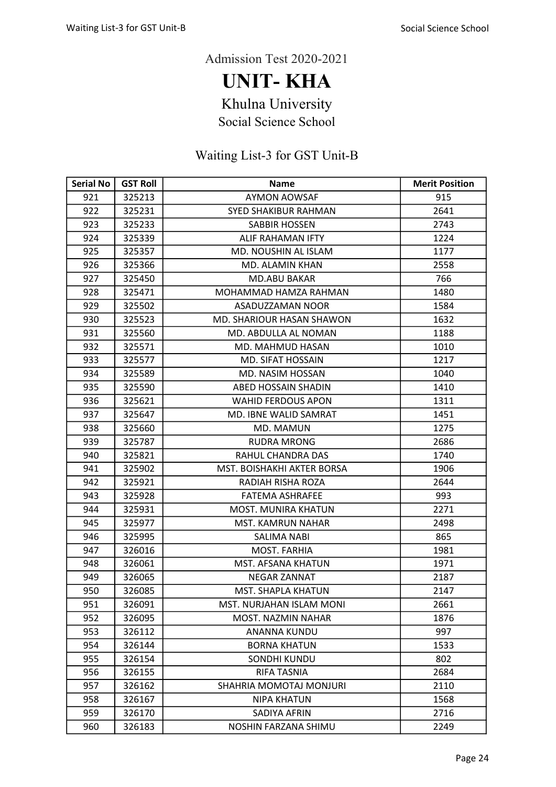UNIT- KHA

Khulna University

Social Science School

| <b>Serial No</b> | <b>GST Roll</b> | <b>Name</b>                | <b>Merit Position</b> |
|------------------|-----------------|----------------------------|-----------------------|
| 921              | 325213          | <b>AYMON AOWSAF</b>        | 915                   |
| 922              | 325231          | SYED SHAKIBUR RAHMAN       | 2641                  |
| 923              | 325233          | SABBIR HOSSEN              | 2743                  |
| 924              | 325339          | ALIF RAHAMAN IFTY          | 1224                  |
| 925              | 325357          | MD. NOUSHIN AL ISLAM       | 1177                  |
| 926              | 325366          | MD. ALAMIN KHAN            | 2558                  |
| 927              | 325450          | <b>MD.ABU BAKAR</b>        | 766                   |
| 928              | 325471          | MOHAMMAD HAMZA RAHMAN      | 1480                  |
| 929              | 325502          | ASADUZZAMAN NOOR           | 1584                  |
| 930              | 325523          | MD. SHARIOUR HASAN SHAWON  | 1632                  |
| 931              | 325560          | MD. ABDULLA AL NOMAN       | 1188                  |
| 932              | 325571          | MD. MAHMUD HASAN           | 1010                  |
| 933              | 325577          | <b>MD. SIFAT HOSSAIN</b>   | 1217                  |
| 934              | 325589          | MD. NASIM HOSSAN           | 1040                  |
| 935              | 325590          | <b>ABED HOSSAIN SHADIN</b> | 1410                  |
| 936              | 325621          | <b>WAHID FERDOUS APON</b>  | 1311                  |
| 937              | 325647          | MD. IBNE WALID SAMRAT      | 1451                  |
| 938              | 325660          | MD. MAMUN                  | 1275                  |
| 939              | 325787          | <b>RUDRA MRONG</b>         | 2686                  |
| 940              | 325821          | RAHUL CHANDRA DAS          | 1740                  |
| 941              | 325902          | MST. BOISHAKHI AKTER BORSA | 1906                  |
| 942              | 325921          | RADIAH RISHA ROZA          | 2644                  |
| 943              | 325928          | <b>FATEMA ASHRAFEE</b>     | 993                   |
| 944              | 325931          | <b>MOST. MUNIRA KHATUN</b> | 2271                  |
| 945              | 325977          | <b>MST. KAMRUN NAHAR</b>   | 2498                  |
| 946              | 325995          | SALIMA NABI                | 865                   |
| 947              | 326016          | <b>MOST. FARHIA</b>        | 1981                  |
| 948              | 326061          | <b>MST. AFSANA KHATUN</b>  | 1971                  |
| 949              | 326065          | <b>NEGAR ZANNAT</b>        | 2187                  |
| 950              | 326085          | <b>MST. SHAPLA KHATUN</b>  | 2147                  |
| 951              | 326091          | MST. NURJAHAN ISLAM MONI   | 2661                  |
| 952              | 326095          | MOST. NAZMIN NAHAR         | 1876                  |
| 953              | 326112          | <b>ANANNA KUNDU</b>        | 997                   |
| 954              | 326144          | <b>BORNA KHATUN</b>        | 1533                  |
| 955              | 326154          | <b>SONDHI KUNDU</b>        | 802                   |
| 956              | 326155          | RIFA TASNIA                | 2684                  |
| 957              | 326162          | SHAHRIA MOMOTAJ MONJURI    | 2110                  |
| 958              | 326167          | <b>NIPA KHATUN</b>         | 1568                  |
| 959              | 326170          | SADIYA AFRIN               | 2716                  |
| 960              | 326183          | NOSHIN FARZANA SHIMU       | 2249                  |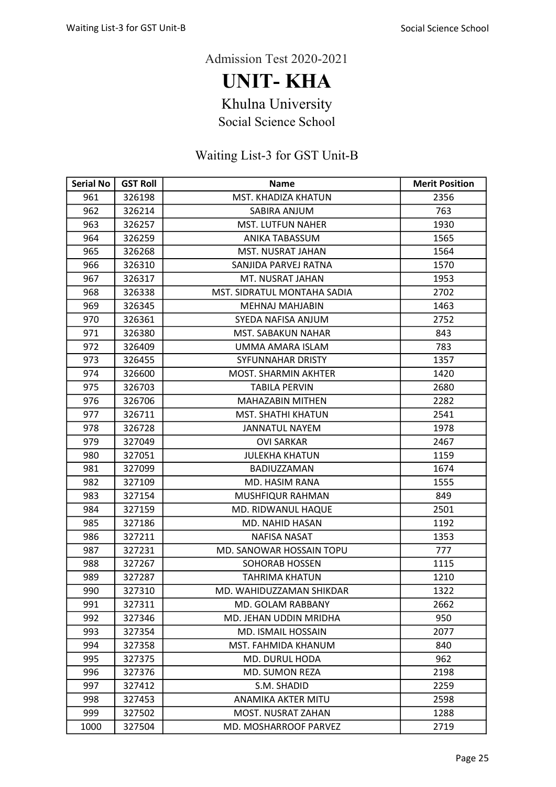UNIT- KHA

Khulna University

Social Science School

| <b>Serial No</b> | <b>GST Roll</b> | <b>Name</b>                 | <b>Merit Position</b> |
|------------------|-----------------|-----------------------------|-----------------------|
| 961              | 326198          | MST. KHADIZA KHATUN         | 2356                  |
| 962              | 326214          | SABIRA ANJUM                | 763                   |
| 963              | 326257          | <b>MST. LUTFUN NAHER</b>    | 1930                  |
| 964              | 326259          | ANIKA TABASSUM              | 1565                  |
| 965              | 326268          | MST. NUSRAT JAHAN           | 1564                  |
| 966              | 326310          | SANJIDA PARVEJ RATNA        | 1570                  |
| 967              | 326317          | MT. NUSRAT JAHAN            | 1953                  |
| 968              | 326338          | MST. SIDRATUL MONTAHA SADIA | 2702                  |
| 969              | 326345          | <b>MEHNAJ MAHJABIN</b>      | 1463                  |
| 970              | 326361          | SYEDA NAFISA ANJUM          | 2752                  |
| 971              | 326380          | <b>MST. SABAKUN NAHAR</b>   | 843                   |
| 972              | 326409          | UMMA AMARA ISLAM            | 783                   |
| 973              | 326455          | SYFUNNAHAR DRISTY           | 1357                  |
| 974              | 326600          | <b>MOST. SHARMIN AKHTER</b> | 1420                  |
| 975              | 326703          | <b>TABILA PERVIN</b>        | 2680                  |
| 976              | 326706          | <b>MAHAZABIN MITHEN</b>     | 2282                  |
| 977              | 326711          | <b>MST. SHATHI KHATUN</b>   | 2541                  |
| 978              | 326728          | <b>JANNATUL NAYEM</b>       | 1978                  |
| 979              | 327049          | <b>OVI SARKAR</b>           | 2467                  |
| 980              | 327051          | <b>JULEKHA KHATUN</b>       | 1159                  |
| 981              | 327099          | BADIUZZAMAN                 | 1674                  |
| 982              | 327109          | MD. HASIM RANA              | 1555                  |
| 983              | 327154          | MUSHFIQUR RAHMAN            | 849                   |
| 984              | 327159          | MD. RIDWANUL HAQUE          | 2501                  |
| 985              | 327186          | MD. NAHID HASAN             | 1192                  |
| 986              | 327211          | <b>NAFISA NASAT</b>         | 1353                  |
| 987              | 327231          | MD. SANOWAR HOSSAIN TOPU    | 777                   |
| 988              | 327267          | <b>SOHORAB HOSSEN</b>       | 1115                  |
| 989              | 327287          | <b>TAHRIMA KHATUN</b>       | 1210                  |
| 990              | 327310          | MD. WAHIDUZZAMAN SHIKDAR    | 1322                  |
| 991              | 327311          | MD. GOLAM RABBANY           | 2662                  |
| 992              | 327346          | MD. JEHAN UDDIN MRIDHA      | 950                   |
| 993              | 327354          | MD. ISMAIL HOSSAIN          | 2077                  |
| 994              | 327358          | MST. FAHMIDA KHANUM         | 840                   |
| 995              | 327375          | <b>MD. DURUL HODA</b>       | 962                   |
| 996              | 327376          | MD. SUMON REZA              | 2198                  |
| 997              | 327412          | S.M. SHADID                 | 2259                  |
| 998              | 327453          | ANAMIKA AKTER MITU          | 2598                  |
| 999              | 327502          | MOST. NUSRAT ZAHAN          | 1288                  |
| 1000             | 327504          | MD. MOSHARROOF PARVEZ       | 2719                  |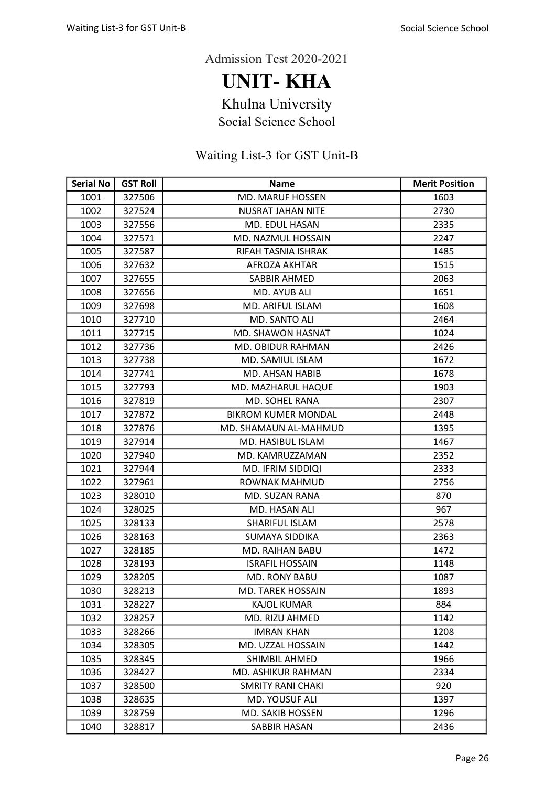UNIT- KHA

Khulna University

Social Science School

| <b>Serial No</b> | <b>GST Roll</b> | <b>Name</b>                | <b>Merit Position</b> |
|------------------|-----------------|----------------------------|-----------------------|
| 1001             | 327506          | <b>MD. MARUF HOSSEN</b>    | 1603                  |
| 1002             | 327524          | <b>NUSRAT JAHAN NITE</b>   | 2730                  |
| 1003             | 327556          | MD. EDUL HASAN             | 2335                  |
| 1004             | 327571          | MD. NAZMUL HOSSAIN         | 2247                  |
| 1005             | 327587          | RIFAH TASNIA ISHRAK        | 1485                  |
| 1006             | 327632          | AFROZA AKHTAR              | 1515                  |
| 1007             | 327655          | SABBIR AHMED               | 2063                  |
| 1008             | 327656          | MD. AYUB ALI               | 1651                  |
| 1009             | 327698          | MD. ARIFUL ISLAM           | 1608                  |
| 1010             | 327710          | MD. SANTO ALI              | 2464                  |
| 1011             | 327715          | MD. SHAWON HASNAT          | 1024                  |
| 1012             | 327736          | MD. OBIDUR RAHMAN          | 2426                  |
| 1013             | 327738          | MD. SAMIUL ISLAM           | 1672                  |
| 1014             | 327741          | <b>MD. AHSAN HABIB</b>     | 1678                  |
| 1015             | 327793          | MD. MAZHARUL HAQUE         | 1903                  |
| 1016             | 327819          | MD. SOHEL RANA             | 2307                  |
| 1017             | 327872          | <b>BIKROM KUMER MONDAL</b> | 2448                  |
| 1018             | 327876          | MD. SHAMAUN AL-MAHMUD      | 1395                  |
| 1019             | 327914          | MD. HASIBUL ISLAM          | 1467                  |
| 1020             | 327940          | MD. KAMRUZZAMAN            | 2352                  |
| 1021             | 327944          | MD. IFRIM SIDDIQI          | 2333                  |
| 1022             | 327961          | ROWNAK MAHMUD              | 2756                  |
| 1023             | 328010          | <b>MD. SUZAN RANA</b>      | 870                   |
| 1024             | 328025          | MD. HASAN ALI              | 967                   |
| 1025             | 328133          | SHARIFUL ISLAM             | 2578                  |
| 1026             | 328163          | SUMAYA SIDDIKA             | 2363                  |
| 1027             | 328185          | <b>MD. RAIHAN BABU</b>     | 1472                  |
| 1028             | 328193          | <b>ISRAFIL HOSSAIN</b>     | 1148                  |
| 1029             | 328205          | MD. RONY BABU              | 1087                  |
| 1030             | 328213          | <b>MD. TAREK HOSSAIN</b>   | 1893                  |
| 1031             | 328227          | <b>KAJOL KUMAR</b>         | 884                   |
| 1032             | 328257          | MD. RIZU AHMED             | 1142                  |
| 1033             | 328266          | <b>IMRAN KHAN</b>          | 1208                  |
| 1034             | 328305          | MD. UZZAL HOSSAIN          | 1442                  |
| 1035             | 328345          | SHIMBIL AHMED              | 1966                  |
| 1036             | 328427          | MD. ASHIKUR RAHMAN         | 2334                  |
| 1037             | 328500          | <b>SMRITY RANI CHAKI</b>   | 920                   |
| 1038             | 328635          | <b>MD. YOUSUF ALI</b>      | 1397                  |
| 1039             | 328759          | MD. SAKIB HOSSEN           | 1296                  |
| 1040             | 328817          | SABBIR HASAN               | 2436                  |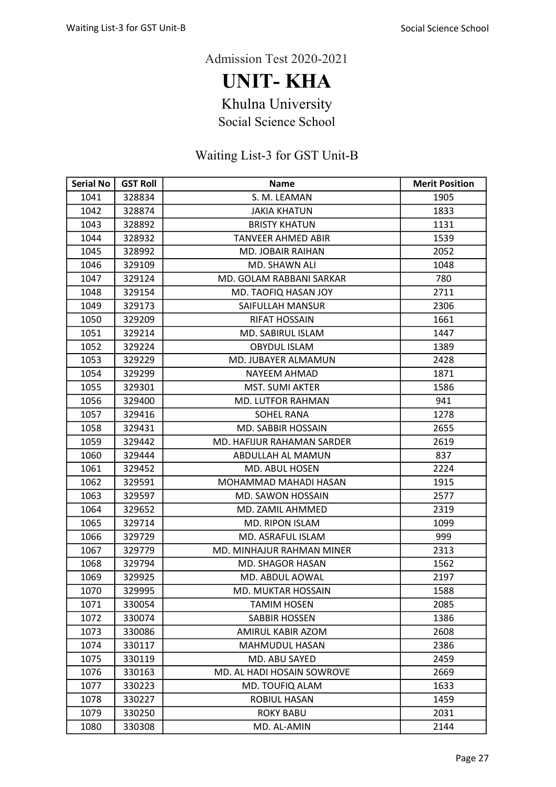UNIT- KHA

Khulna University

Social Science School

| <b>Serial No</b> | <b>GST Roll</b> | <b>Name</b>                | <b>Merit Position</b> |
|------------------|-----------------|----------------------------|-----------------------|
| 1041             | 328834          | S. M. LEAMAN               | 1905                  |
| 1042             | 328874          | <b>JAKIA KHATUN</b>        | 1833                  |
| 1043             | 328892          | <b>BRISTY KHATUN</b>       | 1131                  |
| 1044             | 328932          | <b>TANVEER AHMED ABIR</b>  | 1539                  |
| 1045             | 328992          | <b>MD. JOBAIR RAIHAN</b>   | 2052                  |
| 1046             | 329109          | MD. SHAWN ALI              | 1048                  |
| 1047             | 329124          | MD. GOLAM RABBANI SARKAR   | 780                   |
| 1048             | 329154          | MD. TAOFIQ HASAN JOY       | 2711                  |
| 1049             | 329173          | SAIFULLAH MANSUR           | 2306                  |
| 1050             | 329209          | <b>RIFAT HOSSAIN</b>       | 1661                  |
| 1051             | 329214          | MD. SABIRUL ISLAM          | 1447                  |
| 1052             | 329224          | <b>OBYDUL ISLAM</b>        | 1389                  |
| 1053             | 329229          | MD. JUBAYER ALMAMUN        | 2428                  |
| 1054             | 329299          | NAYEEM AHMAD               | 1871                  |
| 1055             | 329301          | <b>MST. SUMI AKTER</b>     | 1586                  |
| 1056             | 329400          | <b>MD. LUTFOR RAHMAN</b>   | 941                   |
| 1057             | 329416          | <b>SOHEL RANA</b>          | 1278                  |
| 1058             | 329431          | <b>MD. SABBIR HOSSAIN</b>  | 2655                  |
| 1059             | 329442          | MD. HAFIJUR RAHAMAN SARDER | 2619                  |
| 1060             | 329444          | ABDULLAH AL MAMUN          | 837                   |
| 1061             | 329452          | MD. ABUL HOSEN             | 2224                  |
| 1062             | 329591          | MOHAMMAD MAHADI HASAN      | 1915                  |
| 1063             | 329597          | MD. SAWON HOSSAIN          | 2577                  |
| 1064             | 329652          | MD. ZAMIL AHMMED           | 2319                  |
| 1065             | 329714          | MD. RIPON ISLAM            | 1099                  |
| 1066             | 329729          | MD. ASRAFUL ISLAM          | 999                   |
| 1067             | 329779          | MD. MINHAJUR RAHMAN MINER  | 2313                  |
| 1068             | 329794          | <b>MD. SHAGOR HASAN</b>    | 1562                  |
| 1069             | 329925          | MD. ABDUL AOWAL            | 2197                  |
| 1070             | 329995          | <b>MD. MUKTAR HOSSAIN</b>  | 1588                  |
| 1071             | 330054          | <b>TAMIM HOSEN</b>         | 2085                  |
| 1072             | 330074          | <b>SABBIR HOSSEN</b>       | 1386                  |
| 1073             | 330086          | AMIRUL KABIR AZOM          | 2608                  |
| 1074             | 330117          | MAHMUDUL HASAN             | 2386                  |
| 1075             | 330119          | MD. ABU SAYED              | 2459                  |
| 1076             | 330163          | MD. AL HADI HOSAIN SOWROVE | 2669                  |
| 1077             | 330223          | MD. TOUFIQ ALAM            | 1633                  |
| 1078             | 330227          | ROBIUL HASAN               | 1459                  |
| 1079             | 330250          | <b>ROKY BABU</b>           | 2031                  |
| 1080             | 330308          | MD. AL-AMIN                | 2144                  |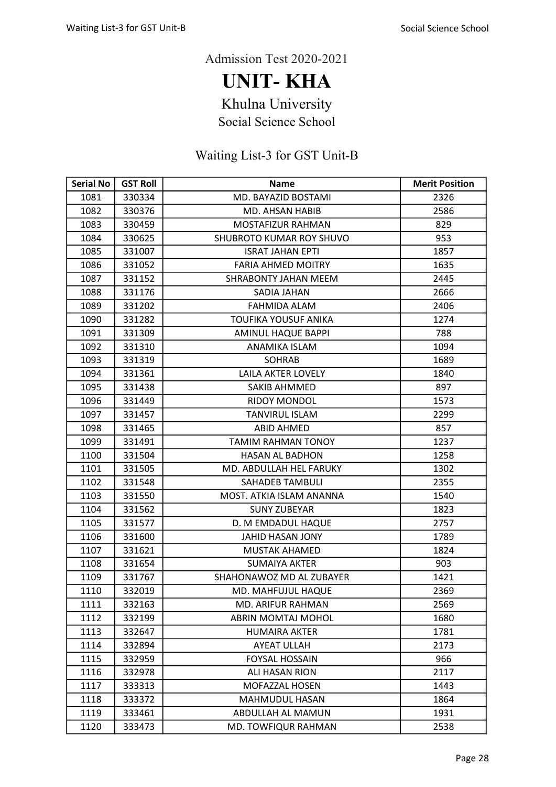UNIT- KHA

Khulna University

Social Science School

| <b>Serial No</b> | <b>GST Roll</b> | <b>Name</b>                 | <b>Merit Position</b> |
|------------------|-----------------|-----------------------------|-----------------------|
| 1081             | 330334          | MD. BAYAZID BOSTAMI         | 2326                  |
| 1082             | 330376          | <b>MD. AHSAN HABIB</b>      | 2586                  |
| 1083             | 330459          | <b>MOSTAFIZUR RAHMAN</b>    | 829                   |
| 1084             | 330625          | SHUBROTO KUMAR ROY SHUVO    | 953                   |
| 1085             | 331007          | <b>ISRAT JAHAN EPTI</b>     | 1857                  |
| 1086             | 331052          | <b>FARIA AHMED MOITRY</b>   | 1635                  |
| 1087             | 331152          | SHRABONTY JAHAN MEEM        | 2445                  |
| 1088             | 331176          | SADIA JAHAN                 | 2666                  |
| 1089             | 331202          | FAHMIDA ALAM                | 2406                  |
| 1090             | 331282          | <b>TOUFIKA YOUSUF ANIKA</b> | 1274                  |
| 1091             | 331309          | <b>AMINUL HAQUE BAPPI</b>   | 788                   |
| 1092             | 331310          | ANAMIKA ISLAM               | 1094                  |
| 1093             | 331319          | <b>SOHRAB</b>               | 1689                  |
| 1094             | 331361          | LAILA AKTER LOVELY          | 1840                  |
| 1095             | 331438          | <b>SAKIB AHMMED</b>         | 897                   |
| 1096             | 331449          | <b>RIDOY MONDOL</b>         | 1573                  |
| 1097             | 331457          | <b>TANVIRUL ISLAM</b>       | 2299                  |
| 1098             | 331465          | <b>ABID AHMED</b>           | 857                   |
| 1099             | 331491          | <b>TAMIM RAHMAN TONOY</b>   | 1237                  |
| 1100             | 331504          | <b>HASAN AL BADHON</b>      | 1258                  |
| 1101             | 331505          | MD. ABDULLAH HEL FARUKY     | 1302                  |
| 1102             | 331548          | SAHADEB TAMBULI             | 2355                  |
| 1103             | 331550          | MOST. ATKIA ISLAM ANANNA    | 1540                  |
| 1104             | 331562          | <b>SUNY ZUBEYAR</b>         | 1823                  |
| 1105             | 331577          | D. M EMDADUL HAQUE          | 2757                  |
| 1106             | 331600          | JAHID HASAN JONY            | 1789                  |
| 1107             | 331621          | <b>MUSTAK AHAMED</b>        | 1824                  |
| 1108             | 331654          | <b>SUMAIYA AKTER</b>        | 903                   |
| 1109             | 331767          | SHAHONAWOZ MD AL ZUBAYER    | 1421                  |
| 1110             | 332019          | MD. MAHFUJUL HAQUE          | 2369                  |
| 1111             | 332163          | MD. ARIFUR RAHMAN           | 2569                  |
| 1112             | 332199          | ABRIN MOMTAJ MOHOL          | 1680                  |
| 1113             | 332647          | <b>HUMAIRA AKTER</b>        | 1781                  |
| 1114             | 332894          | <b>AYEAT ULLAH</b>          | 2173                  |
| 1115             | 332959          | <b>FOYSAL HOSSAIN</b>       | 966                   |
| 1116             | 332978          | ALI HASAN RION              | 2117                  |
| 1117             | 333313          | MOFAZZAL HOSEN              | 1443                  |
| 1118             | 333372          | MAHMUDUL HASAN              | 1864                  |
| 1119             | 333461          | ABDULLAH AL MAMUN           | 1931                  |
| 1120             | 333473          | MD. TOWFIQUR RAHMAN         | 2538                  |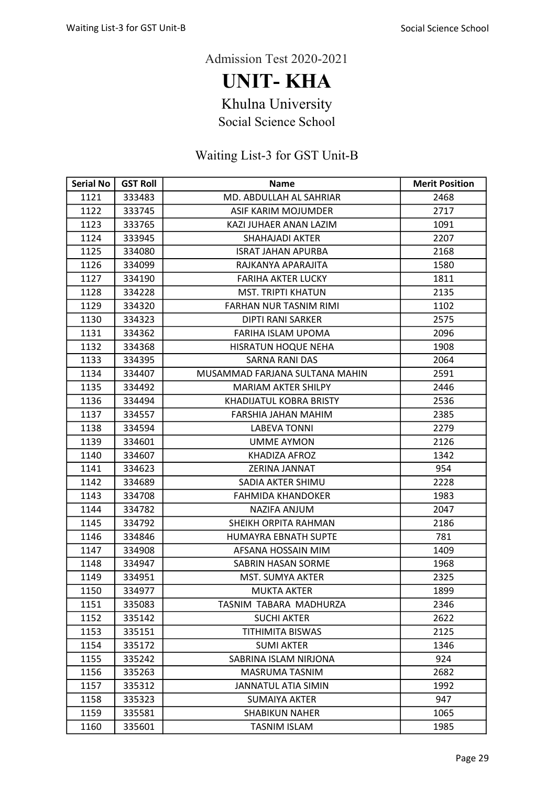UNIT- KHA

Khulna University

Social Science School

| <b>Serial No</b> | <b>GST Roll</b> | <b>Name</b>                    | <b>Merit Position</b> |
|------------------|-----------------|--------------------------------|-----------------------|
| 1121             | 333483          | MD. ABDULLAH AL SAHRIAR        | 2468                  |
| 1122             | 333745          | ASIF KARIM MOJUMDER            | 2717                  |
| 1123             | 333765          | KAZI JUHAER ANAN LAZIM         | 1091                  |
| 1124             | 333945          | SHAHAJADI AKTER                | 2207                  |
| 1125             | 334080          | <b>ISRAT JAHAN APURBA</b>      | 2168                  |
| 1126             | 334099          | RAJKANYA APARAJITA             | 1580                  |
| 1127             | 334190          | <b>FARIHA AKTER LUCKY</b>      | 1811                  |
| 1128             | 334228          | <b>MST. TRIPTI KHATUN</b>      | 2135                  |
| 1129             | 334320          | FARHAN NUR TASNIM RIMI         | 1102                  |
| 1130             | 334323          | <b>DIPTI RANI SARKER</b>       | 2575                  |
| 1131             | 334362          | FARIHA ISLAM UPOMA             | 2096                  |
| 1132             | 334368          | HISRATUN HOQUE NEHA            | 1908                  |
| 1133             | 334395          | <b>SARNA RANI DAS</b>          | 2064                  |
| 1134             | 334407          | MUSAMMAD FARJANA SULTANA MAHIN | 2591                  |
| 1135             | 334492          | <b>MARIAM AKTER SHILPY</b>     | 2446                  |
| 1136             | 334494          | KHADIJATUL KOBRA BRISTY        | 2536                  |
| 1137             | 334557          | FARSHIA JAHAN MAHIM            | 2385                  |
| 1138             | 334594          | <b>LABEVA TONNI</b>            | 2279                  |
| 1139             | 334601          | UMME AYMON                     | 2126                  |
| 1140             | 334607          | <b>KHADIZA AFROZ</b>           | 1342                  |
| 1141             | 334623          | ZERINA JANNAT                  | 954                   |
| 1142             | 334689          | SADIA AKTER SHIMU              | 2228                  |
| 1143             | 334708          | <b>FAHMIDA KHANDOKER</b>       | 1983                  |
| 1144             | 334782          | NAZIFA ANJUM                   | 2047                  |
| 1145             | 334792          | SHEIKH ORPITA RAHMAN           | 2186                  |
| 1146             | 334846          | HUMAYRA EBNATH SUPTE           | 781                   |
| 1147             | 334908          | AFSANA HOSSAIN MIM             | 1409                  |
| 1148             | 334947          | SABRIN HASAN SORME             | 1968                  |
| 1149             | 334951          | MST. SUMYA AKTER               | 2325                  |
| 1150             | 334977          | <b>MUKTA AKTER</b>             | 1899                  |
| 1151             | 335083          | TASNIM TABARA MADHURZA         | 2346                  |
| 1152             | 335142          | <b>SUCHI AKTER</b>             | 2622                  |
| 1153             | 335151          | <b>TITHIMITA BISWAS</b>        | 2125                  |
| 1154             | 335172          | <b>SUMI AKTER</b>              | 1346                  |
| 1155             | 335242          | SABRINA ISLAM NIRJONA          | 924                   |
| 1156             | 335263          | MASRUMA TASNIM                 | 2682                  |
| 1157             | 335312          | <b>JANNATUL ATIA SIMIN</b>     | 1992                  |
| 1158             | 335323          | SUMAIYA AKTER                  | 947                   |
| 1159             | 335581          | <b>SHABIKUN NAHER</b>          | 1065                  |
| 1160             | 335601          | TASNIM ISLAM                   | 1985                  |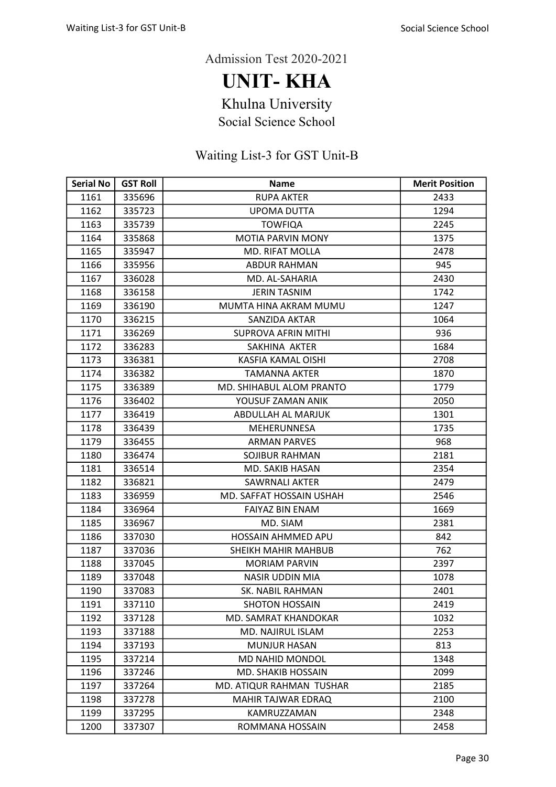UNIT- KHA

Khulna University

Social Science School

| <b>Serial No</b> | <b>GST Roll</b> | <b>Name</b>                | <b>Merit Position</b> |
|------------------|-----------------|----------------------------|-----------------------|
| 1161             | 335696          | <b>RUPA AKTER</b>          | 2433                  |
| 1162             | 335723          | <b>UPOMA DUTTA</b>         | 1294                  |
| 1163             | 335739          | <b>TOWFIQA</b>             | 2245                  |
| 1164             | 335868          | <b>MOTIA PARVIN MONY</b>   | 1375                  |
| 1165             | 335947          | <b>MD. RIFAT MOLLA</b>     | 2478                  |
| 1166             | 335956          | <b>ABDUR RAHMAN</b>        | 945                   |
| 1167             | 336028          | MD. AL-SAHARIA             | 2430                  |
| 1168             | 336158          | <b>JERIN TASNIM</b>        | 1742                  |
| 1169             | 336190          | MUMTA HINA AKRAM MUMU      | 1247                  |
| 1170             | 336215          | SANZIDA AKTAR              | 1064                  |
| 1171             | 336269          | <b>SUPROVA AFRIN MITHI</b> | 936                   |
| 1172             | 336283          | SAKHINA AKTER              | 1684                  |
| 1173             | 336381          | <b>KASFIA KAMAL OISHI</b>  | 2708                  |
| 1174             | 336382          | <b>TAMANNA AKTER</b>       | 1870                  |
| 1175             | 336389          | MD. SHIHABUL ALOM PRANTO   | 1779                  |
| 1176             | 336402          | YOUSUF ZAMAN ANIK          | 2050                  |
| 1177             | 336419          | ABDULLAH AL MARJUK         | 1301                  |
| 1178             | 336439          | MEHERUNNESA                | 1735                  |
| 1179             | 336455          | ARMAN PARVES               | 968                   |
| 1180             | 336474          | <b>SOJIBUR RAHMAN</b>      | 2181                  |
| 1181             | 336514          | MD. SAKIB HASAN            | 2354                  |
| 1182             | 336821          | <b>SAWRNALI AKTER</b>      | 2479                  |
| 1183             | 336959          | MD. SAFFAT HOSSAIN USHAH   | 2546                  |
| 1184             | 336964          | <b>FAIYAZ BIN ENAM</b>     | 1669                  |
| 1185             | 336967          | MD. SIAM                   | 2381                  |
| 1186             | 337030          | <b>HOSSAIN AHMMED APU</b>  | 842                   |
| 1187             | 337036          | SHEIKH MAHIR MAHBUB        | 762                   |
| 1188             | 337045          | <b>MORIAM PARVIN</b>       | 2397                  |
| 1189             | 337048          | NASIR UDDIN MIA            | 1078                  |
| 1190             | 337083          | SK. NABIL RAHMAN           | 2401                  |
| 1191             | 337110          | <b>SHOTON HOSSAIN</b>      | 2419                  |
| 1192             | 337128          | MD. SAMRAT KHANDOKAR       | 1032                  |
| 1193             | 337188          | MD. NAJIRUL ISLAM          | 2253                  |
| 1194             | 337193          | <b>MUNJUR HASAN</b>        | 813                   |
| 1195             | 337214          | MD NAHID MONDOL            | 1348                  |
| 1196             | 337246          | MD. SHAKIB HOSSAIN         | 2099                  |
| 1197             | 337264          | MD. ATIQUR RAHMAN TUSHAR   | 2185                  |
| 1198             | 337278          | MAHIR TAJWAR EDRAQ         | 2100                  |
| 1199             | 337295          | KAMRUZZAMAN                | 2348                  |
| 1200             | 337307          | ROMMANA HOSSAIN            | 2458                  |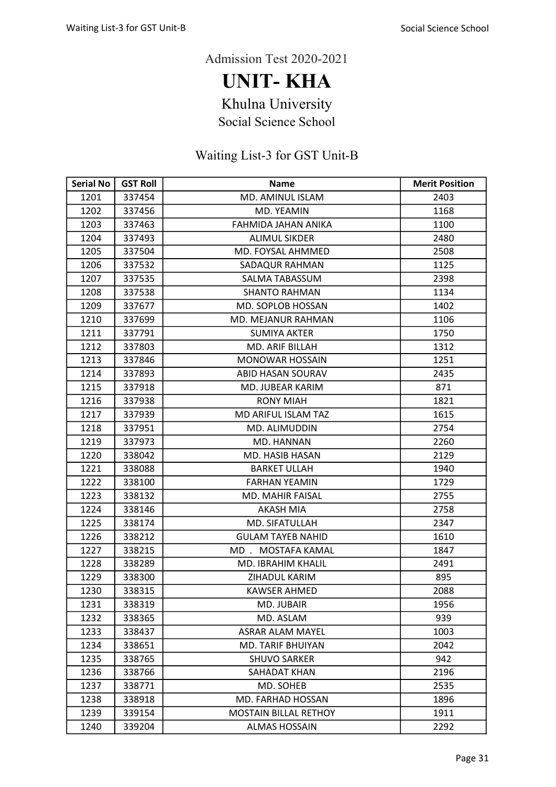UNIT- KHA

Khulna University

Social Science School

| <b>Serial No</b> | <b>GST Roll</b> | <b>Name</b>                  | <b>Merit Position</b> |
|------------------|-----------------|------------------------------|-----------------------|
| 1201             | 337454          | MD. AMINUL ISLAM             | 2403                  |
| 1202             | 337456          | <b>MD. YEAMIN</b>            | 1168                  |
| 1203             | 337463          | FAHMIDA JAHAN ANIKA          | 1100                  |
| 1204             | 337493          | <b>ALIMUL SIKDER</b>         | 2480                  |
| 1205             | 337504          | MD. FOYSAL AHMMED            | 2508                  |
| 1206             | 337532          | SADAQUR RAHMAN               | 1125                  |
| 1207             | 337535          | SALMA TABASSUM               | 2398                  |
| 1208             | 337538          | <b>SHANTO RAHMAN</b>         | 1134                  |
| 1209             | 337677          | MD. SOPLOB HOSSAN            | 1402                  |
| 1210             | 337699          | MD. MEJANUR RAHMAN           | 1106                  |
| 1211             | 337791          | <b>SUMIYA AKTER</b>          | 1750                  |
| 1212             | 337803          | MD. ARIF BILLAH              | 1312                  |
| 1213             | 337846          | <b>MONOWAR HOSSAIN</b>       | 1251                  |
| 1214             | 337893          | ABID HASAN SOURAV            | 2435                  |
| 1215             | 337918          | <b>MD. JUBEAR KARIM</b>      | 871                   |
| 1216             | 337938          | <b>RONY MIAH</b>             | 1821                  |
| 1217             | 337939          | MD ARIFUL ISLAM TAZ          | 1615                  |
| 1218             | 337951          | MD. ALIMUDDIN                | 2754                  |
| 1219             | 337973          | MD. HANNAN                   | 2260                  |
| 1220             | 338042          | MD. HASIB HASAN              | 2129                  |
| 1221             | 338088          | <b>BARKET ULLAH</b>          | 1940                  |
| 1222             | 338100          | <b>FARHAN YEAMIN</b>         | 1729                  |
| 1223             | 338132          | MD. MAHIR FAISAL             | 2755                  |
| 1224             | 338146          | <b>AKASH MIA</b>             | 2758                  |
| 1225             | 338174          | MD. SIFATULLAH               | 2347                  |
| 1226             | 338212          | <b>GULAM TAYEB NAHID</b>     | 1610                  |
| 1227             | 338215          | MD. MOSTAFA KAMAL            | 1847                  |
| 1228             | 338289          | <b>MD. IBRAHIM KHALIL</b>    | 2491                  |
| 1229             | 338300          | ZIHADUL KARIM                | 895                   |
| 1230             | 338315          | <b>KAWSER AHMED</b>          | 2088                  |
| 1231             | 338319          | MD. JUBAIR                   | 1956                  |
| 1232             | 338365          | MD. ASLAM                    | 939                   |
| 1233             | 338437          | <b>ASRAR ALAM MAYEL</b>      | 1003                  |
| 1234             | 338651          | <b>MD. TARIF BHUIYAN</b>     | 2042                  |
| 1235             | 338765          | <b>SHUVO SARKER</b>          | 942                   |
| 1236             | 338766          | SAHADAT KHAN                 | 2196                  |
| 1237             | 338771          | MD. SOHEB                    | 2535                  |
| 1238             | 338918          | MD. FARHAD HOSSAN            | 1896                  |
| 1239             | 339154          | <b>MOSTAIN BILLAL RETHOY</b> | 1911                  |
| 1240             | 339204          | <b>ALMAS HOSSAIN</b>         | 2292                  |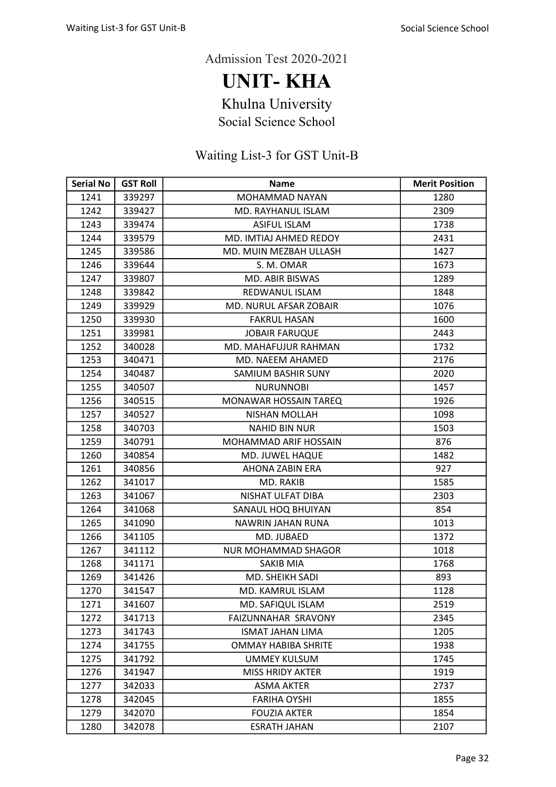UNIT- KHA

Khulna University

Social Science School

| <b>Serial No</b> | <b>GST Roll</b> | <b>Name</b>                | <b>Merit Position</b> |
|------------------|-----------------|----------------------------|-----------------------|
| 1241             | 339297          | MOHAMMAD NAYAN             | 1280                  |
| 1242             | 339427          | MD. RAYHANUL ISLAM         | 2309                  |
| 1243             | 339474          | <b>ASIFUL ISLAM</b>        | 1738                  |
| 1244             | 339579          | MD. IMTIAJ AHMED REDOY     | 2431                  |
| 1245             | 339586          | MD. MUIN MEZBAH ULLASH     | 1427                  |
| 1246             | 339644          | S. M. OMAR                 | 1673                  |
| 1247             | 339807          | <b>MD. ABIR BISWAS</b>     | 1289                  |
| 1248             | 339842          | REDWANUL ISLAM             | 1848                  |
| 1249             | 339929          | MD. NURUL AFSAR ZOBAIR     | 1076                  |
| 1250             | 339930          | <b>FAKRUL HASAN</b>        | 1600                  |
| 1251             | 339981          | <b>JOBAIR FARUQUE</b>      | 2443                  |
| 1252             | 340028          | MD. MAHAFUJUR RAHMAN       | 1732                  |
| 1253             | 340471          | MD. NAEEM AHAMED           | 2176                  |
| 1254             | 340487          | SAMIUM BASHIR SUNY         | 2020                  |
| 1255             | 340507          | <b>NURUNNOBI</b>           | 1457                  |
| 1256             | 340515          | MONAWAR HOSSAIN TAREQ      | 1926                  |
| 1257             | 340527          | <b>NISHAN MOLLAH</b>       | 1098                  |
| 1258             | 340703          | <b>NAHID BIN NUR</b>       | 1503                  |
| 1259             | 340791          | MOHAMMAD ARIF HOSSAIN      | 876                   |
| 1260             | 340854          | MD. JUWEL HAQUE            | 1482                  |
| 1261             | 340856          | AHONA ZABIN ERA            | 927                   |
| 1262             | 341017          | MD. RAKIB                  | 1585                  |
| 1263             | 341067          | NISHAT ULFAT DIBA          | 2303                  |
| 1264             | 341068          | SANAUL HOQ BHUIYAN         | 854                   |
| 1265             | 341090          | <b>NAWRIN JAHAN RUNA</b>   | 1013                  |
| 1266             | 341105          | MD. JUBAED                 | 1372                  |
| 1267             | 341112          | NUR MOHAMMAD SHAGOR        | 1018                  |
| 1268             | 341171          | <b>SAKIB MIA</b>           | 1768                  |
| 1269             | 341426          | <b>MD. SHEIKH SADI</b>     | 893                   |
| 1270             | 341547          | MD. KAMRUL ISLAM           | 1128                  |
| 1271             | 341607          | MD. SAFIQUL ISLAM          | 2519                  |
| 1272             | 341713          | FAIZUNNAHAR SRAVONY        | 2345                  |
| 1273             | 341743          | <b>ISMAT JAHAN LIMA</b>    | 1205                  |
| 1274             | 341755          | <b>OMMAY HABIBA SHRITE</b> | 1938                  |
| 1275             | 341792          | <b>UMMEY KULSUM</b>        | 1745                  |
| 1276             | 341947          | <b>MISS HRIDY AKTER</b>    | 1919                  |
| 1277             | 342033          | <b>ASMA AKTER</b>          | 2737                  |
| 1278             | 342045          | <b>FARIHA OYSHI</b>        | 1855                  |
| 1279             | 342070          | <b>FOUZIA AKTER</b>        | 1854                  |
| 1280             | 342078          | <b>ESRATH JAHAN</b>        | 2107                  |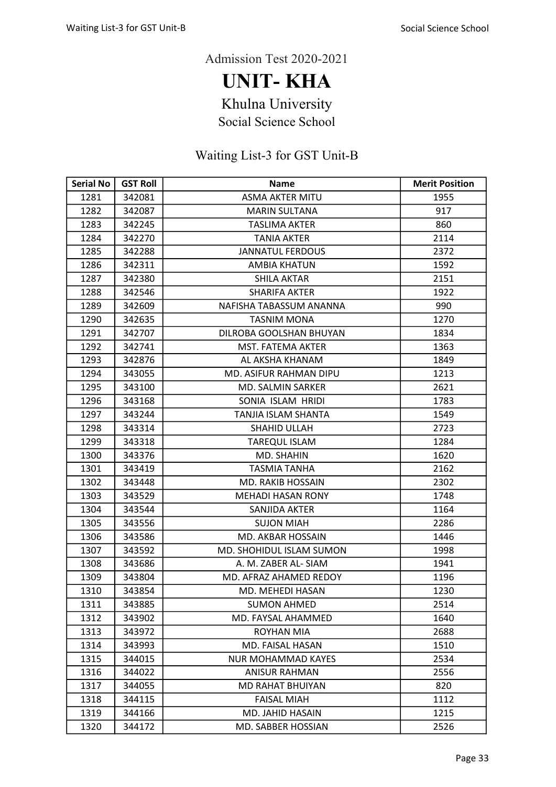UNIT- KHA

Khulna University

Social Science School

| <b>Serial No</b> | <b>GST Roll</b> | <b>Name</b>                     | <b>Merit Position</b> |
|------------------|-----------------|---------------------------------|-----------------------|
| 1281             | 342081          | <b>ASMA AKTER MITU</b>          | 1955                  |
| 1282             | 342087          | <b>MARIN SULTANA</b>            | 917                   |
| 1283             | 342245          | <b>TASLIMA AKTER</b>            | 860                   |
| 1284             | 342270          | <b>TANIA AKTER</b>              | 2114                  |
| 1285             | 342288          | <b>JANNATUL FERDOUS</b>         | 2372                  |
| 1286             | 342311          | <b>AMBIA KHATUN</b>             | 1592                  |
| 1287             | 342380          | <b>SHILA AKTAR</b>              | 2151                  |
| 1288             | 342546          | <b>SHARIFA AKTER</b>            | 1922                  |
| 1289             | 342609          | NAFISHA TABASSUM ANANNA         | 990                   |
| 1290             | 342635          | <b>TASNIM MONA</b>              | 1270                  |
| 1291             | 342707          | DILROBA GOOLSHAN BHUYAN         | 1834                  |
| 1292             | 342741          | MST. FATEMA AKTER               | 1363                  |
| 1293             | 342876          | AL AKSHA KHANAM                 | 1849                  |
| 1294             | 343055          | MD. ASIFUR RAHMAN DIPU          | 1213                  |
| 1295             | 343100          | <b>MD. SALMIN SARKER</b>        | 2621                  |
| 1296             | 343168          | SONIA ISLAM HRIDI               | 1783                  |
| 1297             | 343244          | TANJIA ISLAM SHANTA             | 1549                  |
| 1298             | 343314          | SHAHID ULLAH                    | 2723                  |
| 1299             | 343318          | <b>TAREQUL ISLAM</b>            | 1284                  |
| 1300             | 343376          | MD. SHAHIN                      | 1620                  |
| 1301             | 343419          | <b>TASMIA TANHA</b>             | 2162                  |
| 1302             | 343448          | <b>MD. RAKIB HOSSAIN</b>        | 2302                  |
| 1303             | 343529          | <b>MEHADI HASAN RONY</b>        | 1748                  |
| 1304             | 343544          | SANJIDA AKTER                   | 1164                  |
| 1305             | 343556          | <b>SUJON MIAH</b>               | 2286                  |
| 1306             | 343586          | MD. AKBAR HOSSAIN               | 1446                  |
| 1307             | 343592          | <b>MD. SHOHIDUL ISLAM SUMON</b> | 1998                  |
| 1308             | 343686          | A. M. ZABER AL- SIAM            | 1941                  |
| 1309             | 343804          | MD. AFRAZ AHAMED REDOY          | 1196                  |
| 1310             | 343854          | MD. MEHEDI HASAN                | 1230                  |
| 1311             | 343885          | <b>SUMON AHMED</b>              | 2514                  |
| 1312             | 343902          | MD. FAYSAL AHAMMED              | 1640                  |
| 1313             | 343972          | ROYHAN MIA                      | 2688                  |
| 1314             | 343993          | MD. FAISAL HASAN                | 1510                  |
| 1315             | 344015          | <b>NUR MOHAMMAD KAYES</b>       | 2534                  |
| 1316             | 344022          | ANISUR RAHMAN                   | 2556                  |
| 1317             | 344055          | <b>MD RAHAT BHUIYAN</b>         | 820                   |
| 1318             | 344115          | <b>FAISAL MIAH</b>              | 1112                  |
| 1319             | 344166          | <b>MD. JAHID HASAIN</b>         | 1215                  |
| 1320             | 344172          | MD. SABBER HOSSIAN              | 2526                  |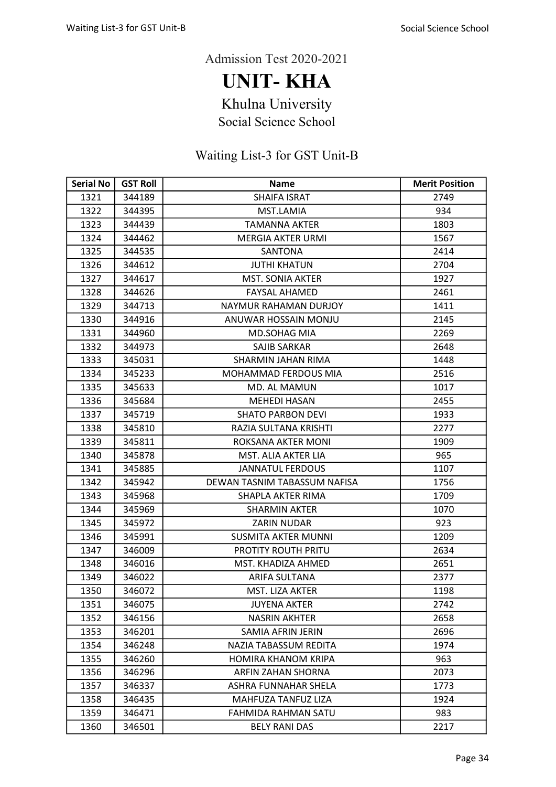UNIT- KHA

Khulna University

Social Science School

| <b>Serial No</b> | <b>GST Roll</b> | <b>Name</b>                  | <b>Merit Position</b> |
|------------------|-----------------|------------------------------|-----------------------|
| 1321             | 344189          | <b>SHAIFA ISRAT</b>          | 2749                  |
| 1322             | 344395          | MST.LAMIA                    | 934                   |
| 1323             | 344439          | <b>TAMANNA AKTER</b>         | 1803                  |
| 1324             | 344462          | <b>MERGIA AKTER URMI</b>     | 1567                  |
| 1325             | 344535          | <b>SANTONA</b>               | 2414                  |
| 1326             | 344612          | <b>JUTHI KHATUN</b>          | 2704                  |
| 1327             | 344617          | <b>MST. SONIA AKTER</b>      | 1927                  |
| 1328             | 344626          | <b>FAYSAL AHAMED</b>         | 2461                  |
| 1329             | 344713          | <b>NAYMUR RAHAMAN DURJOY</b> | 1411                  |
| 1330             | 344916          | ANUWAR HOSSAIN MONJU         | 2145                  |
| 1331             | 344960          | <b>MD.SOHAG MIA</b>          | 2269                  |
| 1332             | 344973          | SAJIB SARKAR                 | 2648                  |
| 1333             | 345031          | <b>SHARMIN JAHAN RIMA</b>    | 1448                  |
| 1334             | 345233          | <b>MOHAMMAD FERDOUS MIA</b>  | 2516                  |
| 1335             | 345633          | <b>MD. AL MAMUN</b>          | 1017                  |
| 1336             | 345684          | <b>MEHEDI HASAN</b>          | 2455                  |
| 1337             | 345719          | <b>SHATO PARBON DEVI</b>     | 1933                  |
| 1338             | 345810          | RAZIA SULTANA KRISHTI        | 2277                  |
| 1339             | 345811          | ROKSANA AKTER MONI           | 1909                  |
| 1340             | 345878          | MST. ALIA AKTER LIA          | 965                   |
| 1341             | 345885          | <b>JANNATUL FERDOUS</b>      | 1107                  |
| 1342             | 345942          | DEWAN TASNIM TABASSUM NAFISA | 1756                  |
| 1343             | 345968          | SHAPLA AKTER RIMA            | 1709                  |
| 1344             | 345969          | <b>SHARMIN AKTER</b>         | 1070                  |
| 1345             | 345972          | ZARIN NUDAR                  | 923                   |
| 1346             | 345991          | <b>SUSMITA AKTER MUNNI</b>   | 1209                  |
| 1347             | 346009          | <b>PROTITY ROUTH PRITU</b>   | 2634                  |
| 1348             | 346016          | MST. KHADIZA AHMED           | 2651                  |
| 1349             | 346022          | ARIFA SULTANA                | 2377                  |
| 1350             | 346072          | MST. LIZA AKTER              | 1198                  |
| 1351             | 346075          | <b>JUYENA AKTER</b>          | 2742                  |
| 1352             | 346156          | <b>NASRIN AKHTER</b>         | 2658                  |
| 1353             | 346201          | SAMIA AFRIN JERIN            | 2696                  |
| 1354             | 346248          | NAZIA TABASSUM REDITA        | 1974                  |
| 1355             | 346260          | <b>HOMIRA KHANOM KRIPA</b>   | 963                   |
| 1356             | 346296          | ARFIN ZAHAN SHORNA           | 2073                  |
| 1357             | 346337          | ASHRA FUNNAHAR SHELA         | 1773                  |
| 1358             | 346435          | MAHFUZA TANFUZ LIZA          | 1924                  |
| 1359             | 346471          | <b>FAHMIDA RAHMAN SATU</b>   | 983                   |
| 1360             | 346501          | <b>BELY RANI DAS</b>         | 2217                  |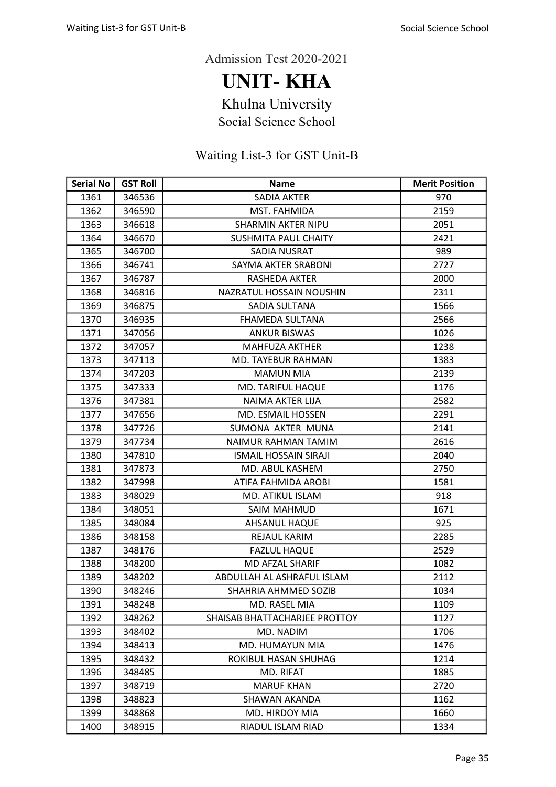UNIT- KHA

Khulna University

Social Science School

| <b>Serial No</b> | <b>GST Roll</b> | <b>Name</b>                   | <b>Merit Position</b> |
|------------------|-----------------|-------------------------------|-----------------------|
| 1361             | 346536          | <b>SADIA AKTER</b>            | 970                   |
| 1362             | 346590          | MST. FAHMIDA                  | 2159                  |
| 1363             | 346618          | <b>SHARMIN AKTER NIPU</b>     | 2051                  |
| 1364             | 346670          | <b>SUSHMITA PAUL CHAITY</b>   | 2421                  |
| 1365             | 346700          | SADIA NUSRAT                  | 989                   |
| 1366             | 346741          | SAYMA AKTER SRABONI           | 2727                  |
| 1367             | 346787          | <b>RASHEDA AKTER</b>          | 2000                  |
| 1368             | 346816          | NAZRATUL HOSSAIN NOUSHIN      | 2311                  |
| 1369             | 346875          | SADIA SULTANA                 | 1566                  |
| 1370             | 346935          | FHAMEDA SULTANA               | 2566                  |
| 1371             | 347056          | <b>ANKUR BISWAS</b>           | 1026                  |
| 1372             | 347057          | <b>MAHFUZA AKTHER</b>         | 1238                  |
| 1373             | 347113          | MD. TAYEBUR RAHMAN            | 1383                  |
| 1374             | 347203          | <b>MAMUN MIA</b>              | 2139                  |
| 1375             | 347333          | MD. TARIFUL HAQUE             | 1176                  |
| 1376             | 347381          | <b>NAIMA AKTER LIJA</b>       | 2582                  |
| 1377             | 347656          | MD. ESMAIL HOSSEN             | 2291                  |
| 1378             | 347726          | SUMONA AKTER MUNA             | 2141                  |
| 1379             | 347734          | NAIMUR RAHMAN TAMIM           | 2616                  |
| 1380             | 347810          | <b>ISMAIL HOSSAIN SIRAJI</b>  | 2040                  |
| 1381             | 347873          | MD. ABUL KASHEM               | 2750                  |
| 1382             | 347998          | ATIFA FAHMIDA AROBI           | 1581                  |
| 1383             | 348029          | MD. ATIKUL ISLAM              | 918                   |
| 1384             | 348051          | <b>SAIM MAHMUD</b>            | 1671                  |
| 1385             | 348084          | AHSANUL HAQUE                 | 925                   |
| 1386             | 348158          | REJAUL KARIM                  | 2285                  |
| 1387             | 348176          | <b>FAZLUL HAQUE</b>           | 2529                  |
| 1388             | 348200          | <b>MD AFZAL SHARIF</b>        | 1082                  |
| 1389             | 348202          | ABDULLAH AL ASHRAFUL ISLAM    | 2112                  |
| 1390             | 348246          | SHAHRIA AHMMED SOZIB          | 1034                  |
| 1391             | 348248          | MD. RASEL MIA                 | 1109                  |
| 1392             | 348262          | SHAISAB BHATTACHARJEE PROTTOY | 1127                  |
| 1393             | 348402          | MD. NADIM                     | 1706                  |
| 1394             | 348413          | MD. HUMAYUN MIA               | 1476                  |
| 1395             | 348432          | ROKIBUL HASAN SHUHAG          | 1214                  |
| 1396             | 348485          | MD. RIFAT                     | 1885                  |
| 1397             | 348719          | <b>MARUF KHAN</b>             | 2720                  |
| 1398             | 348823          | SHAWAN AKANDA                 | 1162                  |
| 1399             | 348868          | MD. HIRDOY MIA                | 1660                  |
| 1400             | 348915          | RIADUL ISLAM RIAD             | 1334                  |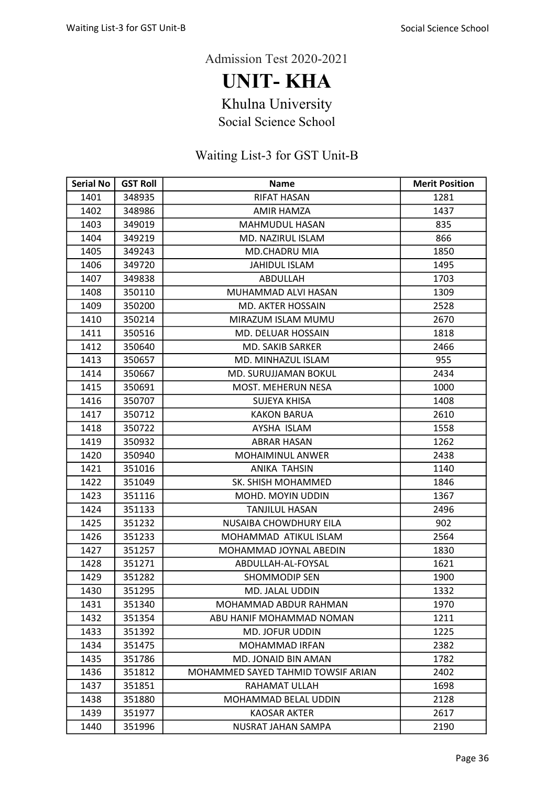UNIT- KHA

Khulna University

Social Science School

| <b>Serial No</b> | <b>GST Roll</b> | <b>Name</b>                        | <b>Merit Position</b> |
|------------------|-----------------|------------------------------------|-----------------------|
| 1401             | 348935          | <b>RIFAT HASAN</b>                 | 1281                  |
| 1402             | 348986          | <b>AMIR HAMZA</b>                  | 1437                  |
| 1403             | 349019          | <b>MAHMUDUL HASAN</b>              | 835                   |
| 1404             | 349219          | MD. NAZIRUL ISLAM                  | 866                   |
| 1405             | 349243          | <b>MD.CHADRU MIA</b>               | 1850                  |
| 1406             | 349720          | <b>JAHIDUL ISLAM</b>               | 1495                  |
| 1407             | 349838          | ABDULLAH                           | 1703                  |
| 1408             | 350110          | MUHAMMAD ALVI HASAN                | 1309                  |
| 1409             | 350200          | <b>MD. AKTER HOSSAIN</b>           | 2528                  |
| 1410             | 350214          | MIRAZUM ISLAM MUMU                 | 2670                  |
| 1411             | 350516          | MD. DELUAR HOSSAIN                 | 1818                  |
| 1412             | 350640          | <b>MD. SAKIB SARKER</b>            | 2466                  |
| 1413             | 350657          | MD. MINHAZUL ISLAM                 | 955                   |
| 1414             | 350667          | <b>MD. SURUJJAMAN BOKUL</b>        | 2434                  |
| 1415             | 350691          | <b>MOST. MEHERUN NESA</b>          | 1000                  |
| 1416             | 350707          | <b>SUJEYA KHISA</b>                | 1408                  |
| 1417             | 350712          | <b>KAKON BARUA</b>                 | 2610                  |
| 1418             | 350722          | AYSHA ISLAM                        | 1558                  |
| 1419             | 350932          | ABRAR HASAN                        | 1262                  |
| 1420             | 350940          | <b>MOHAIMINUL ANWER</b>            | 2438                  |
| 1421             | 351016          | <b>ANIKA TAHSIN</b>                | 1140                  |
| 1422             | 351049          | SK. SHISH MOHAMMED                 | 1846                  |
| 1423             | 351116          | MOHD. MOYIN UDDIN                  | 1367                  |
| 1424             | 351133          | <b>TANJILUL HASAN</b>              | 2496                  |
| 1425             | 351232          | NUSAIBA CHOWDHURY EILA             | 902                   |
| 1426             | 351233          | MOHAMMAD ATIKUL ISLAM              | 2564                  |
| 1427             | 351257          | MOHAMMAD JOYNAL ABEDIN             | 1830                  |
| 1428             | 351271          | ABDULLAH-AL-FOYSAL                 | 1621                  |
| 1429             | 351282          | <b>SHOMMODIP SEN</b>               | 1900                  |
| 1430             | 351295          | MD. JALAL UDDIN                    | 1332                  |
| 1431             | 351340          | MOHAMMAD ABDUR RAHMAN              | 1970                  |
| 1432             | 351354          | ABU HANIF MOHAMMAD NOMAN           | 1211                  |
| 1433             | 351392          | MD. JOFUR UDDIN                    | 1225                  |
| 1434             | 351475          | MOHAMMAD IRFAN                     | 2382                  |
| 1435             | 351786          | MD. JONAID BIN AMAN                | 1782                  |
| 1436             | 351812          | MOHAMMED SAYED TAHMID TOWSIF ARIAN | 2402                  |
| 1437             | 351851          | RAHAMAT ULLAH                      | 1698                  |
| 1438             | 351880          | <b>MOHAMMAD BELAL UDDIN</b>        | 2128                  |
| 1439             | 351977          | <b>KAOSAR AKTER</b>                | 2617                  |
| 1440             | 351996          | NUSRAT JAHAN SAMPA                 | 2190                  |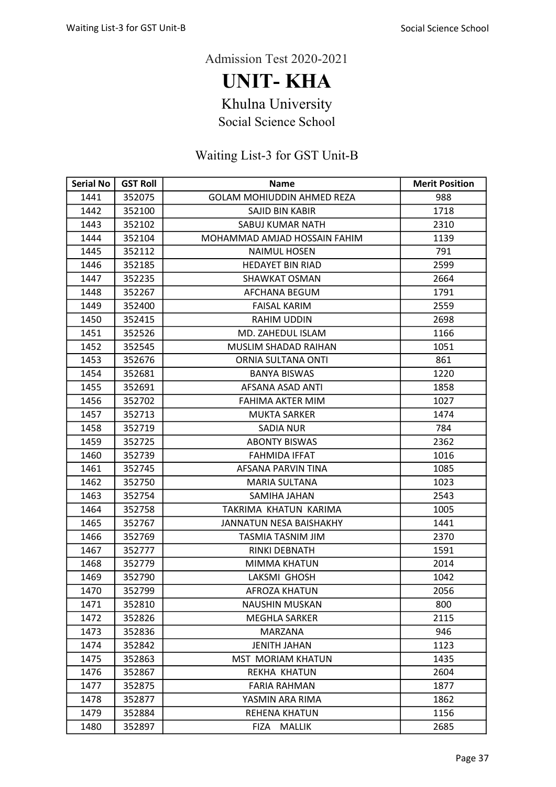UNIT- KHA

Khulna University

Social Science School

| <b>Serial No</b> | <b>GST Roll</b> | <b>Name</b>                       | <b>Merit Position</b> |
|------------------|-----------------|-----------------------------------|-----------------------|
| 1441             | 352075          | <b>GOLAM MOHIUDDIN AHMED REZA</b> | 988                   |
| 1442             | 352100          | SAJID BIN KABIR                   | 1718                  |
| 1443             | 352102          | <b>SABUJ KUMAR NATH</b>           | 2310                  |
| 1444             | 352104          | MOHAMMAD AMJAD HOSSAIN FAHIM      | 1139                  |
| 1445             | 352112          | <b>NAIMUL HOSEN</b>               | 791                   |
| 1446             | 352185          | <b>HEDAYET BIN RIAD</b>           | 2599                  |
| 1447             | 352235          | <b>SHAWKAT OSMAN</b>              | 2664                  |
| 1448             | 352267          | AFCHANA BEGUM                     | 1791                  |
| 1449             | 352400          | <b>FAISAL KARIM</b>               | 2559                  |
| 1450             | 352415          | RAHIM UDDIN                       | 2698                  |
| 1451             | 352526          | MD. ZAHEDUL ISLAM                 | 1166                  |
| 1452             | 352545          | MUSLIM SHADAD RAIHAN              | 1051                  |
| 1453             | 352676          | ORNIA SULTANA ONTI                | 861                   |
| 1454             | 352681          | <b>BANYA BISWAS</b>               | 1220                  |
| 1455             | 352691          | AFSANA ASAD ANTI                  | 1858                  |
| 1456             | 352702          | FAHIMA AKTER MIM                  | 1027                  |
| 1457             | 352713          | <b>MUKTA SARKER</b>               | 1474                  |
| 1458             | 352719          | <b>SADIA NUR</b>                  | 784                   |
| 1459             | 352725          | <b>ABONTY BISWAS</b>              | 2362                  |
| 1460             | 352739          | <b>FAHMIDA IFFAT</b>              | 1016                  |
| 1461             | 352745          | AFSANA PARVIN TINA                | 1085                  |
| 1462             | 352750          | <b>MARIA SULTANA</b>              | 1023                  |
| 1463             | 352754          | SAMIHA JAHAN                      | 2543                  |
| 1464             | 352758          | TAKRIMA KHATUN KARIMA             | 1005                  |
| 1465             | 352767          | JANNATUN NESA BAISHAKHY           | 1441                  |
| 1466             | 352769          | TASMIA TASNIM JIM                 | 2370                  |
| 1467             | 352777          | RINKI DEBNATH                     | 1591                  |
| 1468             | 352779          | MIMMA KHATUN                      | 2014                  |
| 1469             | 352790          | LAKSMI GHOSH                      | 1042                  |
| 1470             | 352799          | <b>AFROZA KHATUN</b>              | 2056                  |
| 1471             | 352810          | <b>NAUSHIN MUSKAN</b>             | 800                   |
| 1472             | 352826          | <b>MEGHLA SARKER</b>              | 2115                  |
| 1473             | 352836          | MARZANA                           | 946                   |
| 1474             | 352842          | <b>JENITH JAHAN</b>               | 1123                  |
| 1475             | 352863          | <b>MST MORIAM KHATUN</b>          | 1435                  |
| 1476             | 352867          | REKHA KHATUN                      | 2604                  |
| 1477             | 352875          | FARIA RAHMAN                      | 1877                  |
| 1478             | 352877          | YASMIN ARA RIMA                   | 1862                  |
| 1479             | 352884          | REHENA KHATUN                     | 1156                  |
| 1480             | 352897          | <b>MALLIK</b><br>FIZA             | 2685                  |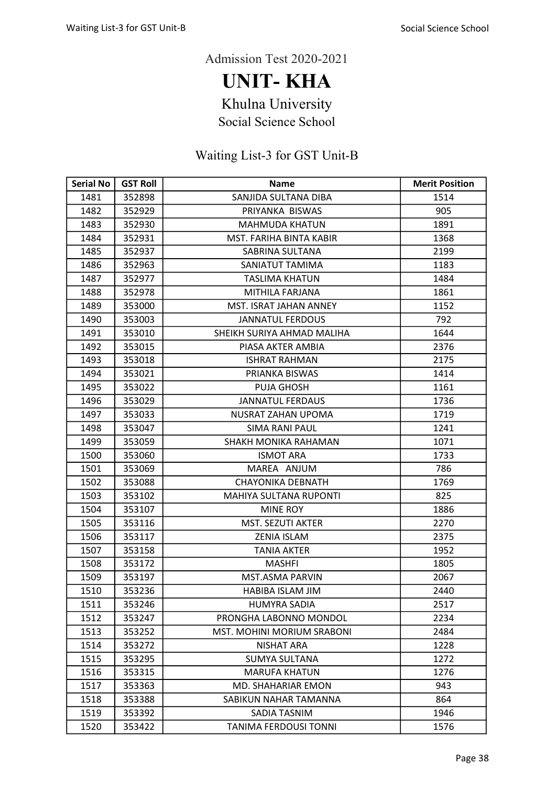UNIT- KHA

Khulna University

Social Science School

| <b>Serial No</b> | <b>GST Roll</b> | Name                          | <b>Merit Position</b> |
|------------------|-----------------|-------------------------------|-----------------------|
| 1481             | 352898          | SANJIDA SULTANA DIBA          | 1514                  |
| 1482             | 352929          | PRIYANKA BISWAS               | 905                   |
| 1483             | 352930          | <b>MAHMUDA KHATUN</b>         | 1891                  |
| 1484             | 352931          | MST. FARIHA BINTA KABIR       | 1368                  |
| 1485             | 352937          | SABRINA SULTANA               | 2199                  |
| 1486             | 352963          | SANIATUT TAMIMA               | 1183                  |
| 1487             | 352977          | TASLIMA KHATUN                | 1484                  |
| 1488             | 352978          | MITHILA FARJANA               | 1861                  |
| 1489             | 353000          | MST. ISRAT JAHAN ANNEY        | 1152                  |
| 1490             | 353003          | <b>JANNATUL FERDOUS</b>       | 792                   |
| 1491             | 353010          | SHEIKH SURIYA AHMAD MALIHA    | 1644                  |
| 1492             | 353015          | PIASA AKTER AMBIA             | 2376                  |
| 1493             | 353018          | <b>ISHRAT RAHMAN</b>          | 2175                  |
| 1494             | 353021          | PRIANKA BISWAS                | 1414                  |
| 1495             | 353022          | <b>PUJA GHOSH</b>             | 1161                  |
| 1496             | 353029          | <b>JANNATUL FERDAUS</b>       | 1736                  |
| 1497             | 353033          | NUSRAT ZAHAN UPOMA            | 1719                  |
| 1498             | 353047          | <b>SIMA RANI PAUL</b>         | 1241                  |
| 1499             | 353059          | SHAKH MONIKA RAHAMAN          | 1071                  |
| 1500             | 353060          | <b>ISMOT ARA</b>              | 1733                  |
| 1501             | 353069          | MAREA ANJUM                   | 786                   |
| 1502             | 353088          | <b>CHAYONIKA DEBNATH</b>      | 1769                  |
| 1503             | 353102          | <b>MAHIYA SULTANA RUPONTI</b> | 825                   |
| 1504             | 353107          | <b>MINE ROY</b>               | 1886                  |
| 1505             | 353116          | <b>MST. SEZUTI AKTER</b>      | 2270                  |
| 1506             | 353117          | <b>ZENIA ISLAM</b>            | 2375                  |
| 1507             | 353158          | <b>TANIA AKTER</b>            | 1952                  |
| 1508             | 353172          | <b>MASHFI</b>                 | 1805                  |
| 1509             | 353197          | MST.ASMA PARVIN               | 2067                  |
| 1510             | 353236          | <b>HABIBA ISLAM JIM</b>       | 2440                  |
| 1511             | 353246          | <b>HUMYRA SADIA</b>           | 2517                  |
| 1512             | 353247          | PRONGHA LABONNO MONDOL        | 2234                  |
| 1513             | 353252          | MST. MOHINI MORIUM SRABONI    | 2484                  |
| 1514             | 353272          | <b>NISHAT ARA</b>             | 1228                  |
| 1515             | 353295          | SUMYA SULTANA                 | 1272                  |
| 1516             | 353315          | <b>MARUFA KHATUN</b>          | 1276                  |
| 1517             | 353363          | MD. SHAHARIAR EMON            | 943                   |
| 1518             | 353388          | SABIKUN NAHAR TAMANNA         | 864                   |
| 1519             | 353392          | SADIA TASNIM                  | 1946                  |
| 1520             | 353422          | <b>TANIMA FERDOUSI TONNI</b>  | 1576                  |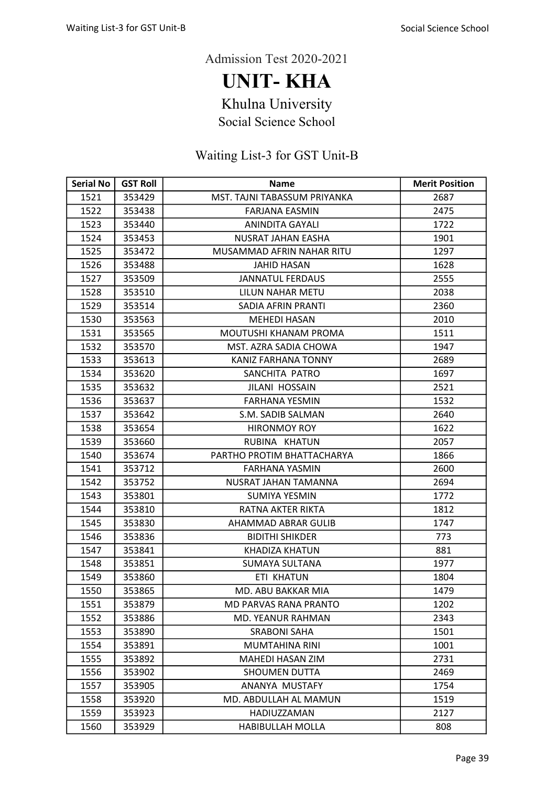UNIT- KHA

Khulna University

Social Science School

| <b>Serial No</b> | <b>GST Roll</b> | Name                         | <b>Merit Position</b> |
|------------------|-----------------|------------------------------|-----------------------|
| 1521             | 353429          | MST. TAJNI TABASSUM PRIYANKA | 2687                  |
| 1522             | 353438          | <b>FARJANA EASMIN</b>        | 2475                  |
| 1523             | 353440          | ANINDITA GAYALI              | 1722                  |
| 1524             | 353453          | <b>NUSRAT JAHAN EASHA</b>    | 1901                  |
| 1525             | 353472          | MUSAMMAD AFRIN NAHAR RITU    | 1297                  |
| 1526             | 353488          | <b>JAHID HASAN</b>           | 1628                  |
| 1527             | 353509          | <b>JANNATUL FERDAUS</b>      | 2555                  |
| 1528             | 353510          | LILUN NAHAR METU             | 2038                  |
| 1529             | 353514          | SADIA AFRIN PRANTI           | 2360                  |
| 1530             | 353563          | <b>MEHEDI HASAN</b>          | 2010                  |
| 1531             | 353565          | MOUTUSHI KHANAM PROMA        | 1511                  |
| 1532             | 353570          | MST. AZRA SADIA CHOWA        | 1947                  |
| 1533             | 353613          | KANIZ FARHANA TONNY          | 2689                  |
| 1534             | 353620          | SANCHITA PATRO               | 1697                  |
| 1535             | 353632          | <b>JILANI HOSSAIN</b>        | 2521                  |
| 1536             | 353637          | <b>FARHANA YESMIN</b>        | 1532                  |
| 1537             | 353642          | S.M. SADIB SALMAN            | 2640                  |
| 1538             | 353654          | <b>HIRONMOY ROY</b>          | 1622                  |
| 1539             | 353660          | RUBINA KHATUN                | 2057                  |
| 1540             | 353674          | PARTHO PROTIM BHATTACHARYA   | 1866                  |
| 1541             | 353712          | <b>FARHANA YASMIN</b>        | 2600                  |
| 1542             | 353752          | NUSRAT JAHAN TAMANNA         | 2694                  |
| 1543             | 353801          | SUMIYA YESMIN                | 1772                  |
| 1544             | 353810          | RATNA AKTER RIKTA            | 1812                  |
| 1545             | 353830          | AHAMMAD ABRAR GULIB          | 1747                  |
| 1546             | 353836          | <b>BIDITHI SHIKDER</b>       | 773                   |
| 1547             | 353841          | KHADIZA KHATUN               | 881                   |
| 1548             | 353851          | <b>SUMAYA SULTANA</b>        | 1977                  |
| 1549             | 353860          | <b>ETI KHATUN</b>            | 1804                  |
| 1550             | 353865          | MD. ABU BAKKAR MIA           | 1479                  |
| 1551             | 353879          | MD PARVAS RANA PRANTO        | 1202                  |
| 1552             | 353886          | MD. YEANUR RAHMAN            | 2343                  |
| 1553             | 353890          | <b>SRABONI SAHA</b>          | 1501                  |
| 1554             | 353891          | <b>MUMTAHINA RINI</b>        | 1001                  |
| 1555             | 353892          | MAHEDI HASAN ZIM             | 2731                  |
| 1556             | 353902          | <b>SHOUMEN DUTTA</b>         | 2469                  |
| 1557             | 353905          | ANANYA MUSTAFY               | 1754                  |
| 1558             | 353920          | MD. ABDULLAH AL MAMUN        | 1519                  |
| 1559             | 353923          | HADIUZZAMAN                  | 2127                  |
| 1560             | 353929          | <b>HABIBULLAH MOLLA</b>      | 808                   |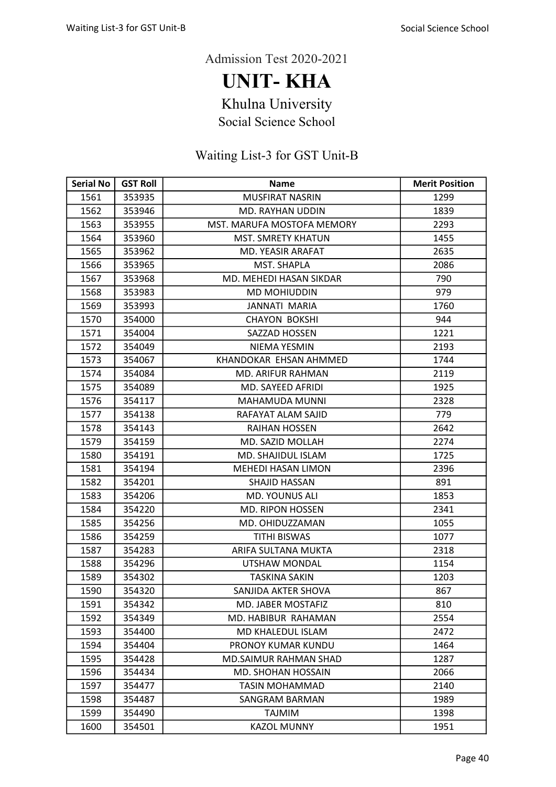UNIT- KHA

Khulna University

Social Science School

| <b>Serial No</b> | <b>GST Roll</b> | <b>Name</b>                  | <b>Merit Position</b> |
|------------------|-----------------|------------------------------|-----------------------|
| 1561             | 353935          | <b>MUSFIRAT NASRIN</b>       | 1299                  |
| 1562             | 353946          | MD. RAYHAN UDDIN             | 1839                  |
| 1563             | 353955          | MST. MARUFA MOSTOFA MEMORY   | 2293                  |
| 1564             | 353960          | <b>MST. SMRETY KHATUN</b>    | 1455                  |
| 1565             | 353962          | MD. YEASIR ARAFAT            | 2635                  |
| 1566             | 353965          | MST. SHAPLA                  | 2086                  |
| 1567             | 353968          | MD. MEHEDI HASAN SIKDAR      | 790                   |
| 1568             | 353983          | MD MOHIUDDIN                 | 979                   |
| 1569             | 353993          | <b>JANNATI MARIA</b>         | 1760                  |
| 1570             | 354000          | <b>CHAYON BOKSHI</b>         | 944                   |
| 1571             | 354004          | SAZZAD HOSSEN                | 1221                  |
| 1572             | 354049          | NIEMA YESMIN                 | 2193                  |
| 1573             | 354067          | KHANDOKAR EHSAN AHMMED       | 1744                  |
| 1574             | 354084          | <b>MD. ARIFUR RAHMAN</b>     | 2119                  |
| 1575             | 354089          | MD. SAYEED AFRIDI            | 1925                  |
| 1576             | 354117          | <b>MAHAMUDA MUNNI</b>        | 2328                  |
| 1577             | 354138          | RAFAYAT ALAM SAJID           | 779                   |
| 1578             | 354143          | RAIHAN HOSSEN                | 2642                  |
| 1579             | 354159          | MD. SAZID MOLLAH             | 2274                  |
| 1580             | 354191          | MD. SHAJIDUL ISLAM           | 1725                  |
| 1581             | 354194          | <b>MEHEDI HASAN LIMON</b>    | 2396                  |
| 1582             | 354201          | SHAJID HASSAN                | 891                   |
| 1583             | 354206          | <b>MD. YOUNUS ALI</b>        | 1853                  |
| 1584             | 354220          | <b>MD. RIPON HOSSEN</b>      | 2341                  |
| 1585             | 354256          | MD. OHIDUZZAMAN              | 1055                  |
| 1586             | 354259          | <b>TITHI BISWAS</b>          | 1077                  |
| 1587             | 354283          | ARIFA SULTANA MUKTA          | 2318                  |
| 1588             | 354296          | UTSHAW MONDAL                | 1154                  |
| 1589             | 354302          | <b>TASKINA SAKIN</b>         | 1203                  |
| 1590             | 354320          | SANJIDA AKTER SHOVA          | 867                   |
| 1591             | 354342          | MD. JABER MOSTAFIZ           | 810                   |
| 1592             | 354349          | MD. HABIBUR RAHAMAN          | 2554                  |
| 1593             | 354400          | MD KHALEDUL ISLAM            | 2472                  |
| 1594             | 354404          | PRONOY KUMAR KUNDU           | 1464                  |
| 1595             | 354428          | <b>MD.SAIMUR RAHMAN SHAD</b> | 1287                  |
| 1596             | 354434          | MD. SHOHAN HOSSAIN           | 2066                  |
| 1597             | 354477          | TASIN MOHAMMAD               | 2140                  |
| 1598             | 354487          | SANGRAM BARMAN               | 1989                  |
| 1599             | 354490          | <b>NIMIAT</b>                | 1398                  |
| 1600             | 354501          | <b>KAZOL MUNNY</b>           | 1951                  |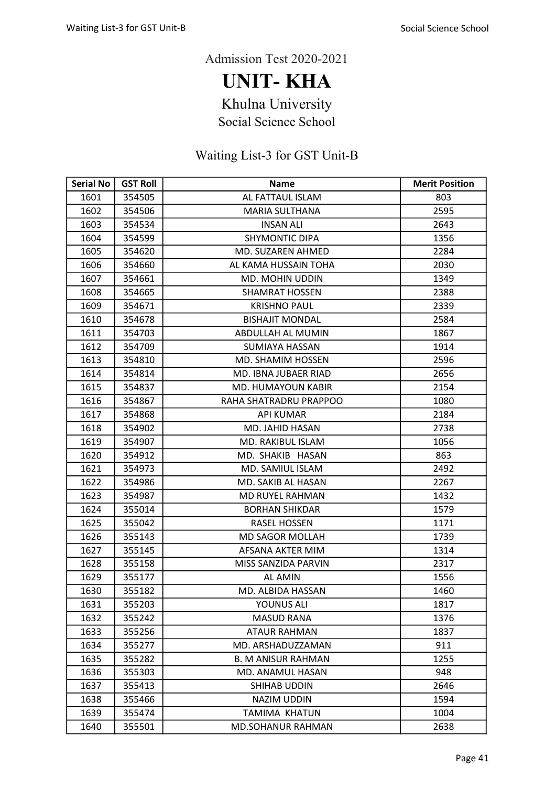UNIT- KHA

Khulna University

Social Science School

| <b>Serial No</b> | <b>GST Roll</b> | <b>Name</b>               | <b>Merit Position</b> |
|------------------|-----------------|---------------------------|-----------------------|
| 1601             | 354505          | AL FATTAUL ISLAM          | 803                   |
| 1602             | 354506          | <b>MARIA SULTHANA</b>     | 2595                  |
| 1603             | 354534          | <b>INSAN ALI</b>          | 2643                  |
| 1604             | 354599          | <b>SHYMONTIC DIPA</b>     | 1356                  |
| 1605             | 354620          | MD. SUZAREN AHMED         | 2284                  |
| 1606             | 354660          | AL KAMA HUSSAIN TOHA      | 2030                  |
| 1607             | 354661          | MD. MOHIN UDDIN           | 1349                  |
| 1608             | 354665          | <b>SHAMRAT HOSSEN</b>     | 2388                  |
| 1609             | 354671          | <b>KRISHNO PAUL</b>       | 2339                  |
| 1610             | 354678          | <b>BISHAJIT MONDAL</b>    | 2584                  |
| 1611             | 354703          | ABDULLAH AL MUMIN         | 1867                  |
| 1612             | 354709          | <b>SUMIAYA HASSAN</b>     | 1914                  |
| 1613             | 354810          | MD. SHAMIM HOSSEN         | 2596                  |
| 1614             | 354814          | MD. IBNA JUBAER RIAD      | 2656                  |
| 1615             | 354837          | MD. HUMAYOUN KABIR        | 2154                  |
| 1616             | 354867          | RAHA SHATRADRU PRAPPOO    | 1080                  |
| 1617             | 354868          | <b>API KUMAR</b>          | 2184                  |
| 1618             | 354902          | MD. JAHID HASAN           | 2738                  |
| 1619             | 354907          | MD. RAKIBUL ISLAM         | 1056                  |
| 1620             | 354912          | MD. SHAKIB HASAN          | 863                   |
| 1621             | 354973          | MD. SAMIUL ISLAM          | 2492                  |
| 1622             | 354986          | MD. SAKIB AL HASAN        | 2267                  |
| 1623             | 354987          | MD RUYEL RAHMAN           | 1432                  |
| 1624             | 355014          | <b>BORHAN SHIKDAR</b>     | 1579                  |
| 1625             | 355042          | RASEL HOSSEN              | 1171                  |
| 1626             | 355143          | <b>MD SAGOR MOLLAH</b>    | 1739                  |
| 1627             | 355145          | AFSANA AKTER MIM          | 1314                  |
| 1628             | 355158          | MISS SANZIDA PARVIN       | 2317                  |
| 1629             | 355177          | AL AMIN                   | 1556                  |
| 1630             | 355182          | MD. ALBIDA HASSAN         | 1460                  |
| 1631             | 355203          | YOUNUS ALI                | 1817                  |
| 1632             | 355242          | <b>MASUD RANA</b>         | 1376                  |
| 1633             | 355256          | ATAUR RAHMAN              | 1837                  |
| 1634             | 355277          | MD. ARSHADUZZAMAN         | 911                   |
| 1635             | 355282          | <b>B. M ANISUR RAHMAN</b> | 1255                  |
| 1636             | 355303          | MD. ANAMUL HASAN          | 948                   |
| 1637             | 355413          | SHIHAB UDDIN              | 2646                  |
| 1638             | 355466          | <b>NAZIM UDDIN</b>        | 1594                  |
| 1639             | 355474          | TAMIMA KHATUN             | 1004                  |
| 1640             | 355501          | <b>MD.SOHANUR RAHMAN</b>  | 2638                  |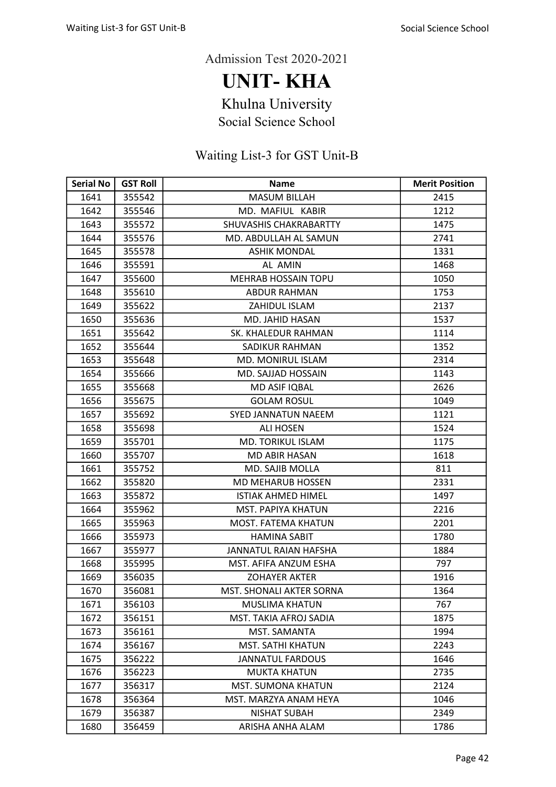UNIT- KHA

Khulna University

Social Science School

| <b>Serial No</b> | <b>GST Roll</b> | <b>Name</b>                     | <b>Merit Position</b> |
|------------------|-----------------|---------------------------------|-----------------------|
| 1641             | 355542          | <b>MASUM BILLAH</b>             | 2415                  |
| 1642             | 355546          | MD. MAFIUL KABIR                | 1212                  |
| 1643             | 355572          | SHUVASHIS CHAKRABARTTY          | 1475                  |
| 1644             | 355576          | MD. ABDULLAH AL SAMUN           | 2741                  |
| 1645             | 355578          | <b>ASHIK MONDAL</b>             | 1331                  |
| 1646             | 355591          | AL AMIN                         | 1468                  |
| 1647             | 355600          | <b>MEHRAB HOSSAIN TOPU</b>      | 1050                  |
| 1648             | 355610          | <b>ABDUR RAHMAN</b>             | 1753                  |
| 1649             | 355622          | ZAHIDUL ISLAM                   | 2137                  |
| 1650             | 355636          | MD. JAHID HASAN                 | 1537                  |
| 1651             | 355642          | SK. KHALEDUR RAHMAN             | 1114                  |
| 1652             | 355644          | SADIKUR RAHMAN                  | 1352                  |
| 1653             | 355648          | MD. MONIRUL ISLAM               | 2314                  |
| 1654             | 355666          | <b>MD. SAJJAD HOSSAIN</b>       | 1143                  |
| 1655             | 355668          | MD ASIF IQBAL                   | 2626                  |
| 1656             | 355675          | <b>GOLAM ROSUL</b>              | 1049                  |
| 1657             | 355692          | <b>SYED JANNATUN NAEEM</b>      | 1121                  |
| 1658             | 355698          | <b>ALI HOSEN</b>                | 1524                  |
| 1659             | 355701          | <b>MD. TORIKUL ISLAM</b>        | 1175                  |
| 1660             | 355707          | <b>MD ABIR HASAN</b>            | 1618                  |
| 1661             | 355752          | MD. SAJIB MOLLA                 | 811                   |
| 1662             | 355820          | <b>MD MEHARUB HOSSEN</b>        | 2331                  |
| 1663             | 355872          | <b>ISTIAK AHMED HIMEL</b>       | 1497                  |
| 1664             | 355962          | MST. PAPIYA KHATUN              | 2216                  |
| 1665             | 355963          | MOST. FATEMA KHATUN             | 2201                  |
| 1666             | 355973          | <b>HAMINA SABIT</b>             | 1780                  |
| 1667             | 355977          | JANNATUL RAIAN HAFSHA           | 1884                  |
| 1668             | 355995          | MST. AFIFA ANZUM ESHA           | 797                   |
| 1669             | 356035          | <b>ZOHAYER AKTER</b>            | 1916                  |
| 1670             | 356081          | <b>MST. SHONALI AKTER SORNA</b> | 1364                  |
| 1671             | 356103          | <b>MUSLIMA KHATUN</b>           | 767                   |
| 1672             | 356151          | MST. TAKIA AFROJ SADIA          | 1875                  |
| 1673             | 356161          | MST. SAMANTA                    | 1994                  |
| 1674             | 356167          | <b>MST. SATHI KHATUN</b>        | 2243                  |
| 1675             | 356222          | <b>JANNATUL FARDOUS</b>         | 1646                  |
| 1676             | 356223          | <b>MUKTA KHATUN</b>             | 2735                  |
| 1677             | 356317          | <b>MST. SUMONA KHATUN</b>       | 2124                  |
| 1678             | 356364          | MST. MARZYA ANAM HEYA           | 1046                  |
| 1679             | 356387          | <b>NISHAT SUBAH</b>             | 2349                  |
| 1680             | 356459          | ARISHA ANHA ALAM                | 1786                  |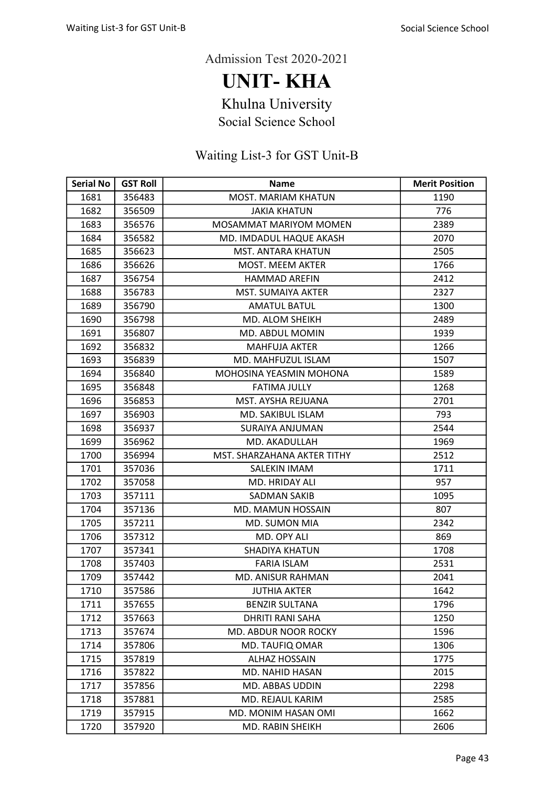UNIT- KHA

Khulna University

Social Science School

| <b>Serial No</b> | <b>GST Roll</b> | <b>Name</b>                   | <b>Merit Position</b> |
|------------------|-----------------|-------------------------------|-----------------------|
| 1681             | 356483          | <b>MOST. MARIAM KHATUN</b>    | 1190                  |
| 1682             | 356509          | <b>JAKIA KHATUN</b>           | 776                   |
| 1683             | 356576          | <b>MOSAMMAT MARIYOM MOMEN</b> | 2389                  |
| 1684             | 356582          | MD. IMDADUL HAQUE AKASH       | 2070                  |
| 1685             | 356623          | <b>MST. ANTARA KHATUN</b>     | 2505                  |
| 1686             | 356626          | <b>MOST. MEEM AKTER</b>       | 1766                  |
| 1687             | 356754          | <b>HAMMAD AREFIN</b>          | 2412                  |
| 1688             | 356783          | MST. SUMAIYA AKTER            | 2327                  |
| 1689             | 356790          | <b>AMATUL BATUL</b>           | 1300                  |
| 1690             | 356798          | MD. ALOM SHEIKH               | 2489                  |
| 1691             | 356807          | MD. ABDUL MOMIN               | 1939                  |
| 1692             | 356832          | <b>MAHFUJA AKTER</b>          | 1266                  |
| 1693             | 356839          | MD. MAHFUZUL ISLAM            | 1507                  |
| 1694             | 356840          | MOHOSINA YEASMIN MOHONA       | 1589                  |
| 1695             | 356848          | <b>FATIMA JULLY</b>           | 1268                  |
| 1696             | 356853          | MST. AYSHA REJUANA            | 2701                  |
| 1697             | 356903          | MD. SAKIBUL ISLAM             | 793                   |
| 1698             | 356937          | SURAIYA ANJUMAN               | 2544                  |
| 1699             | 356962          | MD. AKADULLAH                 | 1969                  |
| 1700             | 356994          | MST. SHARZAHANA AKTER TITHY   | 2512                  |
| 1701             | 357036          | SALEKIN IMAM                  | 1711                  |
| 1702             | 357058          | MD. HRIDAY ALI                | 957                   |
| 1703             | 357111          | <b>SADMAN SAKIB</b>           | 1095                  |
| 1704             | 357136          | MD. MAMUN HOSSAIN             | 807                   |
| 1705             | 357211          | MD. SUMON MIA                 | 2342                  |
| 1706             | 357312          | MD. OPY ALI                   | 869                   |
| 1707             | 357341          | <b>SHADIYA KHATUN</b>         | 1708                  |
| 1708             | 357403          | <b>FARIA ISLAM</b>            | 2531                  |
| 1709             | 357442          | MD. ANISUR RAHMAN             | 2041                  |
| 1710             | 357586          | <b>JUTHIA AKTER</b>           | 1642                  |
| 1711             | 357655          | <b>BENZIR SULTANA</b>         | 1796                  |
| 1712             | 357663          | <b>DHRITI RANI SAHA</b>       | 1250                  |
| 1713             | 357674          | <b>MD. ABDUR NOOR ROCKY</b>   | 1596                  |
| 1714             | 357806          | MD. TAUFIQ OMAR               | 1306                  |
| 1715             | 357819          | <b>ALHAZ HOSSAIN</b>          | 1775                  |
| 1716             | 357822          | MD. NAHID HASAN               | 2015                  |
| 1717             | 357856          | MD. ABBAS UDDIN               | 2298                  |
| 1718             | 357881          | MD. REJAUL KARIM              | 2585                  |
| 1719             | 357915          | <b>MD. MONIM HASAN OMI</b>    | 1662                  |
| 1720             | 357920          | MD. RABIN SHEIKH              | 2606                  |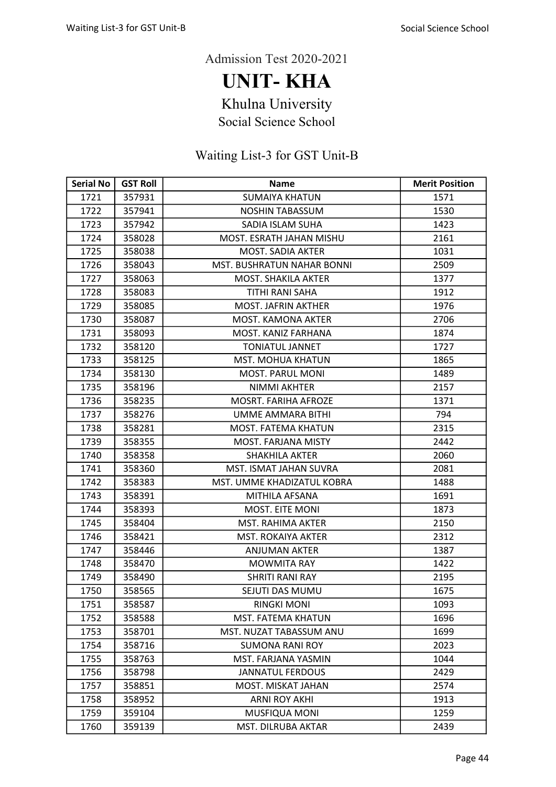UNIT- KHA

Khulna University

Social Science School

| <b>Serial No</b> | <b>GST Roll</b> | <b>Name</b>                 | <b>Merit Position</b> |
|------------------|-----------------|-----------------------------|-----------------------|
| 1721             | 357931          | <b>SUMAIYA KHATUN</b>       | 1571                  |
| 1722             | 357941          | <b>NOSHIN TABASSUM</b>      | 1530                  |
| 1723             | 357942          | SADIA ISLAM SUHA            | 1423                  |
| 1724             | 358028          | MOST, ESRATH JAHAN MISHU    | 2161                  |
| 1725             | 358038          | <b>MOST. SADIA AKTER</b>    | 1031                  |
| 1726             | 358043          | MST. BUSHRATUN NAHAR BONNI  | 2509                  |
| 1727             | 358063          | <b>MOST. SHAKILA AKTER</b>  | 1377                  |
| 1728             | 358083          | TITHI RANI SAHA             | 1912                  |
| 1729             | 358085          | <b>MOST. JAFRIN AKTHER</b>  | 1976                  |
| 1730             | 358087          | MOST. KAMONA AKTER          | 2706                  |
| 1731             | 358093          | MOST. KANIZ FARHANA         | 1874                  |
| 1732             | 358120          | <b>TONIATUL JANNET</b>      | 1727                  |
| 1733             | 358125          | <b>MST. MOHUA KHATUN</b>    | 1865                  |
| 1734             | 358130          | <b>MOST. PARUL MONI</b>     | 1489                  |
| 1735             | 358196          | <b>NIMMI AKHTER</b>         | 2157                  |
| 1736             | 358235          | <b>MOSRT. FARIHA AFROZE</b> | 1371                  |
| 1737             | 358276          | UMME AMMARA BITHI           | 794                   |
| 1738             | 358281          | MOST. FATEMA KHATUN         | 2315                  |
| 1739             | 358355          | MOST. FARJANA MISTY         | 2442                  |
| 1740             | 358358          | <b>SHAKHILA AKTER</b>       | 2060                  |
| 1741             | 358360          | MST. ISMAT JAHAN SUVRA      | 2081                  |
| 1742             | 358383          | MST. UMME KHADIZATUL KOBRA  | 1488                  |
| 1743             | 358391          | MITHILA AFSANA              | 1691                  |
| 1744             | 358393          | <b>MOST. EITE MONI</b>      | 1873                  |
| 1745             | 358404          | MST. RAHIMA AKTER           | 2150                  |
| 1746             | 358421          | <b>MST. ROKAIYA AKTER</b>   | 2312                  |
| 1747             | 358446          | <b>ANJUMAN AKTER</b>        | 1387                  |
| 1748             | 358470          | <b>MOWMITA RAY</b>          | 1422                  |
| 1749             | 358490          | SHRITI RANI RAY             | 2195                  |
| 1750             | 358565          | SEJUTI DAS MUMU             | 1675                  |
| 1751             | 358587          | <b>RINGKI MONI</b>          | 1093                  |
| 1752             | 358588          | MST. FATEMA KHATUN          | 1696                  |
| 1753             | 358701          | MST. NUZAT TABASSUM ANU     | 1699                  |
| 1754             | 358716          | <b>SUMONA RANI ROY</b>      | 2023                  |
| 1755             | 358763          | MST. FARJANA YASMIN         | 1044                  |
| 1756             | 358798          | <b>JANNATUL FERDOUS</b>     | 2429                  |
| 1757             | 358851          | MOST. MISKAT JAHAN          | 2574                  |
| 1758             | 358952          | <b>ARNI ROY AKHI</b>        | 1913                  |
| 1759             | 359104          | MUSFIQUA MONI               | 1259                  |
| 1760             | 359139          | MST. DILRUBA AKTAR          | 2439                  |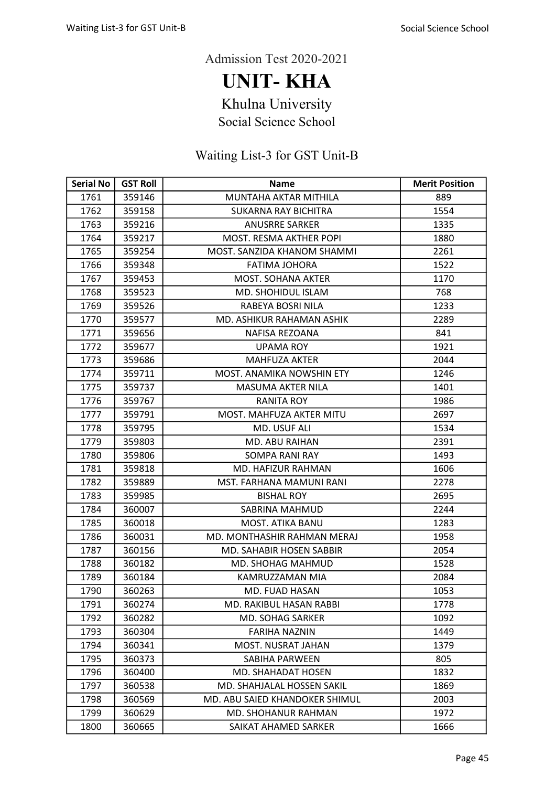UNIT- KHA

Khulna University

Social Science School

| <b>Serial No</b> | <b>GST Roll</b> | <b>Name</b>                    | <b>Merit Position</b> |
|------------------|-----------------|--------------------------------|-----------------------|
| 1761             | 359146          | MUNTAHA AKTAR MITHILA          | 889                   |
| 1762             | 359158          | <b>SUKARNA RAY BICHITRA</b>    | 1554                  |
| 1763             | 359216          | <b>ANUSRRE SARKER</b>          | 1335                  |
| 1764             | 359217          | MOST. RESMA AKTHER POPI        | 1880                  |
| 1765             | 359254          | MOST. SANZIDA KHANOM SHAMMI    | 2261                  |
| 1766             | 359348          | FATIMA JOHORA                  | 1522                  |
| 1767             | 359453          | <b>MOST. SOHANA AKTER</b>      | 1170                  |
| 1768             | 359523          | <b>MD. SHOHIDUL ISLAM</b>      | 768                   |
| 1769             | 359526          | RABEYA BOSRI NILA              | 1233                  |
| 1770             | 359577          | MD. ASHIKUR RAHAMAN ASHIK      | 2289                  |
| 1771             | 359656          | NAFISA REZOANA                 | 841                   |
| 1772             | 359677          | UPAMA ROY                      | 1921                  |
| 1773             | 359686          | <b>MAHFUZA AKTER</b>           | 2044                  |
| 1774             | 359711          | MOST. ANAMIKA NOWSHIN ETY      | 1246                  |
| 1775             | 359737          | MASUMA AKTER NILA              | 1401                  |
| 1776             | 359767          | <b>RANITA ROY</b>              | 1986                  |
| 1777             | 359791          | MOST. MAHFUZA AKTER MITU       | 2697                  |
| 1778             | 359795          | MD. USUF ALI                   | 1534                  |
| 1779             | 359803          | MD. ABU RAIHAN                 | 2391                  |
| 1780             | 359806          | SOMPA RANI RAY                 | 1493                  |
| 1781             | 359818          | MD. HAFIZUR RAHMAN             | 1606                  |
| 1782             | 359889          | MST. FARHANA MAMUNI RANI       | 2278                  |
| 1783             | 359985          | <b>BISHAL ROY</b>              | 2695                  |
| 1784             | 360007          | SABRINA MAHMUD                 | 2244                  |
| 1785             | 360018          | MOST. ATIKA BANU               | 1283                  |
| 1786             | 360031          | MD. MONTHASHIR RAHMAN MERAJ    | 1958                  |
| 1787             | 360156          | MD. SAHABIR HOSEN SABBIR       | 2054                  |
| 1788             | 360182          | MD. SHOHAG MAHMUD              | 1528                  |
| 1789             | 360184          | KAMRUZZAMAN MIA                | 2084                  |
| 1790             | 360263          | <b>MD. FUAD HASAN</b>          | 1053                  |
| 1791             | 360274          | MD. RAKIBUL HASAN RABBI        | 1778                  |
| 1792             | 360282          | MD. SOHAG SARKER               | 1092                  |
| 1793             | 360304          | <b>FARIHA NAZNIN</b>           | 1449                  |
| 1794             | 360341          | MOST. NUSRAT JAHAN             | 1379                  |
| 1795             | 360373          | SABIHA PARWEEN                 | 805                   |
| 1796             | 360400          | MD. SHAHADAT HOSEN             | 1832                  |
| 1797             | 360538          | MD. SHAHJALAL HOSSEN SAKIL     | 1869                  |
| 1798             | 360569          | MD. ABU SAIED KHANDOKER SHIMUL | 2003                  |
| 1799             | 360629          | MD. SHOHANUR RAHMAN            | 1972                  |
| 1800             | 360665          | SAIKAT AHAMED SARKER           | 1666                  |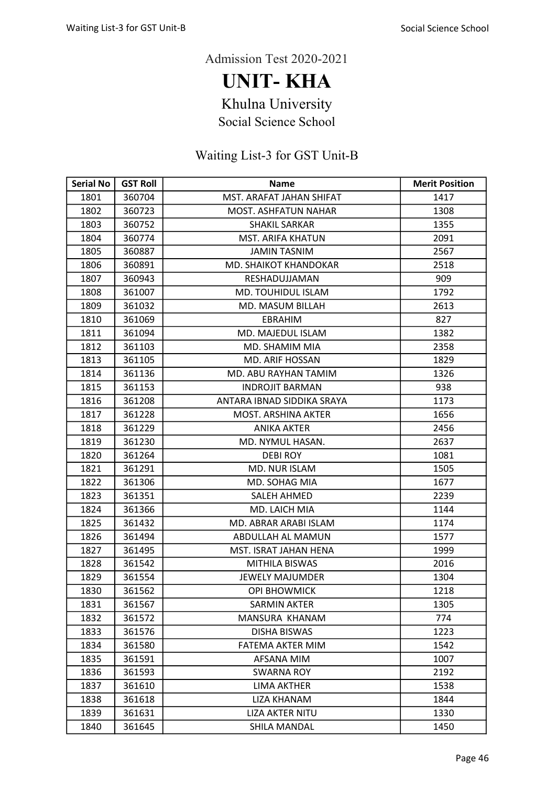UNIT- KHA

Khulna University

Social Science School

| <b>Serial No</b> | <b>GST Roll</b> | <b>Name</b>                 | <b>Merit Position</b> |
|------------------|-----------------|-----------------------------|-----------------------|
| 1801             | 360704          | MST. ARAFAT JAHAN SHIFAT    | 1417                  |
| 1802             | 360723          | <b>MOST. ASHFATUN NAHAR</b> | 1308                  |
| 1803             | 360752          | <b>SHAKIL SARKAR</b>        | 1355                  |
| 1804             | 360774          | MST. ARIFA KHATUN           | 2091                  |
| 1805             | 360887          | <b>JAMIN TASNIM</b>         | 2567                  |
| 1806             | 360891          | MD. SHAIKOT KHANDOKAR       | 2518                  |
| 1807             | 360943          | RESHADUJJAMAN               | 909                   |
| 1808             | 361007          | <b>MD. TOUHIDUL ISLAM</b>   | 1792                  |
| 1809             | 361032          | MD. MASUM BILLAH            | 2613                  |
| 1810             | 361069          | <b>EBRAHIM</b>              | 827                   |
| 1811             | 361094          | MD. MAJEDUL ISLAM           | 1382                  |
| 1812             | 361103          | MD. SHAMIM MIA              | 2358                  |
| 1813             | 361105          | <b>MD. ARIF HOSSAN</b>      | 1829                  |
| 1814             | 361136          | MD. ABU RAYHAN TAMIM        | 1326                  |
| 1815             | 361153          | <b>INDROJIT BARMAN</b>      | 938                   |
| 1816             | 361208          | ANTARA IBNAD SIDDIKA SRAYA  | 1173                  |
| 1817             | 361228          | MOST. ARSHINA AKTER         | 1656                  |
| 1818             | 361229          | <b>ANIKA AKTER</b>          | 2456                  |
| 1819             | 361230          | MD. NYMUL HASAN.            | 2637                  |
| 1820             | 361264          | <b>DEBIROY</b>              | 1081                  |
| 1821             | 361291          | MD. NUR ISLAM               | 1505                  |
| 1822             | 361306          | MD. SOHAG MIA               | 1677                  |
| 1823             | 361351          | <b>SALEH AHMED</b>          | 2239                  |
| 1824             | 361366          | MD. LAICH MIA               | 1144                  |
| 1825             | 361432          | MD. ABRAR ARABI ISLAM       | 1174                  |
| 1826             | 361494          | ABDULLAH AL MAMUN           | 1577                  |
| 1827             | 361495          | MST. ISRAT JAHAN HENA       | 1999                  |
| 1828             | 361542          | <b>MITHILA BISWAS</b>       | 2016                  |
| 1829             | 361554          | <b>JEWELY MAJUMDER</b>      | 1304                  |
| 1830             | 361562          | <b>OPI BHOWMICK</b>         | 1218                  |
| 1831             | 361567          | <b>SARMIN AKTER</b>         | 1305                  |
| 1832             | 361572          | MANSURA KHANAM              | 774                   |
| 1833             | 361576          | <b>DISHA BISWAS</b>         | 1223                  |
| 1834             | 361580          | <b>FATEMA AKTER MIM</b>     | 1542                  |
| 1835             | 361591          | AFSANA MIM                  | 1007                  |
| 1836             | 361593          | <b>SWARNA ROY</b>           | 2192                  |
| 1837             | 361610          | LIMA AKTHER                 | 1538                  |
| 1838             | 361618          | <b>LIZA KHANAM</b>          | 1844                  |
| 1839             | 361631          | <b>LIZA AKTER NITU</b>      | 1330                  |
| 1840             | 361645          | SHILA MANDAL                | 1450                  |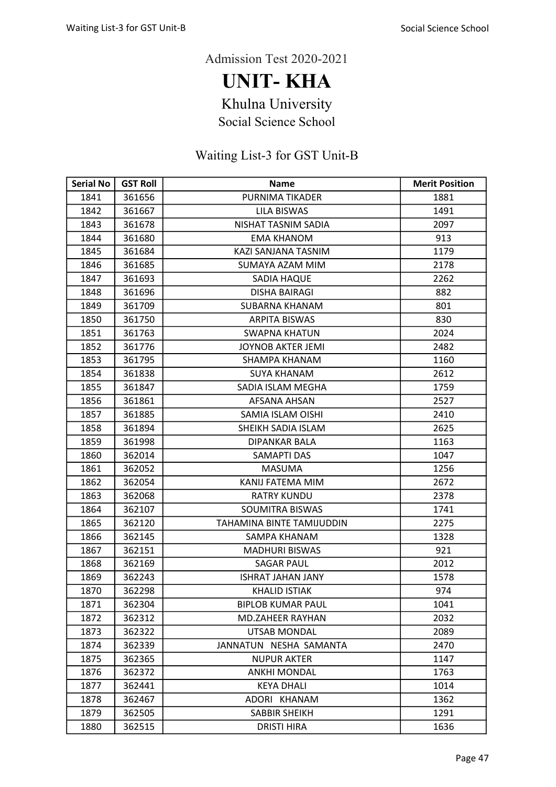UNIT- KHA

Khulna University

Social Science School

| <b>Serial No</b> | <b>GST Roll</b> | <b>Name</b>               | <b>Merit Position</b> |
|------------------|-----------------|---------------------------|-----------------------|
| 1841             | 361656          | PURNIMA TIKADER           | 1881                  |
| 1842             | 361667          | <b>LILA BISWAS</b>        | 1491                  |
| 1843             | 361678          | NISHAT TASNIM SADIA       | 2097                  |
| 1844             | 361680          | <b>EMA KHANOM</b>         | 913                   |
| 1845             | 361684          | KAZI SANJANA TASNIM       | 1179                  |
| 1846             | 361685          | SUMAYA AZAM MIM           | 2178                  |
| 1847             | 361693          | SADIA HAQUE               | 2262                  |
| 1848             | 361696          | <b>DISHA BAIRAGI</b>      | 882                   |
| 1849             | 361709          | <b>SUBARNA KHANAM</b>     | 801                   |
| 1850             | 361750          | <b>ARPITA BISWAS</b>      | 830                   |
| 1851             | 361763          | <b>SWAPNA KHATUN</b>      | 2024                  |
| 1852             | 361776          | <b>JOYNOB AKTER JEMI</b>  | 2482                  |
| 1853             | 361795          | <b>SHAMPA KHANAM</b>      | 1160                  |
| 1854             | 361838          | <b>SUYA KHANAM</b>        | 2612                  |
| 1855             | 361847          | SADIA ISLAM MEGHA         | 1759                  |
| 1856             | 361861          | AFSANA AHSAN              | 2527                  |
| 1857             | 361885          | SAMIA ISLAM OISHI         | 2410                  |
| 1858             | 361894          | SHEIKH SADIA ISLAM        | 2625                  |
| 1859             | 361998          | DIPANKAR BALA             | 1163                  |
| 1860             | 362014          | SAMAPTI DAS               | 1047                  |
| 1861             | 362052          | <b>MASUMA</b>             | 1256                  |
| 1862             | 362054          | KANIJ FATEMA MIM          | 2672                  |
| 1863             | 362068          | <b>RATRY KUNDU</b>        | 2378                  |
| 1864             | 362107          | SOUMITRA BISWAS           | 1741                  |
| 1865             | 362120          | TAHAMINA BINTE TAMIJUDDIN | 2275                  |
| 1866             | 362145          | SAMPA KHANAM              | 1328                  |
| 1867             | 362151          | <b>MADHURI BISWAS</b>     | 921                   |
| 1868             | 362169          | <b>SAGAR PAUL</b>         | 2012                  |
| 1869             | 362243          | <b>ISHRAT JAHAN JANY</b>  | 1578                  |
| 1870             | 362298          | <b>KHALID ISTIAK</b>      | 974                   |
| 1871             | 362304          | <b>BIPLOB KUMAR PAUL</b>  | 1041                  |
| 1872             | 362312          | <b>MD.ZAHEER RAYHAN</b>   | 2032                  |
| 1873             | 362322          | UTSAB MONDAL              | 2089                  |
| 1874             | 362339          | JANNATUN NESHA SAMANTA    | 2470                  |
| 1875             | 362365          | <b>NUPUR AKTER</b>        | 1147                  |
| 1876             | 362372          | <b>ANKHI MONDAL</b>       | 1763                  |
| 1877             | 362441          | <b>KEYA DHALI</b>         | 1014                  |
| 1878             | 362467          | ADORI KHANAM              | 1362                  |
| 1879             | 362505          | SABBIR SHEIKH             | 1291                  |
| 1880             | 362515          | <b>DRISTI HIRA</b>        | 1636                  |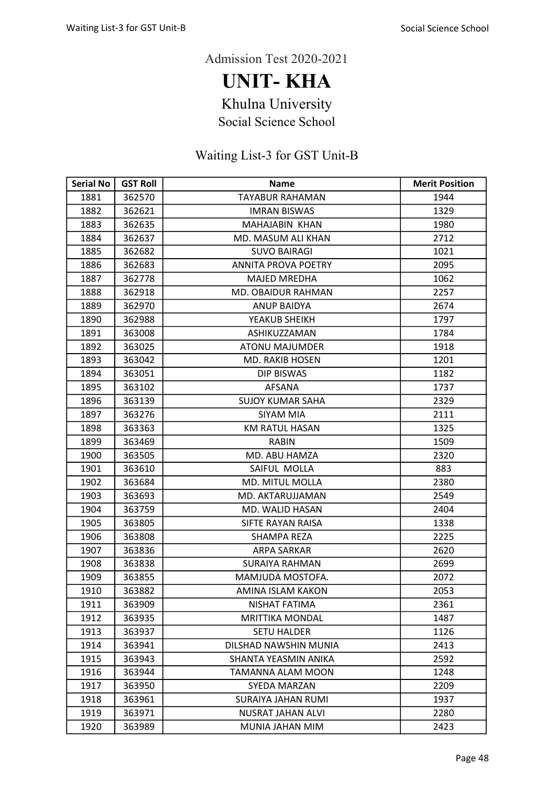UNIT- KHA

Khulna University

Social Science School

| <b>Serial No</b> | <b>GST Roll</b> | <b>Name</b>                | <b>Merit Position</b> |
|------------------|-----------------|----------------------------|-----------------------|
| 1881             | 362570          | <b>TAYABUR RAHAMAN</b>     | 1944                  |
| 1882             | 362621          | <b>IMRAN BISWAS</b>        | 1329                  |
| 1883             | 362635          | MAHAJABIN KHAN             | 1980                  |
| 1884             | 362637          | MD. MASUM ALI KHAN         | 2712                  |
| 1885             | 362682          | <b>SUVO BAIRAGI</b>        | 1021                  |
| 1886             | 362683          | <b>ANNITA PROVA POETRY</b> | 2095                  |
| 1887             | 362778          | <b>MAJED MREDHA</b>        | 1062                  |
| 1888             | 362918          | MD. OBAIDUR RAHMAN         | 2257                  |
| 1889             | 362970          | <b>ANUP BAIDYA</b>         | 2674                  |
| 1890             | 362988          | YEAKUB SHEIKH              | 1797                  |
| 1891             | 363008          | ASHIKUZZAMAN               | 1784                  |
| 1892             | 363025          | <b>ATONU MAJUMDER</b>      | 1918                  |
| 1893             | 363042          | <b>MD. RAKIB HOSEN</b>     | 1201                  |
| 1894             | 363051          | <b>DIP BISWAS</b>          | 1182                  |
| 1895             | 363102          | <b>AFSANA</b>              | 1737                  |
| 1896             | 363139          | <b>SUJOY KUMAR SAHA</b>    | 2329                  |
| 1897             | 363276          | SIYAM MIA                  | 2111                  |
| 1898             | 363363          | <b>KM RATUL HASAN</b>      | 1325                  |
| 1899             | 363469          | <b>RABIN</b>               | 1509                  |
| 1900             | 363505          | MD. ABU HAMZA              | 2320                  |
| 1901             | 363610          | SAIFUL MOLLA               | 883                   |
| 1902             | 363684          | MD. MITUL MOLLA            | 2380                  |
| 1903             | 363693          | MD. AKTARUJJAMAN           | 2549                  |
| 1904             | 363759          | MD. WALID HASAN            | 2404                  |
| 1905             | 363805          | SIFTE RAYAN RAISA          | 1338                  |
| 1906             | 363808          | <b>SHAMPA REZA</b>         | 2225                  |
| 1907             | 363836          | <b>ARPA SARKAR</b>         | 2620                  |
| 1908             | 363838          | <b>SURAIYA RAHMAN</b>      | 2699                  |
| 1909             | 363855          | MAMJUDA MOSTOFA.           | 2072                  |
| 1910             | 363882          | <b>AMINA ISLAM KAKON</b>   | 2053                  |
| 1911             | 363909          | NISHAT FATIMA              | 2361                  |
| 1912             | 363935          | <b>MRITTIKA MONDAL</b>     | 1487                  |
| 1913             | 363937          | <b>SETU HALDER</b>         | 1126                  |
| 1914             | 363941          | DILSHAD NAWSHIN MUNIA      | 2413                  |
| 1915             | 363943          | SHANTA YEASMIN ANIKA       | 2592                  |
| 1916             | 363944          | TAMANNA ALAM MOON          | 1248                  |
| 1917             | 363950          | SYEDA MARZAN               | 2209                  |
| 1918             | 363961          | SURAIYA JAHAN RUMI         | 1937                  |
| 1919             | 363971          | <b>NUSRAT JAHAN ALVI</b>   | 2280                  |
| 1920             | 363989          | MUNIA JAHAN MIM            | 2423                  |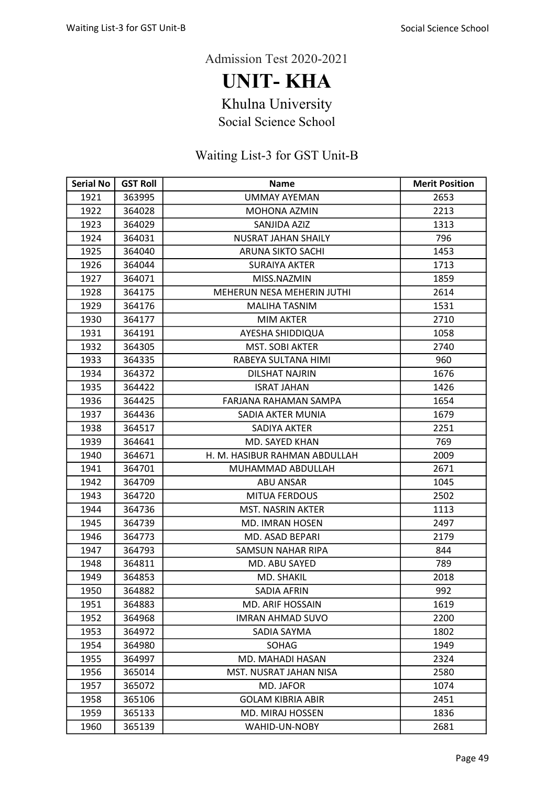UNIT- KHA

Khulna University

Social Science School

| <b>Serial No</b> | <b>GST Roll</b> | <b>Name</b>                   | <b>Merit Position</b> |
|------------------|-----------------|-------------------------------|-----------------------|
| 1921             | 363995          | <b>UMMAY AYEMAN</b>           | 2653                  |
| 1922             | 364028          | MOHONA AZMIN                  | 2213                  |
| 1923             | 364029          | SANJIDA AZIZ                  | 1313                  |
| 1924             | 364031          | NUSRAT JAHAN SHAILY           | 796                   |
| 1925             | 364040          | <b>ARUNA SIKTO SACHI</b>      | 1453                  |
| 1926             | 364044          | <b>SURAIYA AKTER</b>          | 1713                  |
| 1927             | 364071          | MISS.NAZMIN                   | 1859                  |
| 1928             | 364175          | MEHERUN NESA MEHERIN JUTHI    | 2614                  |
| 1929             | 364176          | <b>MALIHA TASNIM</b>          | 1531                  |
| 1930             | 364177          | <b>MIM AKTER</b>              | 2710                  |
| 1931             | 364191          | AYESHA SHIDDIQUA              | 1058                  |
| 1932             | 364305          | <b>MST. SOBI AKTER</b>        | 2740                  |
| 1933             | 364335          | RABEYA SULTANA HIMI           | 960                   |
| 1934             | 364372          | <b>DILSHAT NAJRIN</b>         | 1676                  |
| 1935             | 364422          | <b>ISRAT JAHAN</b>            | 1426                  |
| 1936             | 364425          | FARJANA RAHAMAN SAMPA         | 1654                  |
| 1937             | 364436          | SADIA AKTER MUNIA             | 1679                  |
| 1938             | 364517          | SADIYA AKTER                  | 2251                  |
| 1939             | 364641          | MD. SAYED KHAN                | 769                   |
| 1940             | 364671          | H. M. HASIBUR RAHMAN ABDULLAH | 2009                  |
| 1941             | 364701          | MUHAMMAD ABDULLAH             | 2671                  |
| 1942             | 364709          | <b>ABU ANSAR</b>              | 1045                  |
| 1943             | 364720          | <b>MITUA FERDOUS</b>          | 2502                  |
| 1944             | 364736          | MST. NASRIN AKTER             | 1113                  |
| 1945             | 364739          | MD. IMRAN HOSEN               | 2497                  |
| 1946             | 364773          | MD. ASAD BEPARI               | 2179                  |
| 1947             | 364793          | <b>SAMSUN NAHAR RIPA</b>      | 844                   |
| 1948             | 364811          | MD. ABU SAYED                 | 789                   |
| 1949             | 364853          | MD. SHAKIL                    | 2018                  |
| 1950             | 364882          | SADIA AFRIN                   | 992                   |
| 1951             | 364883          | MD. ARIF HOSSAIN              | 1619                  |
| 1952             | 364968          | <b>IMRAN AHMAD SUVO</b>       | 2200                  |
| 1953             | 364972          | SADIA SAYMA                   | 1802                  |
| 1954             | 364980          | SOHAG                         | 1949                  |
| 1955             | 364997          | MD. MAHADI HASAN              | 2324                  |
| 1956             | 365014          | MST. NUSRAT JAHAN NISA        | 2580                  |
| 1957             | 365072          | MD. JAFOR                     | 1074                  |
| 1958             | 365106          | <b>GOLAM KIBRIA ABIR</b>      | 2451                  |
| 1959             | 365133          | <b>MD. MIRAJ HOSSEN</b>       | 1836                  |
| 1960             | 365139          | WAHID-UN-NOBY                 | 2681                  |